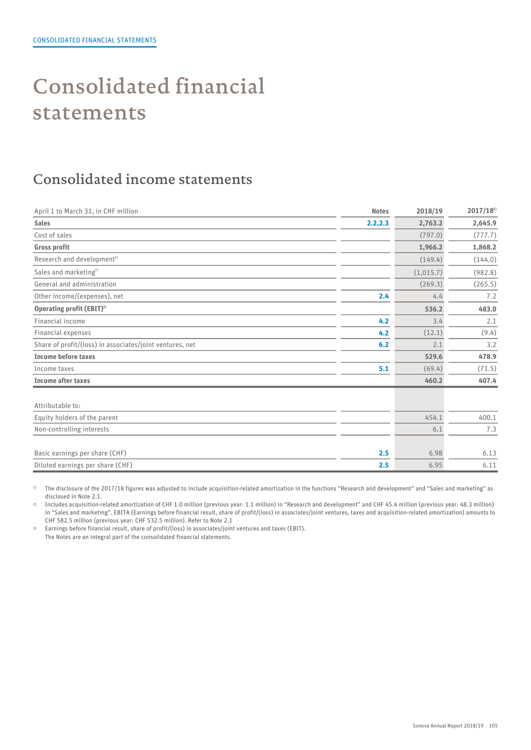# Consolidated financial statements

### Consolidated income statements

| April 1 to March 31, in CHF million                      | <b>Notes</b> | 2018/19   | $2017/18^{1}$ |
|----------------------------------------------------------|--------------|-----------|---------------|
| <b>Sales</b>                                             | 2.2,2.3      | 2,763.2   | 2,645.9       |
| Cost of sales                                            |              | (797.0)   | (777.7)       |
| <b>Gross profit</b>                                      |              | 1,966.2   | 1,868.2       |
| Research and development <sup>2)</sup>                   |              | (149.4)   | (144.0)       |
| Sales and marketing <sup>2)</sup>                        |              | (1,015.7) | (982.8)       |
| General and administration                               |              | (269.3)   | (265.5)       |
| Other income/(expenses), net                             | 2.4          | 4.4       | 7.2           |
| Operating profit (EBIT) <sup>3)</sup>                    |              | 536.2     | 483.0         |
| Financial income                                         | 4.2          | 3.4       | 2.1           |
| Financial expenses                                       | 4.2          | (12.1)    | (9.4)         |
| Share of profit/(loss) in associates/joint ventures, net | 6.2          | 2.1       | 3.2           |
| <b>Income before taxes</b>                               |              | 529.6     | 478.9         |
| Income taxes                                             | 5.1          | (69.4)    | (71.5)        |
| <b>Income after taxes</b>                                |              | 460.2     | 407.4         |
| Attributable to:                                         |              |           |               |
| Equity holders of the parent                             |              | 454.1     | 400.1         |
| Non-controlling interests                                |              | 6.1       | 7.3           |
| Basic earnings per share (CHF)                           | 2.5          | 6.98      | 6.13          |
| Diluted earnings per share (CHF)                         | 2.5          | 6.95      | 6.11          |

<sup>1)</sup> The disclosure of the 2017/18 figures was adjusted to include acquisition-related amortization in the functions "Research and development" and "Sales and marketing" as disclosed in Note 2.1.

2) Includes acquisition-related amortization of CHF 1.0 million (previous year: 1.1 million) in "Research and development" and CHF 45.4 million (previous year: 48.3 million) in "Sales and marketing". EBITA (Earnings before financial result, share of profit/(loss) in associates/joint ventures, taxes and acquisition-related amortization) amounts to CHF 582.5 million (previous year: CHF 532.5 million). Refer to Note 2.1

3) Earnings before financial result, share of profit/(loss) in associates/joint ventures and taxes (EBIT). The Notes are an integral part of the consolidated financial statements.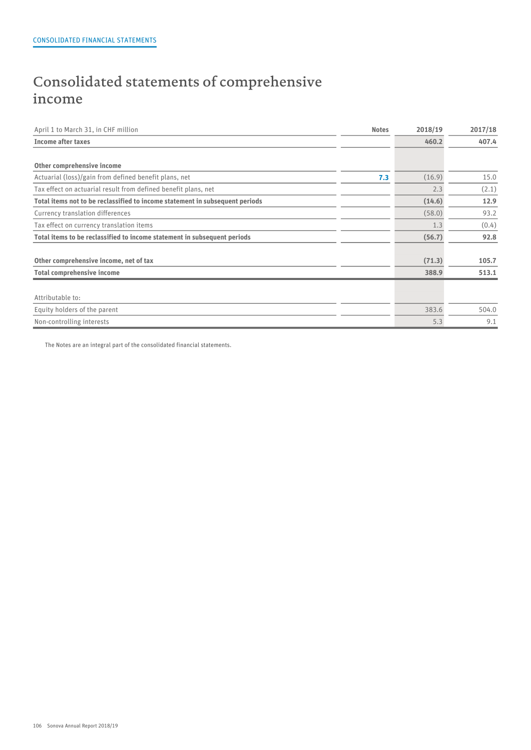## Consolidated statements of comprehensive income

| <b>Income after taxes</b><br>460.2                                                     | 407.4 |
|----------------------------------------------------------------------------------------|-------|
|                                                                                        |       |
| Other comprehensive income                                                             |       |
| Actuarial (loss)/gain from defined benefit plans, net<br>(16.9)<br>7.3                 | 15.0  |
| Tax effect on actuarial result from defined benefit plans, net<br>2.3                  | (2.1) |
| Total items not to be reclassified to income statement in subsequent periods<br>(14.6) | 12.9  |
| (58.0)<br>Currency translation differences                                             | 93.2  |
| 1.3<br>Tax effect on currency translation items                                        | (0.4) |
| Total items to be reclassified to income statement in subsequent periods<br>(56.7)     | 92.8  |
| (71.3)<br>Other comprehensive income, net of tax                                       | 105.7 |
| <b>Total comprehensive income</b><br>388.9                                             | 513.1 |
| Attributable to:                                                                       |       |
| Equity holders of the parent<br>383.6                                                  | 504.0 |
| Non-controlling interests<br>5.3                                                       | 9.1   |

The Notes are an integral part of the consolidated financial statements.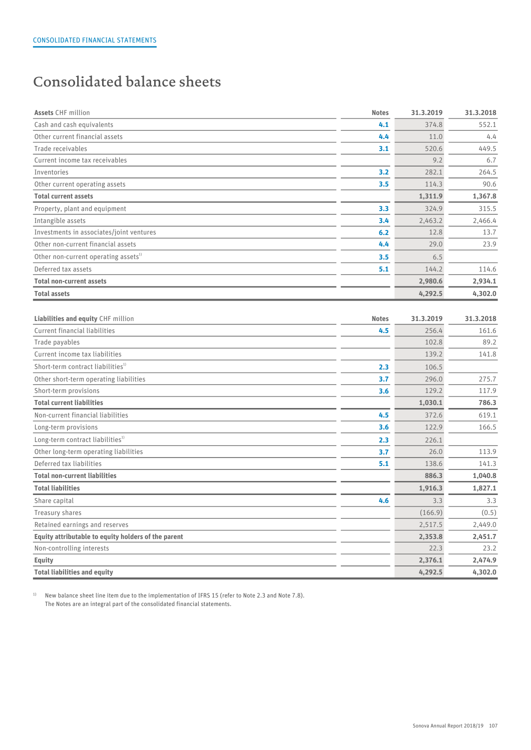## Consolidated balance sheets

| <b>Assets CHF million</b>                           | <b>Notes</b> | 31.3.2019 | 31.3.2018 |
|-----------------------------------------------------|--------------|-----------|-----------|
| Cash and cash equivalents                           | 4.1          | 374.8     | 552.1     |
| Other current financial assets                      | 4.4          | 11.0      | 4.4       |
| Trade receivables                                   | 3.1          | 520.6     | 449.5     |
| Current income tax receivables                      |              | 9.2       | 6.7       |
| Inventories                                         | 3.2          | 282.1     | 264.5     |
| Other current operating assets                      | 3.5          | 114.3     | 90.6      |
| <b>Total current assets</b>                         |              | 1,311.9   | 1,367.8   |
| Property, plant and equipment                       | 3.3          | 324.9     | 315.5     |
| Intangible assets                                   | 3.4          | 2,463.2   | 2,466.4   |
| Investments in associates/joint ventures            | 6.2          | 12.8      | 13.7      |
| Other non-current financial assets                  | 4.4          | 29.0      | 23.9      |
| Other non-current operating assets <sup>1)</sup>    | 3.5          | 6.5       |           |
| Deferred tax assets                                 | 5.1          | 144.2     | 114.6     |
| <b>Total non-current assets</b>                     |              | 2,980.6   | 2,934.1   |
| <b>Total assets</b>                                 |              | 4,292.5   | 4,302.0   |
|                                                     |              |           |           |
| Liabilities and equity CHF million                  | <b>Notes</b> | 31.3.2019 | 31.3.2018 |
| Current financial liabilities                       | 4.5          | 256.4     | 161.6     |
| Trade payables                                      |              | 102.8     | 89.2      |
| Current income tax liabilities                      |              | 139.2     | 141.8     |
| Short-term contract liabilities <sup>1)</sup>       | 2.3          | 106.5     |           |
| Other short-term operating liabilities              | 3.7          | 296.0     | 275.7     |
| Short-term provisions                               | 3.6          | 129.2     | 117.9     |
| <b>Total current liabilities</b>                    |              | 1,030.1   | 786.3     |
| Non-current financial liabilities                   | 4.5          | 372.6     | 619.1     |
| Long-term provisions                                | 3.6          | 122.9     | 166.5     |
| Long-term contract liabilities <sup>1)</sup>        | 2.3          | 226.1     |           |
| Other long-term operating liabilities               | 3.7          | 26.0      | 113.9     |
| Deferred tax liabilities                            | 5.1          | 138.6     | 141.3     |
| <b>Total non-current liabilities</b>                |              | 886.3     | 1,040.8   |
| <b>Total liabilities</b>                            |              | 1,916.3   | 1,827.1   |
| Share capital                                       | 4.6          | 3.3       | 3.3       |
| Treasury shares                                     |              | (166.9)   | (0.5)     |
| Retained earnings and reserves                      |              | 2,517.5   | 2,449.0   |
| Equity attributable to equity holders of the parent |              | 2,353.8   | 2,451.7   |
| Non-controlling interests                           |              | 22.3      | 23.2      |
| <b>Equity</b>                                       |              | 2,376.1   | 2,474.9   |
| <b>Total liabilities and equity</b>                 |              | 4,292.5   | 4,302.0   |
|                                                     |              |           |           |

<sup>1)</sup> New balance sheet line item due to the implementation of IFRS 15 (refer to Note 2.3 and Note 7.8). The Notes are an integral part of the consolidated financial statements.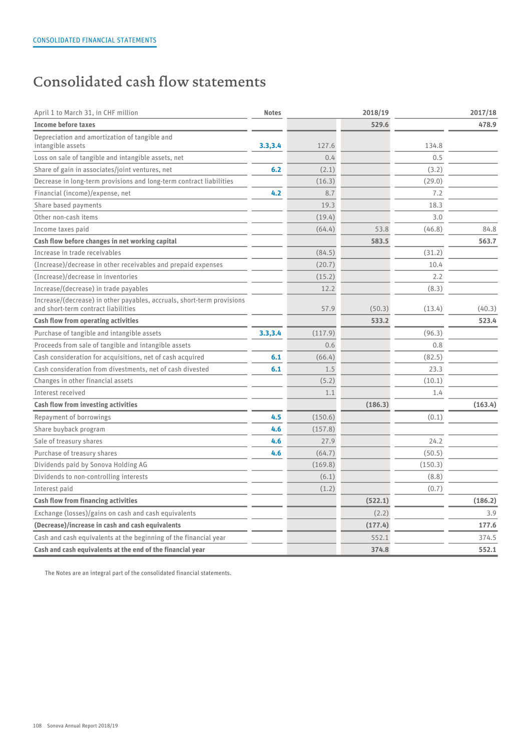## Consolidated cash flow statements

| April 1 to March 31, in CHF million                                                                           | <b>Notes</b> |         | 2018/19 |         | 2017/18 |
|---------------------------------------------------------------------------------------------------------------|--------------|---------|---------|---------|---------|
| <b>Income before taxes</b>                                                                                    |              |         | 529.6   |         | 478.9   |
| Depreciation and amortization of tangible and<br>intangible assets                                            | 3.3,3.4      | 127.6   |         | 134.8   |         |
| Loss on sale of tangible and intangible assets, net                                                           |              | 0.4     |         | 0.5     |         |
| Share of gain in associates/joint ventures, net                                                               | 6.2          | (2.1)   |         | (3.2)   |         |
| Decrease in long-term provisions and long-term contract liabilities                                           |              | (16.3)  |         | (29.0)  |         |
| Financial (income)/expense, net                                                                               | 4.2          | 8.7     |         | 7.2     |         |
| Share based payments                                                                                          |              | 19.3    |         | 18.3    |         |
| Other non-cash items                                                                                          |              | (19.4)  |         | 3.0     |         |
| Income taxes paid                                                                                             |              | (64.4)  | 53.8    | (46.8)  | 84.8    |
| Cash flow before changes in net working capital                                                               |              |         | 583.5   |         | 563.7   |
| Increase in trade receivables                                                                                 |              | (84.5)  |         | (31.2)  |         |
| (Increase)/decrease in other receivables and prepaid expenses                                                 |              | (20.7)  |         | 10.4    |         |
| (Increase)/decrease in inventories                                                                            |              | (15.2)  |         | 2.2     |         |
| Increase/(decrease) in trade payables                                                                         |              | 12.2    |         | (8.3)   |         |
| Increase/(decrease) in other payables, accruals, short-term provisions<br>and short-term contract liabilities |              | 57.9    | (50.3)  | (13.4)  | (40.3)  |
| <b>Cash flow from operating activities</b>                                                                    |              |         | 533.2   |         | 523.4   |
| Purchase of tangible and intangible assets                                                                    | 3.3,3.4      | (117.9) |         | (96.3)  |         |
| Proceeds from sale of tangible and intangible assets                                                          |              | 0.6     |         | 0.8     |         |
| Cash consideration for acquisitions, net of cash acquired                                                     | 6.1          | (66.4)  |         | (82.5)  |         |
| Cash consideration from divestments, net of cash divested                                                     | 6.1          | 1.5     |         | 23.3    |         |
| Changes in other financial assets                                                                             |              | (5.2)   |         | (10.1)  |         |
| Interest received                                                                                             |              | 1.1     |         | 1.4     |         |
| Cash flow from investing activities                                                                           |              |         | (186.3) |         | (163.4) |
| Repayment of borrowings                                                                                       | 4.5          | (150.6) |         | (0.1)   |         |
| Share buyback program                                                                                         | 4.6          | (157.8) |         |         |         |
| Sale of treasury shares                                                                                       | 4.6          | 27.9    |         | 24.2    |         |
| Purchase of treasury shares                                                                                   | 4.6          | (64.7)  |         | (50.5)  |         |
| Dividends paid by Sonova Holding AG                                                                           |              | (169.8) |         | (150.3) |         |
| Dividends to non-controlling interests                                                                        |              | (6.1)   |         | (8.8)   |         |
| Interest paid                                                                                                 |              | (1.2)   |         | (0.7)   |         |
| <b>Cash flow from financing activities</b>                                                                    |              |         | (522.1) |         | (186.2) |
| Exchange (losses)/gains on cash and cash equivalents                                                          |              |         | (2.2)   |         | 3.9     |
| (Decrease)/increase in cash and cash equivalents                                                              |              |         | (177.4) |         | 177.6   |
| Cash and cash equivalents at the beginning of the financial year                                              |              |         | 552.1   |         | 374.5   |
| Cash and cash equivalents at the end of the financial year                                                    |              |         | 374.8   |         | 552.1   |

The Notes are an integral part of the consolidated financial statements.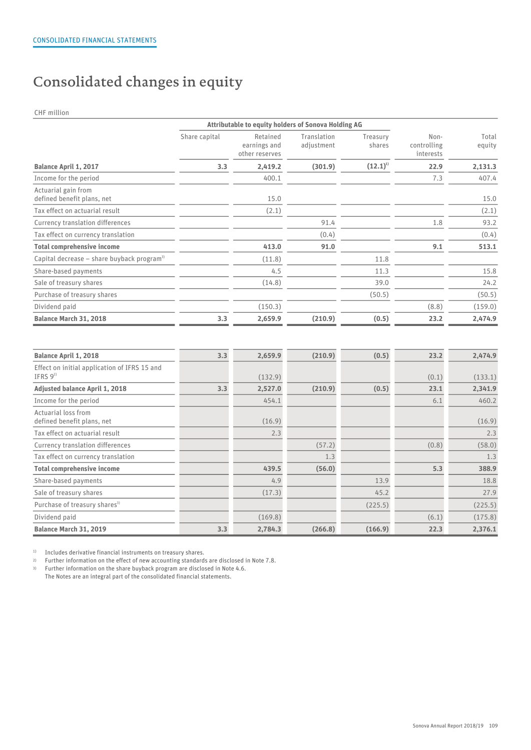## Consolidated changes in equity

CHF million

|                                                          | Attributable to equity holders of Sonova Holding AG |                                            |                           |                    |                                  |                 |
|----------------------------------------------------------|-----------------------------------------------------|--------------------------------------------|---------------------------|--------------------|----------------------------------|-----------------|
|                                                          | Share capital                                       | Retained<br>earnings and<br>other reserves | Translation<br>adjustment | Treasury<br>shares | Non-<br>controlling<br>interests | Total<br>equity |
| <b>Balance April 1, 2017</b>                             | 3.3                                                 | 2,419.2                                    | (301.9)                   | $(12.1)^{1}$       | 22.9                             | 2,131.3         |
| Income for the period                                    |                                                     | 400.1                                      |                           |                    | 7.3                              | 407.4           |
| Actuarial gain from<br>defined benefit plans, net        |                                                     | 15.0                                       |                           |                    |                                  | 15.0            |
| Tax effect on actuarial result                           |                                                     | (2.1)                                      |                           |                    |                                  | (2.1)           |
| Currency translation differences                         |                                                     |                                            | 91.4                      |                    | 1.8                              | 93.2            |
| Tax effect on currency translation                       |                                                     |                                            | (0.4)                     |                    |                                  | (0.4)           |
| <b>Total comprehensive income</b>                        |                                                     | 413.0                                      | 91.0                      |                    | 9.1                              | 513.1           |
| Capital decrease $-$ share buyback program <sup>3)</sup> |                                                     | (11.8)                                     |                           | 11.8               |                                  |                 |
| Share-based payments                                     |                                                     | 4.5                                        |                           | 11.3               |                                  | 15.8            |
| Sale of treasury shares                                  |                                                     | (14.8)                                     |                           | 39.0               |                                  | 24.2            |
| Purchase of treasury shares                              |                                                     |                                            |                           | (50.5)             |                                  | (50.5)          |
| Dividend paid                                            |                                                     | (150.3)                                    |                           |                    | (8.8)                            | (159.0)         |
| Balance March 31, 2018                                   | 3.3                                                 | 2,659.9                                    | (210.9)                   | (0.5)              | 23.2                             | 2,474.9         |

| <b>Balance April 1, 2018</b>                                 | 3.3 | 2,659.9 | (210.9) | (0.5)   | 23.2  | 2,474.9 |  |
|--------------------------------------------------------------|-----|---------|---------|---------|-------|---------|--|
| Effect on initial application of IFRS 15 and<br>IFRS $9^{2}$ |     | (132.9) |         |         | (0.1) | (133.1) |  |
| <b>Adjusted balance April 1, 2018</b>                        | 3.3 | 2,527.0 | (210.9) | (0.5)   | 23.1  | 2,341.9 |  |
| Income for the period                                        |     | 454.1   |         |         | 6.1   | 460.2   |  |
| Actuarial loss from<br>defined benefit plans, net            |     | (16.9)  |         |         |       | (16.9)  |  |
| Tax effect on actuarial result                               |     | 2.3     |         |         |       | 2.3     |  |
| Currency translation differences                             |     |         | (57.2)  |         | (0.8) | (58.0)  |  |
| Tax effect on currency translation                           |     |         | 1.3     |         |       | 1.3     |  |
| <b>Total comprehensive income</b>                            |     | 439.5   | (56.0)  |         | 5.3   | 388.9   |  |
| Share-based payments                                         |     | 4.9     |         | 13.9    |       | 18.8    |  |
| Sale of treasury shares                                      |     | (17.3)  |         | 45.2    |       | 27.9    |  |
| Purchase of treasury shares <sup>3)</sup>                    |     |         |         | (225.5) |       | (225.5) |  |
| Dividend paid                                                |     | (169.8) |         |         | (6.1) | (175.8) |  |
| Balance March 31, 2019                                       | 3.3 | 2,784.3 | (266.8) | (166.9) | 22.3  | 2,376.1 |  |

<sup>1)</sup> Includes derivative financial instruments on treasury shares.

2) Further information on the effect of new accounting standards are disclosed in Note 7.8.

3) Further information on the share buyback program are disclosed in Note 4.6.

The Notes are an integral part of the consolidated financial statements.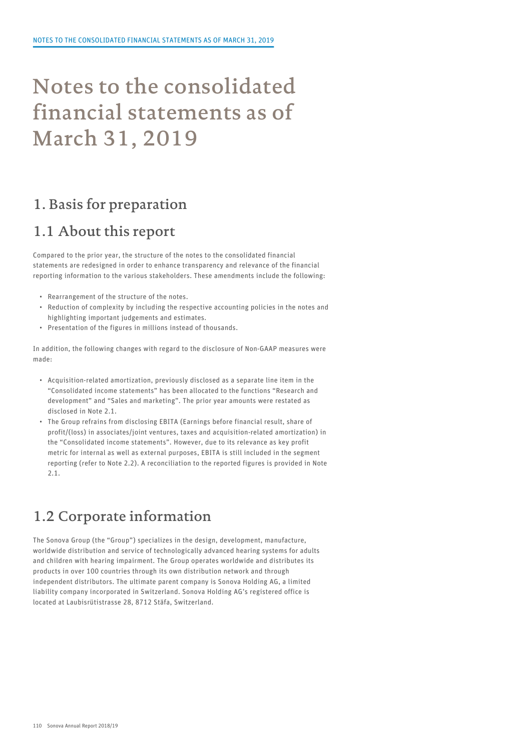# Notes to the consolidated financial statements as of March 31, 2019

### 1. Basis for preparation

### 1.1 About this report

Compared to the prior year, the structure of the notes to the consolidated financial statements are redesigned in order to enhance transparency and relevance of the financial reporting information to the various stakeholders. These amendments include the following:

- Rearrangement of the structure of the notes.
- Reduction of complexity by including the respective accounting policies in the notes and highlighting important judgements and estimates.
- Presentation of the figures in millions instead of thousands.

In addition, the following changes with regard to the disclosure of Non-GAAP measures were made:

- Acquisition-related amortization, previously disclosed as a separate line item in the "Consolidated income statements" has been allocated to the functions "Research and development" and "Sales and marketing". The prior year amounts were restated as disclosed in Note 2.1.
- The Group refrains from disclosing EBITA (Earnings before financial result, share of profit/(loss) in associates/joint ventures, taxes and acquisition-related amortization) in the "Consolidated income statements". However, due to its relevance as key profit metric for internal as well as external purposes, EBITA is still included in the segment reporting (refer to Note 2.2). A reconciliation to the reported figures is provided in Note 2.1.

## 1.2 Corporate information

The Sonova Group (the "Group") specializes in the design, development, manufacture, worldwide distribution and service of technologically advanced hearing systems for adults and children with hearing impairment. The Group operates worldwide and distributes its products in over 100 countries through its own distribution network and through independent distributors. The ultimate parent company is Sonova Holding AG, a limited liability company incorporated in Switzerland. Sonova Holding AG's registered office is located at Laubisrütistrasse 28, 8712 Stäfa, Switzerland.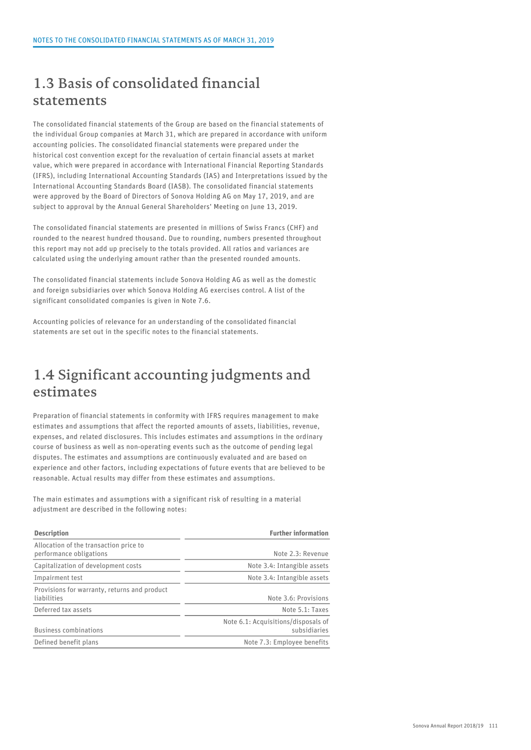### 1.3 Basis of consolidated financial statements

The consolidated financial statements of the Group are based on the financial statements of the individual Group companies at March 31, which are prepared in accordance with uniform accounting policies. The consolidated financial statements were prepared under the historical cost convention except for the revaluation of certain financial assets at market value, which were prepared in accordance with International Financial Reporting Standards (IFRS), including International Accounting Standards (IAS) and Interpretations issued by the International Accounting Standards Board (IASB). The consolidated financial statements were approved by the Board of Directors of Sonova Holding AG on May 17, 2019, and are subject to approval by the Annual General Shareholders' Meeting on June 13, 2019.

The consolidated financial statements are presented in millions of Swiss Francs (CHF) and rounded to the nearest hundred thousand. Due to rounding, numbers presented throughout this report may not add up precisely to the totals provided. All ratios and variances are calculated using the underlying amount rather than the presented rounded amounts.

The consolidated financial statements include Sonova Holding AG as well as the domestic and foreign subsidiaries over which Sonova Holding AG exercises control. A list of the significant consolidated companies is given in Note 7.6.

Accounting policies of relevance for an understanding of the consolidated financial statements are set out in the specific notes to the financial statements.

### 1.4 Significant accounting judgments and estimates

Preparation of financial statements in conformity with IFRS requires management to make estimates and assumptions that affect the reported amounts of assets, liabilities, revenue, expenses, and related disclosures. This includes estimates and assumptions in the ordinary course of business as well as non-operating events such as the outcome of pending legal disputes. The estimates and assumptions are continuously evaluated and are based on experience and other factors, including expectations of future events that are believed to be reasonable. Actual results may differ from these estimates and assumptions.

The main estimates and assumptions with a significant risk of resulting in a material adjustment are described in the following notes:

| <b>Description</b>                                                | <b>Further information</b>                          |
|-------------------------------------------------------------------|-----------------------------------------------------|
| Allocation of the transaction price to<br>performance obligations | Note 2.3: Revenue                                   |
| Capitalization of development costs                               | Note 3.4: Intangible assets                         |
| Impairment test                                                   | Note 3.4: Intangible assets                         |
| Provisions for warranty, returns and product<br>liabilities       | Note 3.6: Provisions                                |
| Deferred tax assets                                               | Note 5.1: Taxes                                     |
| <b>Business combinations</b>                                      | Note 6.1: Acquisitions/disposals of<br>subsidiaries |
| Defined benefit plans                                             | Note 7.3: Employee benefits                         |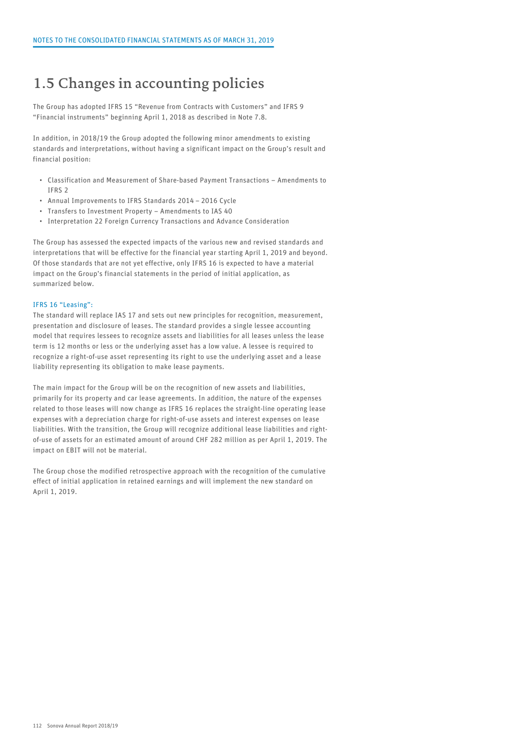### 1.5 Changes in accounting policies

The Group has adopted IFRS 15 "Revenue from Contracts with Customers" and IFRS 9 "Financial instruments" beginning April 1, 2018 as described in Note 7.8.

In addition, in 2018/19 the Group adopted the following minor amendments to existing standards and interpretations, without having a significant impact on the Group's result and financial position:

- Classification and Measurement of Share-based Payment Transactions Amendments to IFRS 2
- Annual Improvements to IFRS Standards 2014 2016 Cycle
- Transfers to Investment Property Amendments to IAS 40
- Interpretation 22 Foreign Currency Transactions and Advance Consideration

The Group has assessed the expected impacts of the various new and revised standards and interpretations that will be effective for the financial year starting April 1, 2019 and beyond. Of those standards that are not yet effective, only IFRS 16 is expected to have a material impact on the Group's financial statements in the period of initial application, as summarized below.

#### IFRS 16 "Leasing":

The standard will replace IAS 17 and sets out new principles for recognition, measurement, presentation and disclosure of leases. The standard provides a single lessee accounting model that requires lessees to recognize assets and liabilities for all leases unless the lease term is 12 months or less or the underlying asset has a low value. A lessee is required to recognize a right-of-use asset representing its right to use the underlying asset and a lease liability representing its obligation to make lease payments.

The main impact for the Group will be on the recognition of new assets and liabilities, primarily for its property and car lease agreements. In addition, the nature of the expenses related to those leases will now change as IFRS 16 replaces the straight-line operating lease expenses with a depreciation charge for right-of-use assets and interest expenses on lease liabilities. With the transition, the Group will recognize additional lease liabilities and rightof-use of assets for an estimated amount of around CHF 282 million as per April 1, 2019. The impact on EBIT will not be material.

The Group chose the modified retrospective approach with the recognition of the cumulative effect of initial application in retained earnings and will implement the new standard on April 1, 2019.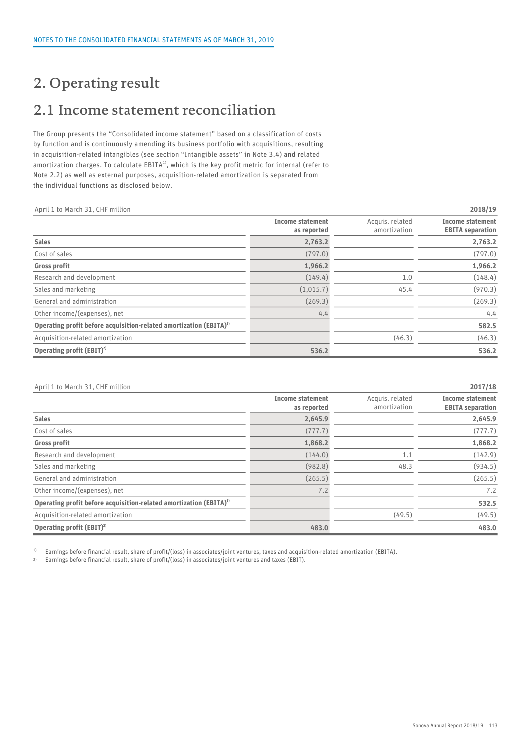### 2. Operating result

## 2.1 Income statement reconciliation

The Group presents the "Consolidated income statement" based on a classification of costs by function and is continuously amending its business portfolio with acquisitions, resulting in acquisition-related intangibles (see section "Intangible assets" in Note 3.4) and related amortization charges. To calculate <code>EBITA</code>  $^{\rm{l}}$  , which is the key profit metric for internal (refer to Note 2.2) as well as external purposes, acquisition-related amortization is separated from the individual functions as disclosed below.

| April 1 to March 31, CHF million                                               |                                        |                                 | 2018/19                                            |
|--------------------------------------------------------------------------------|----------------------------------------|---------------------------------|----------------------------------------------------|
|                                                                                | <b>Income statement</b><br>as reported | Acquis. related<br>amortization | <b>Income statement</b><br><b>EBITA</b> separation |
| <b>Sales</b>                                                                   | 2,763.2                                |                                 | 2,763.2                                            |
| Cost of sales                                                                  | (797.0)                                |                                 | (797.0)                                            |
| Gross profit                                                                   | 1,966.2                                |                                 | 1,966.2                                            |
| Research and development                                                       | (149.4)                                | 1.0                             | (148.4)                                            |
| Sales and marketing                                                            | (1,015.7)                              | 45.4                            | (970.3)                                            |
| General and administration                                                     | (269.3)                                |                                 | (269.3)                                            |
| Other income/(expenses), net                                                   | 4.4                                    |                                 | 4.4                                                |
| Operating profit before acquisition-related amortization (EBITA) <sup>1)</sup> |                                        |                                 | 582.5                                              |
| Acquisition-related amortization                                               |                                        | (46.3)                          | (46.3)                                             |
| Operating profit $(EBIT)^2$                                                    | 536.2                                  |                                 | 536.2                                              |

| April 1 to March 31, CHF million<br>2017/18 |
|---------------------------------------------|
|---------------------------------------------|

|                                                                                | <b>Income statement</b><br>as reported | Acquis. related<br>amortization | <b>Income statement</b><br><b>EBITA</b> separation |
|--------------------------------------------------------------------------------|----------------------------------------|---------------------------------|----------------------------------------------------|
| <b>Sales</b>                                                                   | 2,645.9                                |                                 | 2,645.9                                            |
| Cost of sales                                                                  | (777.7)                                |                                 | (777.7)                                            |
| <b>Gross profit</b>                                                            | 1,868.2                                |                                 | 1,868.2                                            |
| Research and development                                                       | (144.0)                                | 1.1                             | (142.9)                                            |
| Sales and marketing                                                            | (982.8)                                | 48.3                            | (934.5)                                            |
| General and administration                                                     | (265.5)                                |                                 | (265.5)                                            |
| Other income/(expenses), net                                                   | 7.2                                    |                                 | 7.2                                                |
| Operating profit before acquisition-related amortization (EBITA) <sup>1)</sup> |                                        |                                 | 532.5                                              |
| Acquisition-related amortization                                               |                                        | (49.5)                          | (49.5)                                             |
| Operating profit (EBIT) <sup>2)</sup>                                          | 483.0                                  |                                 | 483.0                                              |

<sup>1)</sup> Earnings before financial result, share of profit/(loss) in associates/joint ventures, taxes and acquisition-related amortization (EBITA).

2) Earnings before financial result, share of profit/(loss) in associates/joint ventures and taxes (EBIT).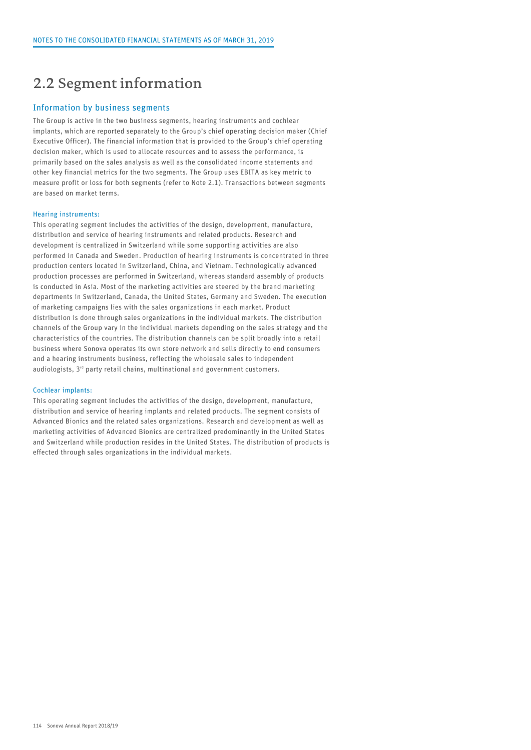### 2.2 Segment information

#### Information by business segments

The Group is active in the two business segments, hearing instruments and cochlear implants, which are reported separately to the Group's chief operating decision maker (Chief Executive Officer). The financial information that is provided to the Group's chief operating decision maker, which is used to allocate resources and to assess the performance, is primarily based on the sales analysis as well as the consolidated income statements and other key financial metrics for the two segments. The Group uses EBITA as key metric to measure profit or loss for both segments (refer to Note 2.1). Transactions between segments are based on market terms.

#### Hearing instruments:

This operating segment includes the activities of the design, development, manufacture, distribution and service of hearing instruments and related products. Research and development is centralized in Switzerland while some supporting activities are also performed in Canada and Sweden. Production of hearing instruments is concentrated in three production centers located in Switzerland, China, and Vietnam. Technologically advanced production processes are performed in Switzerland, whereas standard assembly of products is conducted in Asia. Most of the marketing activities are steered by the brand marketing departments in Switzerland, Canada, the United States, Germany and Sweden. The execution of marketing campaigns lies with the sales organizations in each market. Product distribution is done through sales organizations in the individual markets. The distribution channels of the Group vary in the individual markets depending on the sales strategy and the characteristics of the countries. The distribution channels can be split broadly into a retail business where Sonova operates its own store network and sells directly to end consumers and a hearing instruments business, reflecting the wholesale sales to independent audiologists, 3<sup>rd</sup> party retail chains, multinational and government customers.

#### Cochlear implants:

This operating segment includes the activities of the design, development, manufacture, distribution and service of hearing implants and related products. The segment consists of Advanced Bionics and the related sales organizations. Research and development as well as marketing activities of Advanced Bionics are centralized predominantly in the United States and Switzerland while production resides in the United States. The distribution of products is effected through sales organizations in the individual markets.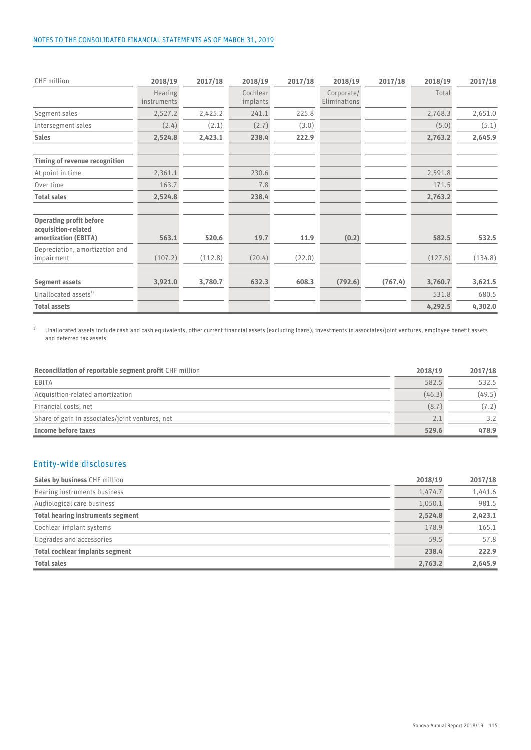| CHF million                                                                   | 2018/19                | 2017/18 | 2018/19              | 2017/18 | 2018/19                    | 2017/18 | 2018/19 | 2017/18 |  |
|-------------------------------------------------------------------------------|------------------------|---------|----------------------|---------|----------------------------|---------|---------|---------|--|
|                                                                               | Hearing<br>instruments |         | Cochlear<br>implants |         | Corporate/<br>Eliminations |         | Total   |         |  |
| Segment sales                                                                 | 2,527.2                | 2,425.2 | 241.1                | 225.8   |                            |         | 2,768.3 | 2,651.0 |  |
| Intersegment sales                                                            | (2.4)                  | (2.1)   | (2.7)                | (3.0)   |                            |         | (5.0)   | (5.1)   |  |
| <b>Sales</b>                                                                  | 2,524.8                | 2,423.1 | 238.4                | 222.9   |                            |         | 2,763.2 | 2,645.9 |  |
| Timing of revenue recognition                                                 |                        |         |                      |         |                            |         |         |         |  |
| At point in time                                                              | 2,361.1                |         | 230.6                |         |                            |         | 2,591.8 |         |  |
| Over time                                                                     | 163.7                  |         | 7.8                  |         |                            |         | 171.5   |         |  |
| <b>Total sales</b>                                                            | 2,524.8                |         | 238.4                |         |                            |         | 2,763.2 |         |  |
| <b>Operating profit before</b><br>acquisition-related<br>amortization (EBITA) | 563.1                  | 520.6   | 19.7                 | 11.9    | (0.2)                      |         | 582.5   | 532.5   |  |
| Depreciation, amortization and<br>impairment                                  | (107.2)                | (112.8) | (20.4)               | (22.0)  |                            |         | (127.6) | (134.8) |  |
| <b>Segment assets</b>                                                         | 3,921.0                | 3,780.7 | 632.3                | 608.3   | (792.6)                    | (767.4) | 3,760.7 | 3,621.5 |  |
| Unallocated assets <sup>1)</sup>                                              |                        |         |                      |         |                            |         | 531.8   | 680.5   |  |
| <b>Total assets</b>                                                           |                        |         |                      |         |                            |         | 4,292.5 | 4,302.0 |  |

<sup>1)</sup> Unallocated assets include cash and cash equivalents, other current financial assets (excluding loans), investments in associates/joint ventures, employee benefit assets and deferred tax assets.

| <b>Reconciliation of reportable segment profit CHF million</b> | 2018/19 | 2017/18 |  |
|----------------------------------------------------------------|---------|---------|--|
| EBITA                                                          | 582.5   | 532.5   |  |
| Acquisition-related amortization                               | (46.3)  | (49.5)  |  |
| Financial costs, net                                           | (8.7)   | (7.2)   |  |
| Share of gain in associates/joint ventures, net                |         | 3.2     |  |
| Income before taxes                                            | 529.6   | 478.9   |  |

### Entity-wide disclosures

| Sales by business CHF million          | 2018/19 | 2017/18 |  |
|----------------------------------------|---------|---------|--|
| Hearing instruments business           | 1,474.7 | 1,441.6 |  |
| Audiological care business             | 1,050.1 | 981.5   |  |
| Total hearing instruments segment      | 2,524.8 | 2,423.1 |  |
| Cochlear implant systems               | 178.9   | 165.1   |  |
| Upgrades and accessories               | 59.5    | 57.8    |  |
| <b>Total cochlear implants segment</b> | 238.4   | 222.9   |  |
| <b>Total sales</b>                     | 2,763.2 | 2,645.9 |  |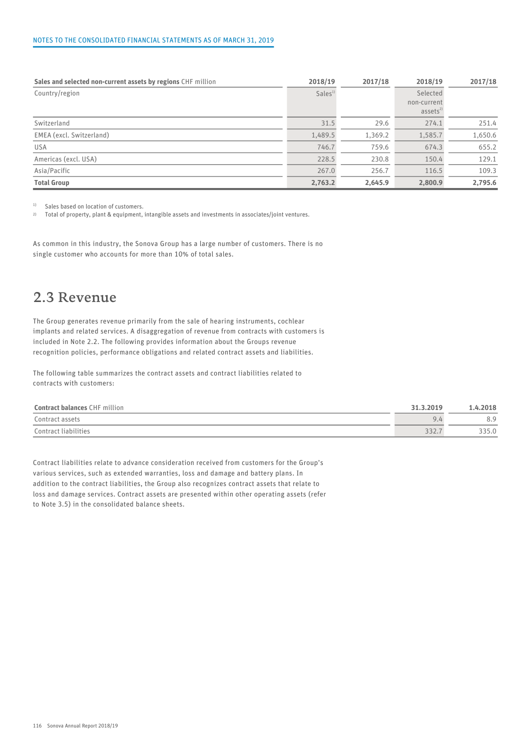#### NOTES TO THE CONSOLIDATED FINANCIAL STATEMENTS AS OF MARCH 31, 2019

| Sales and selected non-current assets by regions CHF million | 2018/19            | 2017/18 | 2018/19             | 2017/18 |  |
|--------------------------------------------------------------|--------------------|---------|---------------------|---------|--|
| Country/region                                               | Sales <sup>1</sup> |         | Selected            |         |  |
|                                                              |                    |         | non-current         |         |  |
|                                                              |                    |         | assets <sup>2</sup> |         |  |
| Switzerland                                                  | 31.5               | 29.6    | 274.1               | 251.4   |  |
| EMEA (excl. Switzerland)                                     | 1,489.5            | 1,369.2 | 1,585.7             | 1,650.6 |  |
| <b>USA</b>                                                   | 746.7              | 759.6   | 674.3               | 655.2   |  |
| Americas (excl. USA)                                         | 228.5              | 230.8   | 150.4               | 129.1   |  |
| Asia/Pacific                                                 | 267.0              | 256.7   | 116.5               | 109.3   |  |
| <b>Total Group</b>                                           | 2,763.2            | 2,645.9 | 2,800.9             | 2,795.6 |  |

<sup>1)</sup> Sales based on location of customers.

2) Total of property, plant & equipment, intangible assets and investments in associates/joint ventures.

As common in this industry, the Sonova Group has a large number of customers. There is no single customer who accounts for more than 10% of total sales.

### 2.3 Revenue

The Group generates revenue primarily from the sale of hearing instruments, cochlear implants and related services. A disaggregation of revenue from contracts with customers is included in Note 2.2. The following provides information about the Groups revenue recognition policies, performance obligations and related contract assets and liabilities.

The following table summarizes the contract assets and contract liabilities related to contracts with customers:

| F million<br><b>Contract balances CHF</b> | 1.3.2019<br>21    | 1.4.2018                     |  |
|-------------------------------------------|-------------------|------------------------------|--|
| Contract assets                           | ப<br>$\sim$ . $-$ | O <sub>0</sub><br>$O_{\ast}$ |  |
| Contract liabilities                      | 332.7             | 335.0                        |  |

Contract liabilities relate to advance consideration received from customers for the Group's various services, such as extended warranties, loss and damage and battery plans. In addition to the contract liabilities, the Group also recognizes contract assets that relate to loss and damage services. Contract assets are presented within other operating assets (refer to Note 3.5) in the consolidated balance sheets.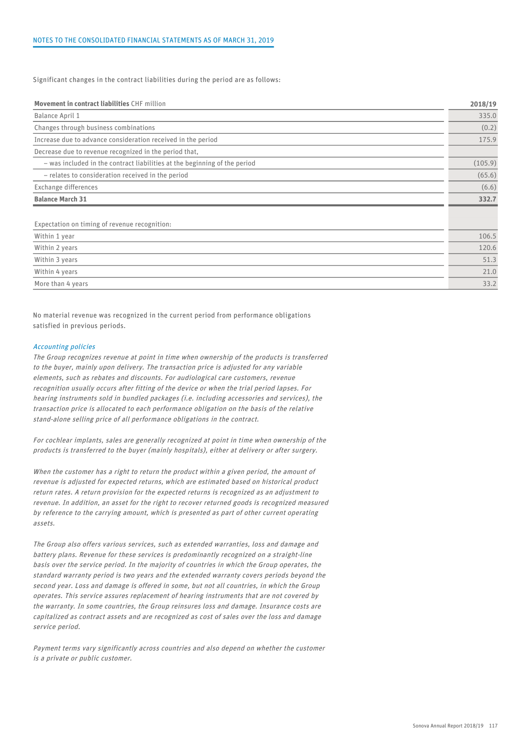Significant changes in the contract liabilities during the period are as follows:

| Movement in contract liabilities CHF million                              | 2018/19 |
|---------------------------------------------------------------------------|---------|
| Balance April 1                                                           | 335.0   |
| Changes through business combinations                                     | (0.2)   |
| Increase due to advance consideration received in the period              | 175.9   |
| Decrease due to revenue recognized in the period that,                    |         |
| - was included in the contract liabilities at the beginning of the period | (105.9) |
| - relates to consideration received in the period                         | (65.6)  |
| Exchange differences                                                      | (6.6)   |
| <b>Balance March 31</b>                                                   | 332.7   |
| Expectation on timing of revenue recognition:                             |         |
| Within 1 year                                                             | 106.5   |
| Within 2 years                                                            | 120.6   |
| Within 3 years                                                            | 51.3    |
| Within 4 years                                                            | 21.0    |
| More than 4 years                                                         | 33.2    |
|                                                                           |         |

No material revenue was recognized in the current period from performance obligations satisfied in previous periods.

#### Accounting policies

The Group recognizes revenue at point in time when ownership of the products is transferred to the buyer, mainly upon delivery. The transaction price is adjusted for any variable elements, such as rebates and discounts. For audiological care customers, revenue recognition usually occurs after fitting of the device or when the trial period lapses. For hearing instruments sold in bundled packages (i.e. including accessories and services), the transaction price is allocated to each performance obligation on the basis of the relative stand-alone selling price of all performance obligations in the contract.

For cochlear implants, sales are generally recognized at point in time when ownership of the products is transferred to the buyer (mainly hospitals), either at delivery or after surgery.

When the customer has a right to return the product within a given period, the amount of revenue is adjusted for expected returns, which are estimated based on historical product return rates. A return provision for the expected returns is recognized as an adjustment to revenue. In addition, an asset for the right to recover returned goods is recognized measured by reference to the carrying amount, which is presented as part of other current operating assets.

The Group also offers various services, such as extended warranties, loss and damage and battery plans. Revenue for these services is predominantly recognized on a straight-line basis over the service period. In the majority of countries in which the Group operates, the standard warranty period is two years and the extended warranty covers periods beyond the second year. Loss and damage is offered in some, but not all countries, in which the Group operates. This service assures replacement of hearing instruments that are not covered by the warranty. In some countries, the Group reinsures loss and damage. Insurance costs are capitalized as contract assets and are recognized as cost of sales over the loss and damage service period.

Payment terms vary significantly across countries and also depend on whether the customer is a private or public customer.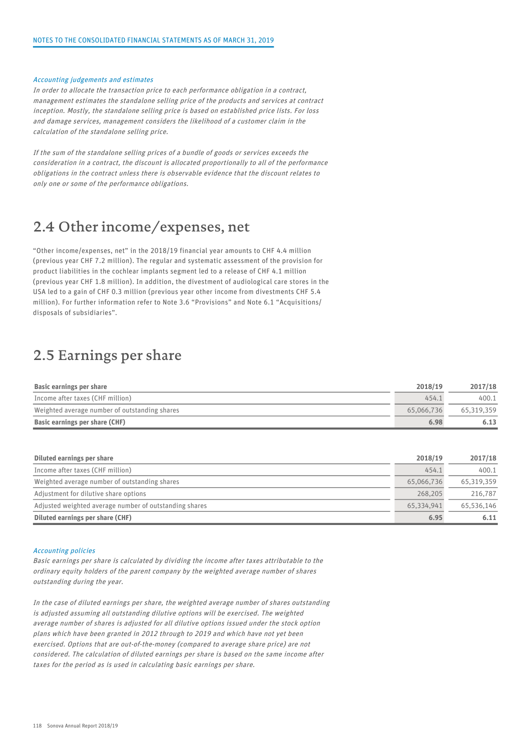#### Accounting judgements and estimates

In order to allocate the transaction price to each performance obligation in a contract, management estimates the standalone selling price of the products and services at contract inception. Mostly, the standalone selling price is based on established price lists. For loss and damage services, management considers the likelihood of a customer claim in the calculation of the standalone selling price.

If the sum of the standalone selling prices of a bundle of goods or services exceeds the consideration in a contract, the discount is allocated proportionally to all of the performance obligations in the contract unless there is observable evidence that the discount relates to only one or some of the performance obligations.

### 2.4 Other income/expenses, net

"Other income/expenses, net" in the 2018/19 financial year amounts to CHF 4.4 million (previous year CHF 7.2 million). The regular and systematic assessment of the provision for product liabilities in the cochlear implants segment led to a release of CHF 4.1 million (previous year CHF 1.8 million). In addition, the divestment of audiological care stores in the USA led to a gain of CHF 0.3 million (previous year other income from divestments CHF 5.4 million). For further information refer to Note 3.6 "Provisions" and Note 6.1 "Acquisitions/ disposals of subsidiaries".

### 2.5 Earnings per share

| Basic earnings per share                      | 2018/19    | 2017/18    |  |
|-----------------------------------------------|------------|------------|--|
| Income after taxes (CHF million)              | 454.1      | 400.1      |  |
| Weighted average number of outstanding shares | 65.066.736 | 65.319.359 |  |
| Basic earnings per share (CHF)                | 6.98       | 6.13       |  |

| Diluted earnings per share                             | 2018/19    | 2017/18    |  |
|--------------------------------------------------------|------------|------------|--|
| Income after taxes (CHF million)                       | 454.1      | 400.1      |  |
| Weighted average number of outstanding shares          | 65,066,736 | 65,319,359 |  |
| Adjustment for dilutive share options                  | 268,205    | 216,787    |  |
| Adjusted weighted average number of outstanding shares | 65.334.941 | 65,536,146 |  |
| Diluted earnings per share (CHF)                       | 6.95       | 6.11       |  |

#### Accounting policies

Basic earnings per share is calculated by dividing the income after taxes attributable to the ordinary equity holders of the parent company by the weighted average number of shares outstanding during the year.

In the case of diluted earnings per share, the weighted average number of shares outstanding is adjusted assuming all outstanding dilutive options will be exercised. The weighted average number of shares is adjusted for all dilutive options issued under the stock option plans which have been granted in 2012 through to 2019 and which have not yet been exercised. Options that are out-of-the-money (compared to average share price) are not considered. The calculation of diluted earnings per share is based on the same income after taxes for the period as is used in calculating basic earnings per share.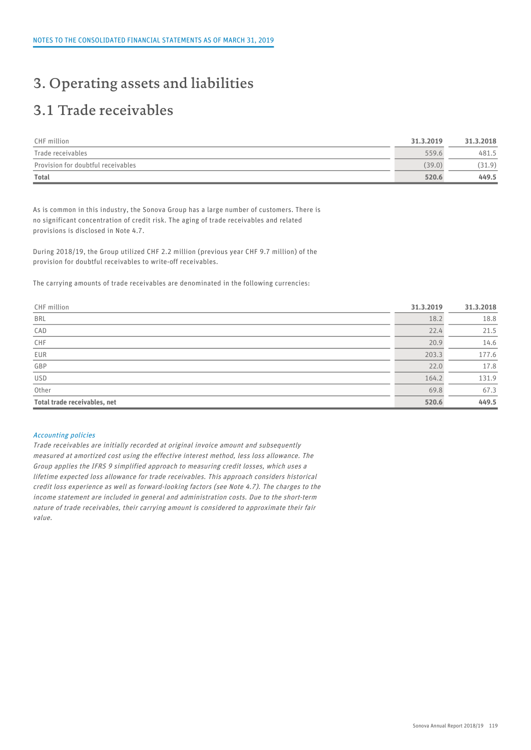### 3. Operating assets and liabilities

## 3.1 Trade receivables

| CHF million                        | 31.3.2019 | 31.3.2018 |
|------------------------------------|-----------|-----------|
| Trade receivables                  | 559.6     | 481.5     |
| Provision for doubtful receivables | (39.0)    | (31.9)    |
| <b>Total</b>                       | 520.6     | 449.5     |

As is common in this industry, the Sonova Group has a large number of customers. There is no significant concentration of credit risk. The aging of trade receivables and related provisions is disclosed in Note 4.7.

During 2018/19, the Group utilized CHF 2.2 million (previous year CHF 9.7 million) of the provision for doubtful receivables to write-off receivables.

The carrying amounts of trade receivables are denominated in the following currencies:

| CHF million                  | 31.3.2019 | 31.3.2018 |  |
|------------------------------|-----------|-----------|--|
| <b>BRL</b>                   | 18.2      | 18.8      |  |
| CAD                          | 22.4      | 21.5      |  |
| ${\sf CHF}$                  | 20.9      | 14.6      |  |
| EUR                          | 203.3     | 177.6     |  |
| $\overline{\mathsf{GBP}}$    | 22.0      | 17.8      |  |
| $\overline{USD}$             | 164.2     | 131.9     |  |
| Other                        | 69.8      | 67.3      |  |
| Total trade receivables, net | 520.6     | 449.5     |  |

#### Accounting policies

Trade receivables are initially recorded at original invoice amount and subsequently measured at amortized cost using the effective interest method, less loss allowance. The Group applies the IFRS 9 simplified approach to measuring credit losses, which uses a lifetime expected loss allowance for trade receivables. This approach considers historical credit loss experience as well as forward-looking factors (see Note 4.7). The charges to the income statement are included in general and administration costs. Due to the short-term nature of trade receivables, their carrying amount is considered to approximate their fair value.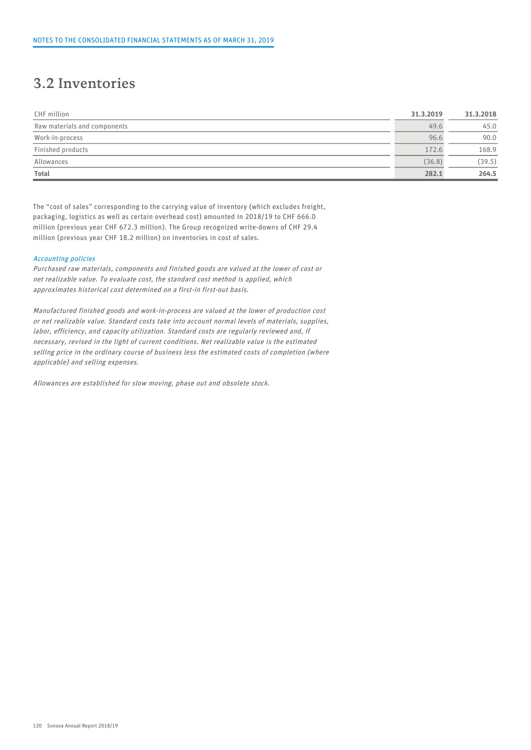### 3.2 Inventories

| CHF million                  | 31.3.2019 | 31.3.2018 |  |
|------------------------------|-----------|-----------|--|
| Raw materials and components | 49.6      | 45.0      |  |
| Work-in-process              | 96.6      | 90.0      |  |
| Finished products            | 172.6     | 168.9     |  |
| Allowances                   | (36.8)    | (39.5)    |  |
| <b>Total</b>                 | 282.1     | 264.5     |  |

The "cost of sales" corresponding to the carrying value of inventory (which excludes freight, packaging, logistics as well as certain overhead cost) amounted in 2018/19 to CHF 666.0 million (previous year CHF 672.3 million). The Group recognized write-downs of CHF 29.4 million (previous year CHF 18.2 million) on inventories in cost of sales.

#### Accounting policies

Purchased raw materials, components and finished goods are valued at the lower of cost or net realizable value. To evaluate cost, the standard cost method is applied, which approximates historical cost determined on a first-in first-out basis.

Manufactured finished goods and work-in-process are valued at the lower of production cost or net realizable value. Standard costs take into account normal levels of materials, supplies, labor, efficiency, and capacity utilization. Standard costs are regularly reviewed and, if necessary, revised in the light of current conditions. Net realizable value is the estimated selling price in the ordinary course of business less the estimated costs of completion (where applicable) and selling expenses.

Allowances are established for slow moving, phase out and obsolete stock.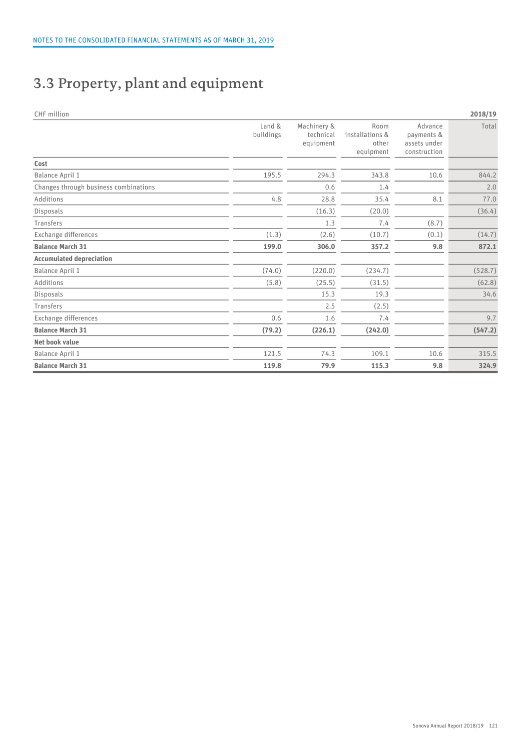## 3.3 Property, plant and equipment

| CHF million                           |                     |                                       |                                               |                                                       | 2018/19 |
|---------------------------------------|---------------------|---------------------------------------|-----------------------------------------------|-------------------------------------------------------|---------|
|                                       | Land &<br>buildings | Machinery &<br>technical<br>equipment | Room<br>installations &<br>other<br>equipment | Advance<br>payments &<br>assets under<br>construction | Total   |
| Cost                                  |                     |                                       |                                               |                                                       |         |
| Balance April 1                       | 195.5               | 294.3                                 | 343.8                                         | 10.6                                                  | 844.2   |
| Changes through business combinations |                     | 0.6                                   | 1.4                                           |                                                       | 2.0     |
| Additions                             | 4.8                 | 28.8                                  | 35.4                                          | 8.1                                                   | 77.0    |
| Disposals                             |                     | (16.3)                                | (20.0)                                        |                                                       | (36.4)  |
| Transfers                             |                     | 1.3                                   | 7.4                                           | (8.7)                                                 |         |
| Exchange differences                  | (1.3)               | (2.6)                                 | (10.7)                                        | (0.1)                                                 | (14.7)  |
| <b>Balance March 31</b>               | 199.0               | 306.0                                 | 357.2                                         | 9.8                                                   | 872.1   |
| <b>Accumulated depreciation</b>       |                     |                                       |                                               |                                                       |         |
| Balance April 1                       | (74.0)              | (220.0)                               | (234.7)                                       |                                                       | (528.7) |
| Additions                             | (5.8)               | (25.5)                                | (31.5)                                        |                                                       | (62.8)  |
| Disposals                             |                     | 15.3                                  | 19.3                                          |                                                       | 34.6    |
| Transfers                             |                     | 2.5                                   | (2.5)                                         |                                                       |         |
| Exchange differences                  | 0.6                 | 1.6                                   | 7.4                                           |                                                       | 9.7     |
| <b>Balance March 31</b>               | (79.2)              | (226.1)                               | (242.0)                                       |                                                       | (547.2) |
| Net book value                        |                     |                                       |                                               |                                                       |         |
| Balance April 1                       | 121.5               | 74.3                                  | 109.1                                         | 10.6                                                  | 315.5   |
| <b>Balance March 31</b>               | 119.8               | 79.9                                  | 115.3                                         | 9.8                                                   | 324.9   |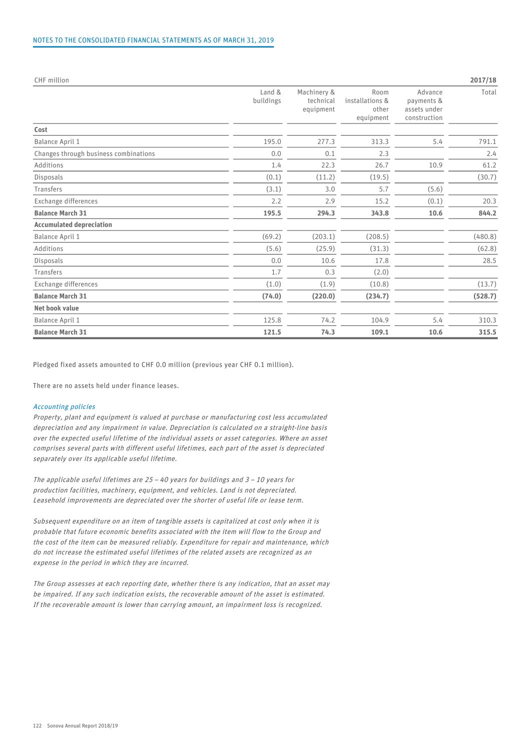| CHF million                           |                     |                                       |                                               |                                                       | 2017/18 |
|---------------------------------------|---------------------|---------------------------------------|-----------------------------------------------|-------------------------------------------------------|---------|
|                                       | Land &<br>buildings | Machinery &<br>technical<br>equipment | Room<br>installations &<br>other<br>equipment | Advance<br>payments &<br>assets under<br>construction | Total   |
| Cost                                  |                     |                                       |                                               |                                                       |         |
| Balance April 1                       | 195.0               | 277.3                                 | 313.3                                         | 5.4                                                   | 791.1   |
| Changes through business combinations | 0.0                 | 0.1                                   | 2.3                                           |                                                       | 2.4     |
| Additions                             | 1.4                 | 22.3                                  | 26.7                                          | 10.9                                                  | 61.2    |
| Disposals                             | (0.1)               | (11.2)                                | (19.5)                                        |                                                       | (30.7)  |
| Transfers                             | (3.1)               | 3.0                                   | 5.7                                           | (5.6)                                                 |         |
| Exchange differences                  | 2.2                 | 2.9                                   | 15.2                                          | (0.1)                                                 | 20.3    |
| <b>Balance March 31</b>               | 195.5               | 294.3                                 | 343.8                                         | 10.6                                                  | 844.2   |
| <b>Accumulated depreciation</b>       |                     |                                       |                                               |                                                       |         |
| Balance April 1                       | (69.2)              | (203.1)                               | (208.5)                                       |                                                       | (480.8) |
| Additions                             | (5.6)               | (25.9)                                | (31.3)                                        |                                                       | (62.8)  |
| Disposals                             | 0.0                 | 10.6                                  | 17.8                                          |                                                       | 28.5    |
| Transfers                             | 1.7                 | 0.3                                   | (2.0)                                         |                                                       |         |
| Exchange differences                  | (1.0)               | (1.9)                                 | (10.8)                                        |                                                       | (13.7)  |
| <b>Balance March 31</b>               | (74.0)              | (220.0)                               | (234.7)                                       |                                                       | (528.7) |
| Net book value                        |                     |                                       |                                               |                                                       |         |
| Balance April 1                       | 125.8               | 74.2                                  | 104.9                                         | 5.4                                                   | 310.3   |
| <b>Balance March 31</b>               | 121.5               | 74.3                                  | 109.1                                         | 10.6                                                  | 315.5   |

Pledged fixed assets amounted to CHF 0.0 million (previous year CHF 0.1 million).

There are no assets held under finance leases.

#### Accounting policies

Property, plant and equipment is valued at purchase or manufacturing cost less accumulated depreciation and any impairment in value. Depreciation is calculated on a straight-line basis over the expected useful lifetime of the individual assets or asset categories. Where an asset comprises several parts with different useful lifetimes, each part of the asset is depreciated separately over its applicable useful lifetime.

The applicable useful lifetimes are  $25 - 40$  years for buildings and  $3 - 10$  years for production facilities, machinery, equipment, and vehicles. Land is not depreciated. Leasehold improvements are depreciated over the shorter of useful life or lease term.

Subsequent expenditure on an item of tangible assets is capitalized at cost only when it is probable that future economic benefits associated with the item will flow to the Group and the cost of the item can be measured reliably. Expenditure for repair and maintenance, which do not increase the estimated useful lifetimes of the related assets are recognized as an expense in the period in which they are incurred.

The Group assesses at each reporting date, whether there is any indication, that an asset may be impaired. If any such indication exists, the recoverable amount of the asset is estimated. If the recoverable amount is lower than carrying amount, an impairment loss is recognized.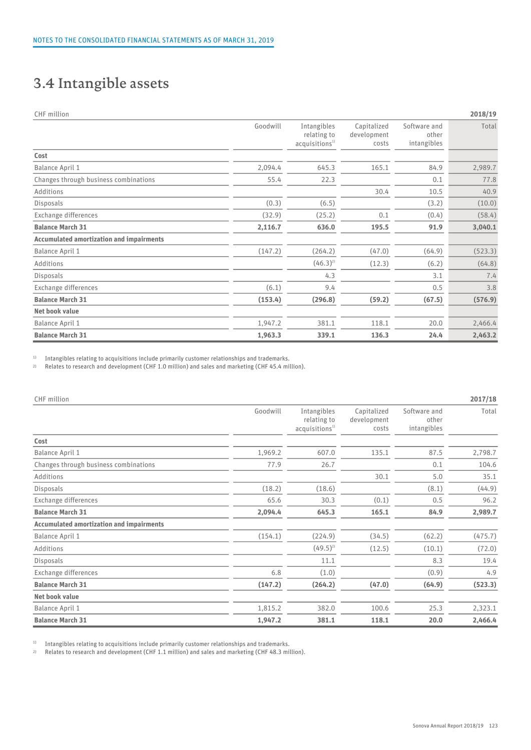## 3.4 Intangible assets

| CHF million                                     |          |                                                          |                                     |                                      | 2018/19 |
|-------------------------------------------------|----------|----------------------------------------------------------|-------------------------------------|--------------------------------------|---------|
|                                                 | Goodwill | Intangibles<br>relating to<br>acquisitions <sup>1)</sup> | Capitalized<br>development<br>costs | Software and<br>other<br>intangibles | Total   |
| Cost                                            |          |                                                          |                                     |                                      |         |
| Balance April 1                                 | 2,094.4  | 645.3                                                    | 165.1                               | 84.9                                 | 2,989.7 |
| Changes through business combinations           | 55.4     | 22.3                                                     |                                     | 0.1                                  | 77.8    |
| Additions                                       |          |                                                          | 30.4                                | 10.5                                 | 40.9    |
| Disposals                                       | (0.3)    | (6.5)                                                    |                                     | (3.2)                                | (10.0)  |
| Exchange differences                            | (32.9)   | (25.2)                                                   | 0.1                                 | (0.4)                                | (58.4)  |
| <b>Balance March 31</b>                         | 2,116.7  | 636.0                                                    | 195.5                               | 91.9                                 | 3,040.1 |
| <b>Accumulated amortization and impairments</b> |          |                                                          |                                     |                                      |         |
| Balance April 1                                 | (147.2)  | (264.2)                                                  | (47.0)                              | (64.9)                               | (523.3) |
| Additions                                       |          | $(46.3)^{2}$                                             | (12.3)                              | (6.2)                                | (64.8)  |
| Disposals                                       |          | 4.3                                                      |                                     | 3.1                                  | 7.4     |
| Exchange differences                            | (6.1)    | 9.4                                                      |                                     | 0.5                                  | 3.8     |
| <b>Balance March 31</b>                         | (153.4)  | (296.8)                                                  | (59.2)                              | (67.5)                               | (576.9) |
| Net book value                                  |          |                                                          |                                     |                                      |         |
| Balance April 1                                 | 1,947.2  | 381.1                                                    | 118.1                               | 20.0                                 | 2,466.4 |
| <b>Balance March 31</b>                         | 1,963.3  | 339.1                                                    | 136.3                               | 24.4                                 | 2,463.2 |

<sup>1)</sup> Intangibles relating to acquisitions include primarily customer relationships and trademarks.

2) Relates to research and development (CHF 1.0 million) and sales and marketing (CHF 45.4 million).

| CHF million                                     |          |                                                          |                                     |                                      | 2017/18 |
|-------------------------------------------------|----------|----------------------------------------------------------|-------------------------------------|--------------------------------------|---------|
|                                                 | Goodwill | Intangibles<br>relating to<br>acquisitions <sup>1)</sup> | Capitalized<br>development<br>costs | Software and<br>other<br>intangibles | Total   |
| Cost                                            |          |                                                          |                                     |                                      |         |
| Balance April 1                                 | 1,969.2  | 607.0                                                    | 135.1                               | 87.5                                 | 2,798.7 |
| Changes through business combinations           | 77.9     | 26.7                                                     |                                     | 0.1                                  | 104.6   |
| Additions                                       |          |                                                          | 30.1                                | 5.0                                  | 35.1    |
| Disposals                                       | (18.2)   | (18.6)                                                   |                                     | (8.1)                                | (44.9)  |
| Exchange differences                            | 65.6     | 30.3                                                     | (0.1)                               | 0.5                                  | 96.2    |
| <b>Balance March 31</b>                         | 2,094.4  | 645.3                                                    | 165.1                               | 84.9                                 | 2,989.7 |
| <b>Accumulated amortization and impairments</b> |          |                                                          |                                     |                                      |         |
| Balance April 1                                 | (154.1)  | (224.9)                                                  | (34.5)                              | (62.2)                               | (475.7) |
| Additions                                       |          | $(49.5)^{2}$                                             | (12.5)                              | (10.1)                               | (72.0)  |
| Disposals                                       |          | 11.1                                                     |                                     | 8.3                                  | 19.4    |
| Exchange differences                            | 6.8      | (1.0)                                                    |                                     | (0.9)                                | 4.9     |
| <b>Balance March 31</b>                         | (147.2)  | (264.2)                                                  | (47.0)                              | (64.9)                               | (523.3) |
| Net book value                                  |          |                                                          |                                     |                                      |         |
| Balance April 1                                 | 1,815.2  | 382.0                                                    | 100.6                               | 25.3                                 | 2,323.1 |
| <b>Balance March 31</b>                         | 1,947.2  | 381.1                                                    | 118.1                               | 20.0                                 | 2,466.4 |

<sup>1)</sup> Intangibles relating to acquisitions include primarily customer relationships and trademarks.

2) Relates to research and development (CHF 1.1 million) and sales and marketing (CHF 48.3 million).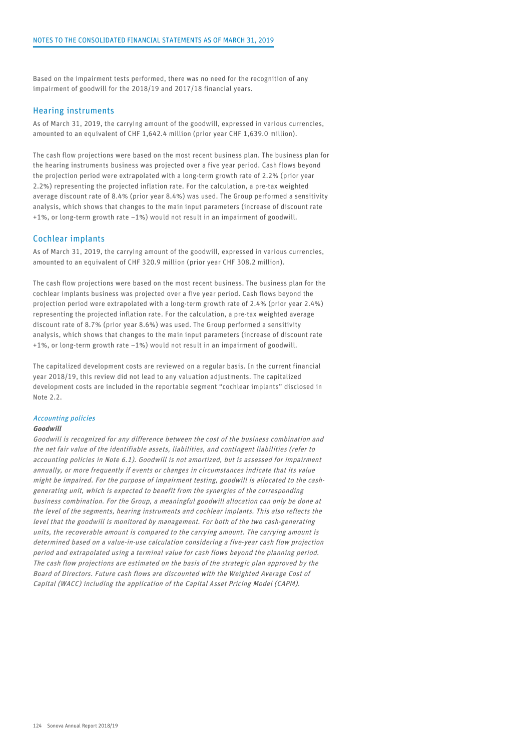Based on the impairment tests performed, there was no need for the recognition of any impairment of goodwill for the 2018/19 and 2017/18 financial years.

#### Hearing instruments

As of March 31, 2019, the carrying amount of the goodwill, expressed in various currencies, amounted to an equivalent of CHF 1,642.4 million (prior year CHF 1,639.0 million).

The cash flow projections were based on the most recent business plan. The business plan for the hearing instruments business was projected over a five year period. Cash flows beyond the projection period were extrapolated with a long-term growth rate of 2.2% (prior year 2.2%) representing the projected inflation rate. For the calculation, a pre-tax weighted average discount rate of 8.4% (prior year 8.4%) was used. The Group performed a sensitivity analysis, which shows that changes to the main input parameters (increase of discount rate +1%, or long-term growth rate –1%) would not result in an impairment of goodwill.

#### Cochlear implants

As of March 31, 2019, the carrying amount of the goodwill, expressed in various currencies, amounted to an equivalent of CHF 320.9 million (prior year CHF 308.2 million).

The cash flow projections were based on the most recent business. The business plan for the cochlear implants business was projected over a five year period. Cash flows beyond the projection period were extrapolated with a long-term growth rate of 2.4% (prior year 2.4%) representing the projected inflation rate. For the calculation, a pre-tax weighted average discount rate of 8.7% (prior year 8.6%) was used. The Group performed a sensitivity analysis, which shows that changes to the main input parameters (increase of discount rate +1%, or long-term growth rate –1%) would not result in an impairment of goodwill.

The capitalized development costs are reviewed on a regular basis. In the current financial year 2018/19, this review did not lead to any valuation adjustments. The capitalized development costs are included in the reportable segment "cochlear implants" disclosed in Note 2.2.

#### Accounting policies

#### Goodwill

Goodwill is recognized for any difference between the cost of the business combination and the net fair value of the identifiable assets, liabilities, and contingent liabilities (refer to accounting policies in Note 6.1). Goodwill is not amortized, but is assessed for impairment annually, or more frequently if events or changes in circumstances indicate that its value might be impaired. For the purpose of impairment testing, goodwill is allocated to the cashgenerating unit, which is expected to benefit from the synergies of the corresponding business combination. For the Group, a meaningful goodwill allocation can only be done at the level of the segments, hearing instruments and cochlear implants. This also reflects the level that the goodwill is monitored by management. For both of the two cash-generating units, the recoverable amount is compared to the carrying amount. The carrying amount is determined based on a value-in-use calculation considering a five-year cash flow projection period and extrapolated using a terminal value for cash flows beyond the planning period. The cash flow projections are estimated on the basis of the strategic plan approved by the Board of Directors. Future cash flows are discounted with the Weighted Average Cost of Capital (WACC) including the application of the Capital Asset Pricing Model (CAPM).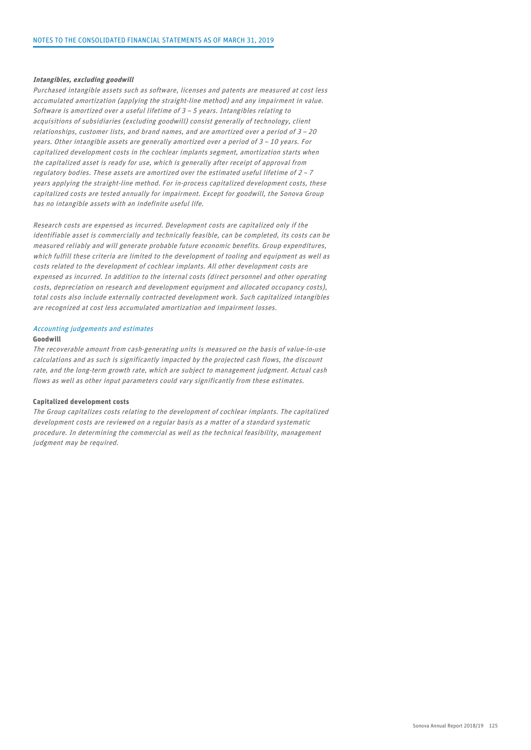#### Intangibles, excluding goodwill

Purchased intangible assets such as software, licenses and patents are measured at cost less accumulated amortization (applying the straight-line method) and any impairment in value. Software is amortized over a useful lifetime of 3 – 5 years. Intangibles relating to acquisitions of subsidiaries (excluding goodwill) consist generally of technology, client relationships, customer lists, and brand names, and are amortized over a period of 3 – 20 years. Other intangible assets are generally amortized over a period of 3 – 10 years. For capitalized development costs in the cochlear implants segment, amortization starts when the capitalized asset is ready for use, which is generally after receipt of approval from regulatory bodies. These assets are amortized over the estimated useful lifetime of 2 – 7 years applying the straight-line method. For in-process capitalized development costs, these capitalized costs are tested annually for impairment. Except for goodwill, the Sonova Group has no intangible assets with an indefinite useful life.

Research costs are expensed as incurred. Development costs are capitalized only if the identifiable asset is commercially and technically feasible, can be completed, its costs can be measured reliably and will generate probable future economic benefits. Group expenditures, which fulfill these criteria are limited to the development of tooling and equipment as well as costs related to the development of cochlear implants. All other development costs are expensed as incurred. In addition to the internal costs (direct personnel and other operating costs, depreciation on research and development equipment and allocated occupancy costs), total costs also include externally contracted development work. Such capitalized intangibles are recognized at cost less accumulated amortization and impairment losses.

#### Accounting judgements and estimates

#### Goodwill

The recoverable amount from cash-generating units is measured on the basis of value-in-use calculations and as such is significantly impacted by the projected cash flows, the discount rate, and the long-term growth rate, which are subject to management judgment. Actual cash flows as well as other input parameters could vary significantly from these estimates.

#### Capitalized development costs

The Group capitalizes costs relating to the development of cochlear implants. The capitalized development costs are reviewed on a regular basis as a matter of a standard systematic procedure. In determining the commercial as well as the technical feasibility, management judgment may be required.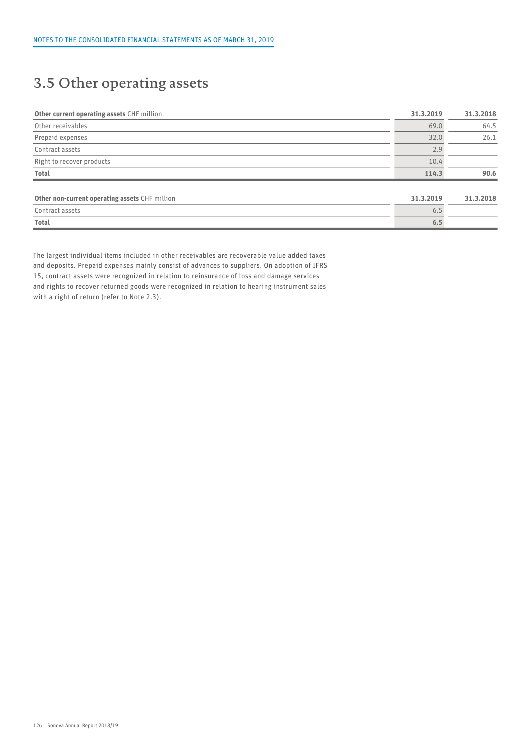### 3.5 Other operating assets

| Other current operating assets CHF million     | 31.3.2019 | 31.3.2018 |  |
|------------------------------------------------|-----------|-----------|--|
| Other receivables                              | 69.0      | 64.5      |  |
| Prepaid expenses                               | 32.0      | 26.1      |  |
| Contract assets                                | 2.9       |           |  |
| Right to recover products                      | 10.4      |           |  |
| Total                                          | 114.3     | 90.6      |  |
|                                                |           |           |  |
| Other non-current operating assets CHF million | 31.3.2019 | 31.3.2018 |  |
| Contract assets                                | 6.5       |           |  |
| <b>Total</b>                                   | 6.5       |           |  |

The largest individual items included in other receivables are recoverable value added taxes and deposits. Prepaid expenses mainly consist of advances to suppliers. On adoption of IFRS 15, contract assets were recognized in relation to reinsurance of loss and damage services and rights to recover returned goods were recognized in relation to hearing instrument sales with a right of return (refer to Note 2.3).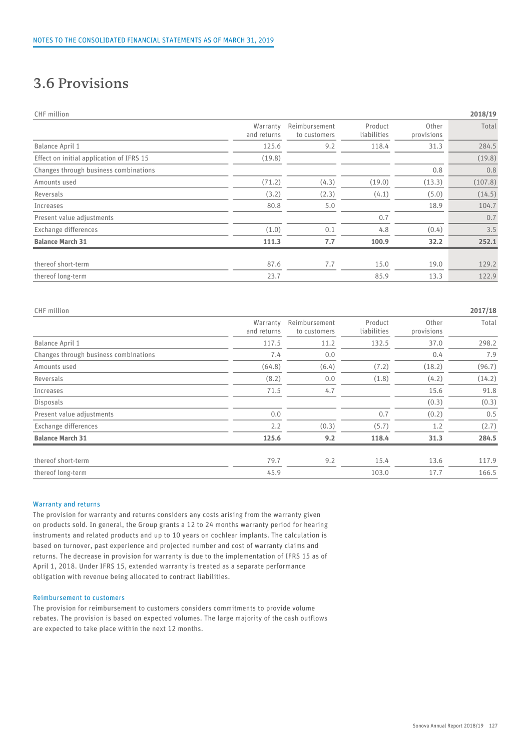### 3.6 Provisions

| CHF million |  |
|-------------|--|
|             |  |
|             |  |

| CHF million                              |                         |                               |                        |                     | 2018/19 |
|------------------------------------------|-------------------------|-------------------------------|------------------------|---------------------|---------|
|                                          | Warranty<br>and returns | Reimbursement<br>to customers | Product<br>liabilities | Other<br>provisions | Total   |
| Balance April 1                          | 125.6                   | 9.2                           | 118.4                  | 31.3                | 284.5   |
| Effect on initial application of IFRS 15 | (19.8)                  |                               |                        |                     | (19.8)  |
| Changes through business combinations    |                         |                               |                        | 0.8                 | 0.8     |
| Amounts used                             | (71.2)                  | (4.3)                         | (19.0)                 | (13.3)              | (107.8) |
| Reversals                                | (3.2)                   | (2.3)                         | (4.1)                  | (5.0)               | (14.5)  |
| Increases                                | 80.8                    | 5.0                           |                        | 18.9                | 104.7   |
| Present value adjustments                |                         |                               | 0.7                    |                     | 0.7     |
| Exchange differences                     | (1.0)                   | 0.1                           | 4.8                    | (0.4)               | 3.5     |
| <b>Balance March 31</b>                  | 111.3                   | 7.7                           | 100.9                  | 32.2                | 252.1   |
| thereof short-term                       | 87.6                    | 7.7                           | 15.0                   | 19.0                | 129.2   |
| thereof long-term                        | 23.7                    |                               | 85.9                   | 13.3                | 122.9   |
|                                          |                         |                               |                        |                     |         |

| CHF million                           |                         |                               |                        |                     | 2017/18 |
|---------------------------------------|-------------------------|-------------------------------|------------------------|---------------------|---------|
|                                       | Warranty<br>and returns | Reimbursement<br>to customers | Product<br>liabilities | Other<br>provisions | Total   |
| Balance April 1                       | 117.5                   | 11.2                          | 132.5                  | 37.0                | 298.2   |
| Changes through business combinations | 7.4                     | 0.0                           |                        | 0.4                 | 7.9     |
| Amounts used                          | (64.8)                  | (6.4)                         | (7.2)                  | (18.2)              | (96.7)  |
| Reversals                             | (8.2)                   | 0.0                           | (1.8)                  | (4.2)               | (14.2)  |
| Increases                             | 71.5                    | 4.7                           |                        | 15.6                | 91.8    |
| Disposals                             |                         |                               |                        | (0.3)               | (0.3)   |
| Present value adjustments             | 0.0                     |                               | 0.7                    | (0.2)               | 0.5     |
| Exchange differences                  | 2.2                     | (0.3)                         | (5.7)                  | 1.2                 | (2.7)   |
| <b>Balance March 31</b>               | 125.6                   | 9.2                           | 118.4                  | 31.3                | 284.5   |
| thereof short-term                    | 79.7                    | 9.2                           | 15.4                   | 13.6                | 117.9   |
| thereof long-term                     | 45.9                    |                               | 103.0                  | 17.7                | 166.5   |

#### Warranty and returns

The provision for warranty and returns considers any costs arising from the warranty given on products sold. In general, the Group grants a 12 to 24 months warranty period for hearing instruments and related products and up to 10 years on cochlear implants. The calculation is based on turnover, past experience and projected number and cost of warranty claims and returns. The decrease in provision for warranty is due to the implementation of IFRS 15 as of April 1, 2018. Under IFRS 15, extended warranty is treated as a separate performance obligation with revenue being allocated to contract liabilities.

#### Reimbursement to customers

The provision for reimbursement to customers considers commitments to provide volume rebates. The provision is based on expected volumes. The large majority of the cash outflows are expected to take place within the next 12 months.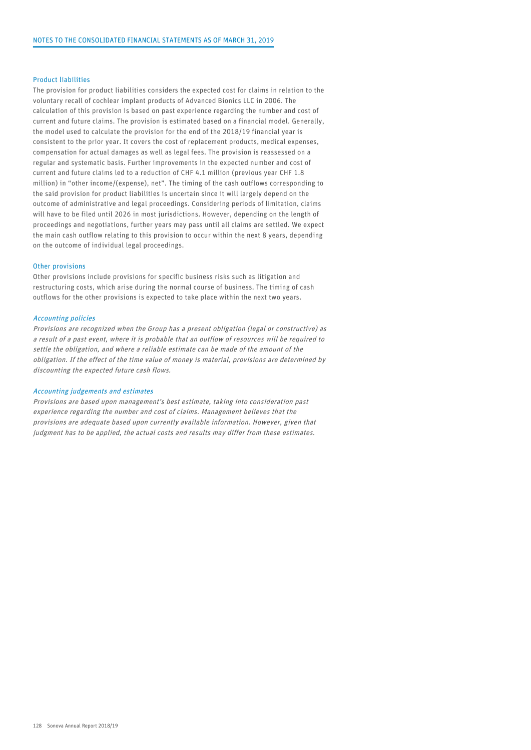#### Product liabilities

The provision for product liabilities considers the expected cost for claims in relation to the voluntary recall of cochlear implant products of Advanced Bionics LLC in 2006. The calculation of this provision is based on past experience regarding the number and cost of current and future claims. The provision is estimated based on a financial model. Generally, the model used to calculate the provision for the end of the 2018/19 financial year is consistent to the prior year. It covers the cost of replacement products, medical expenses, compensation for actual damages as well as legal fees. The provision is reassessed on a regular and systematic basis. Further improvements in the expected number and cost of current and future claims led to a reduction of CHF 4.1 million (previous year CHF 1.8 million) in "other income/(expense), net". The timing of the cash outflows corresponding to the said provision for product liabilities is uncertain since it will largely depend on the outcome of administrative and legal proceedings. Considering periods of limitation, claims will have to be filed until 2026 in most jurisdictions. However, depending on the length of proceedings and negotiations, further years may pass until all claims are settled. We expect the main cash outflow relating to this provision to occur within the next 8 years, depending on the outcome of individual legal proceedings.

#### Other provisions

Other provisions include provisions for specific business risks such as litigation and restructuring costs, which arise during the normal course of business. The timing of cash outflows for the other provisions is expected to take place within the next two years.

#### Accounting policies

Provisions are recognized when the Group has a present obligation (legal or constructive) as a result of a past event, where it is probable that an outflow of resources will be required to settle the obligation, and where a reliable estimate can be made of the amount of the obligation. If the effect of the time value of money is material, provisions are determined by discounting the expected future cash flows.

#### Accounting judgements and estimates

Provisions are based upon management's best estimate, taking into consideration past experience regarding the number and cost of claims. Management believes that the provisions are adequate based upon currently available information. However, given that judgment has to be applied, the actual costs and results may differ from these estimates.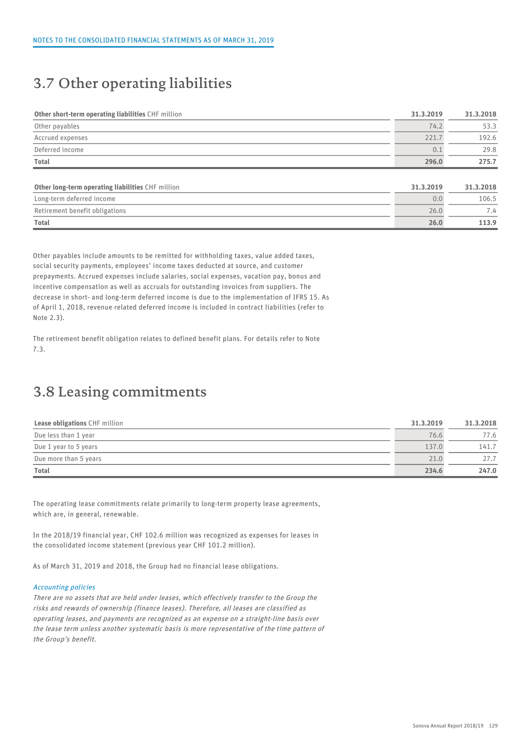### 3.7 Other operating liabilities

| Other short-term operating liabilities CHF million | 31.3.2019 | 31.3.2018 |
|----------------------------------------------------|-----------|-----------|
| Other payables                                     | 74.2      | 53.3      |
| Accrued expenses                                   | 221.7     | 192.6     |
| Deferred income                                    | 0.1       | 29.8      |
| <b>Total</b>                                       | 296.0     | 275.7     |
|                                                    |           |           |
| Other long-term operating liabilities CHF million  | 31.3.2019 | 31.3.2018 |
| Long-term deferred income                          | 0.0       | 106.5     |
| Retirement benefit obligations                     | 26.0      | 7.4       |
| <b>Total</b>                                       | 26.0      | 113.9     |

Other payables include amounts to be remitted for withholding taxes, value added taxes, social security payments, employees' income taxes deducted at source, and customer prepayments. Accrued expenses include salaries, social expenses, vacation pay, bonus and incentive compensation as well as accruals for outstanding invoices from suppliers. The decrease in short- and long-term deferred income is due to the implementation of IFRS 15. As of April 1, 2018, revenue related deferred income is included in contract liabilities (refer to Note 2.3).

The retirement benefit obligation relates to defined benefit plans. For details refer to Note 7.3.

### 3.8 Leasing commitments

| <b>Lease obligations CHF million</b> | 31.3.2019 | 31.3.2018 |  |
|--------------------------------------|-----------|-----------|--|
| Due less than 1 year                 | 76.6      | 77.6      |  |
| Due 1 year to 5 years                | 137.0     | 141.7     |  |
| Due more than 5 years                | 21.0      | 27.7      |  |
| <b>Total</b>                         | 234.6     | 247.0     |  |

The operating lease commitments relate primarily to long-term property lease agreements, which are, in general, renewable.

In the 2018/19 financial year, CHF 102.6 million was recognized as expenses for leases in the consolidated income statement (previous year CHF 101.2 million).

As of March 31, 2019 and 2018, the Group had no financial lease obligations.

#### Accounting policies

There are no assets that are held under leases, which effectively transfer to the Group the risks and rewards of ownership (finance leases). Therefore, all leases are classified as operating leases, and payments are recognized as an expense on a straight-line basis over the lease term unless another systematic basis is more representative of the time pattern of the Group's benefit.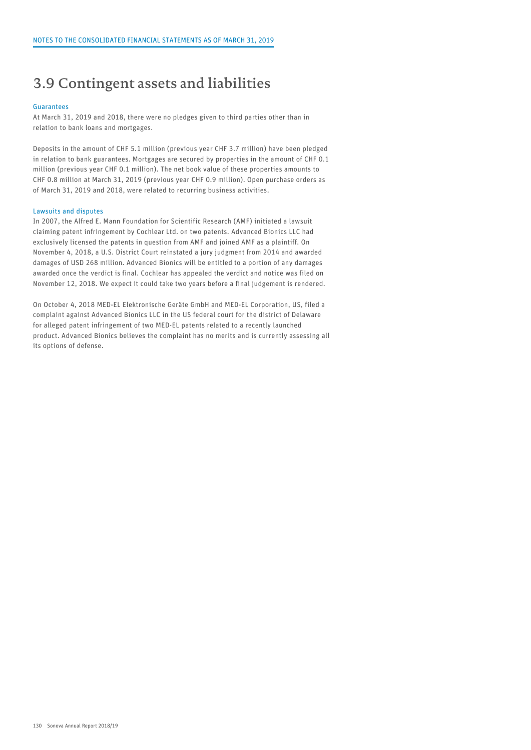### 3.9 Contingent assets and liabilities

#### Guarantees

At March 31, 2019 and 2018, there were no pledges given to third parties other than in relation to bank loans and mortgages.

Deposits in the amount of CHF 5.1 million (previous year CHF 3.7 million) have been pledged in relation to bank guarantees. Mortgages are secured by properties in the amount of CHF 0.1 million (previous year CHF 0.1 million). The net book value of these properties amounts to CHF 0.8 million at March 31, 2019 (previous year CHF 0.9 million). Open purchase orders as of March 31, 2019 and 2018, were related to recurring business activities.

#### Lawsuits and disputes

In 2007, the Alfred E. Mann Foundation for Scientific Research (AMF) initiated a lawsuit claiming patent infringement by Cochlear Ltd. on two patents. Advanced Bionics LLC had exclusively licensed the patents in question from AMF and joined AMF as a plaintiff. On November 4, 2018, a U.S. District Court reinstated a jury judgment from 2014 and awarded damages of USD 268 million. Advanced Bionics will be entitled to a portion of any damages awarded once the verdict is final. Cochlear has appealed the verdict and notice was filed on November 12, 2018. We expect it could take two years before a final judgement is rendered.

On October 4, 2018 MED-EL Elektronische Geräte GmbH and MED-EL Corporation, US, filed a complaint against Advanced Bionics LLC in the US federal court for the district of Delaware for alleged patent infringement of two MED-EL patents related to a recently launched product. Advanced Bionics believes the complaint has no merits and is currently assessing all its options of defense.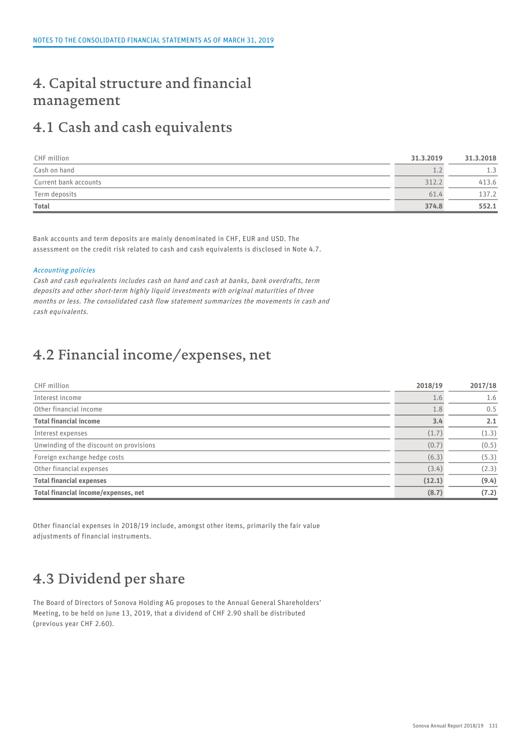### 4. Capital structure and financial management

### 4.1 Cash and cash equivalents

| CHF million           | 31.3.2019 | 31.3.2018 |  |
|-----------------------|-----------|-----------|--|
| Cash on hand          | als a     | 1.3       |  |
| Current bank accounts | 312.2     | 413.6     |  |
| Term deposits         | 61.4      | 137.2     |  |
| <b>Total</b>          | 374.8     | 552.1     |  |

Bank accounts and term deposits are mainly denominated in CHF, EUR and USD. The assessment on the credit risk related to cash and cash equivalents is disclosed in Note 4.7.

#### Accounting policies

Cash and cash equivalents includes cash on hand and cash at banks, bank overdrafts, term deposits and other short-term highly liquid investments with original maturities of three months or less. The consolidated cash flow statement summarizes the movements in cash and cash equivalents.

### 4.2 Financial income/expenses, net

| CHF million                             | 2018/19       | 2017/18 |  |
|-----------------------------------------|---------------|---------|--|
| Interest income                         | $1.6^{\circ}$ | 1.6     |  |
| Other financial income                  | 1.8           | 0.5     |  |
| <b>Total financial income</b>           | 3.4           | 2.1     |  |
| Interest expenses                       | (1.7)         | (1.3)   |  |
| Unwinding of the discount on provisions | (0.7)         | (0.5)   |  |
| Foreign exchange hedge costs            | (6.3)         | (5.3)   |  |
| Other financial expenses                | (3.4)         | (2.3)   |  |
| <b>Total financial expenses</b>         | (12.1)        | (9.4)   |  |
| Total financial income/expenses, net    | (8.7)         | (7.2)   |  |

Other financial expenses in 2018/19 include, amongst other items, primarily the fair value adjustments of financial instruments.

### 4.3 Dividend per share

The Board of Directors of Sonova Holding AG proposes to the Annual General Shareholders' Meeting, to be held on June 13, 2019, that a dividend of CHF 2.90 shall be distributed (previous year CHF 2.60).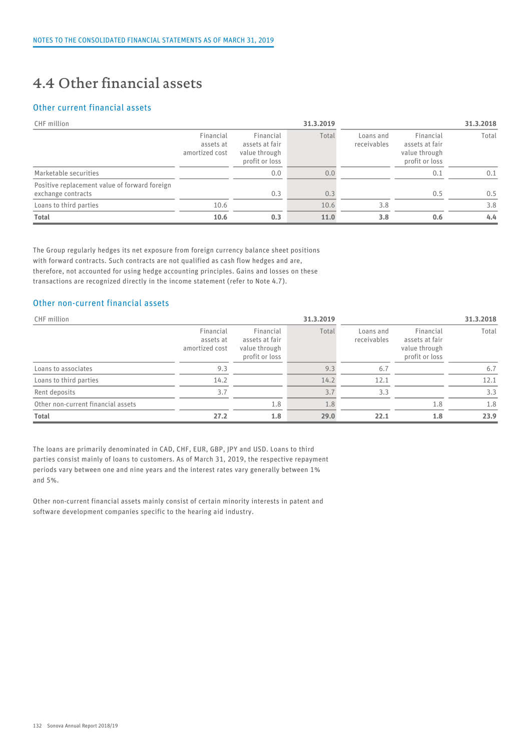## 4.4 Other financial assets

### Other current financial assets

| CHF million                                                         |                                          |                                                                | 31.3.2019 | 31.3.2018                |                                                                |       |
|---------------------------------------------------------------------|------------------------------------------|----------------------------------------------------------------|-----------|--------------------------|----------------------------------------------------------------|-------|
|                                                                     | Financial<br>assets at<br>amortized cost | Financial<br>assets at fair<br>value through<br>profit or loss | Total     | Loans and<br>receivables | Financial<br>assets at fair<br>value through<br>profit or loss | Total |
| Marketable securities                                               |                                          | 0.0                                                            | 0.0       |                          | 0.1                                                            | 0.1   |
| Positive replacement value of forward foreign<br>exchange contracts |                                          | 0.3                                                            | 0.3       |                          | 0.5                                                            | 0.5   |
| Loans to third parties                                              | 10.6                                     |                                                                | 10.6      | 3.8                      |                                                                | 3.8   |
| Total                                                               | 10.6                                     | 0.3                                                            | 11.0      | 3.8                      | 0.6                                                            | 4.4   |

The Group regularly hedges its net exposure from foreign currency balance sheet positions with forward contracts. Such contracts are not qualified as cash flow hedges and are, therefore, not accounted for using hedge accounting principles. Gains and losses on these transactions are recognized directly in the income statement (refer to Note 4.7).

### Other non-current financial assets

| CHF million                        |                                          |                                                                | 31.3.2019 |                          |                                                                |                  |  |
|------------------------------------|------------------------------------------|----------------------------------------------------------------|-----------|--------------------------|----------------------------------------------------------------|------------------|--|
|                                    | Financial<br>assets at<br>amortized cost | Financial<br>assets at fair<br>value through<br>profit or loss | Total     | Loans and<br>receivables | Financial<br>assets at fair<br>value through<br>profit or loss | Total            |  |
| Loans to associates                | 9.3                                      |                                                                | 9.3       | 6.7                      |                                                                | $6.\overline{7}$ |  |
| Loans to third parties             | 14.2                                     |                                                                | 14.2      | 12.1                     |                                                                | 12.1             |  |
| Rent deposits                      | 3.7                                      |                                                                |           | 3.3                      |                                                                | 3.3              |  |
| Other non-current financial assets |                                          | 1.8                                                            | 1.8       |                          | 1.8                                                            | 1.8              |  |
| <b>Total</b>                       | 27.2                                     | 1.8                                                            | 29.0      | 22.1                     | 1.8                                                            | 23.9             |  |

The loans are primarily denominated in CAD, CHF, EUR, GBP, JPY and USD. Loans to third parties consist mainly of loans to customers. As of March 31, 2019, the respective repayment periods vary between one and nine years and the interest rates vary generally between 1% and 5%.

Other non-current financial assets mainly consist of certain minority interests in patent and software development companies specific to the hearing aid industry.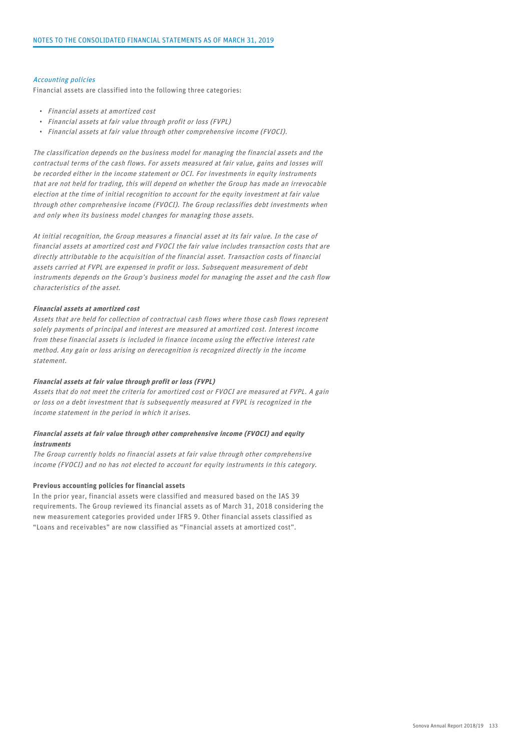#### Accounting policies

Financial assets are classified into the following three categories:

- Financial assets at amortized cost
- Financial assets at fair value through profit or loss (FVPL)
- Financial assets at fair value through other comprehensive income (FVOCI).

The classification depends on the business model for managing the financial assets and the contractual terms of the cash flows. For assets measured at fair value, gains and losses will be recorded either in the income statement or OCI. For investments in equity instruments that are not held for trading, this will depend on whether the Group has made an irrevocable election at the time of initial recognition to account for the equity investment at fair value through other comprehensive income (FVOCI). The Group reclassifies debt investments when and only when its business model changes for managing those assets.

At initial recognition, the Group measures a financial asset at its fair value. In the case of financial assets at amortized cost and FVOCI the fair value includes transaction costs that are directly attributable to the acquisition of the financial asset. Transaction costs of financial assets carried at FVPL are expensed in profit or loss. Subsequent measurement of debt instruments depends on the Group's business model for managing the asset and the cash flow characteristics of the asset.

#### Financial assets at amortized cost

Assets that are held for collection of contractual cash flows where those cash flows represent solely payments of principal and interest are measured at amortized cost. Interest income from these financial assets is included in finance income using the effective interest rate method. Any gain or loss arising on derecognition is recognized directly in the income statement.

#### Financial assets at fair value through profit or loss (FVPL)

Assets that do not meet the criteria for amortized cost or FVOCI are measured at FVPL. A gain or loss on a debt investment that is subsequently measured at FVPL is recognized in the income statement in the period in which it arises.

#### Financial assets at fair value through other comprehensive income (FVOCI) and equity instruments

The Group currently holds no financial assets at fair value through other comprehensive income (FVOCI) and no has not elected to account for equity instruments in this category.

#### Previous accounting policies for financial assets

In the prior year, financial assets were classified and measured based on the IAS 39 requirements. The Group reviewed its financial assets as of March 31, 2018 considering the new measurement categories provided under IFRS 9. Other financial assets classified as "Loans and receivables" are now classified as "Financial assets at amortized cost".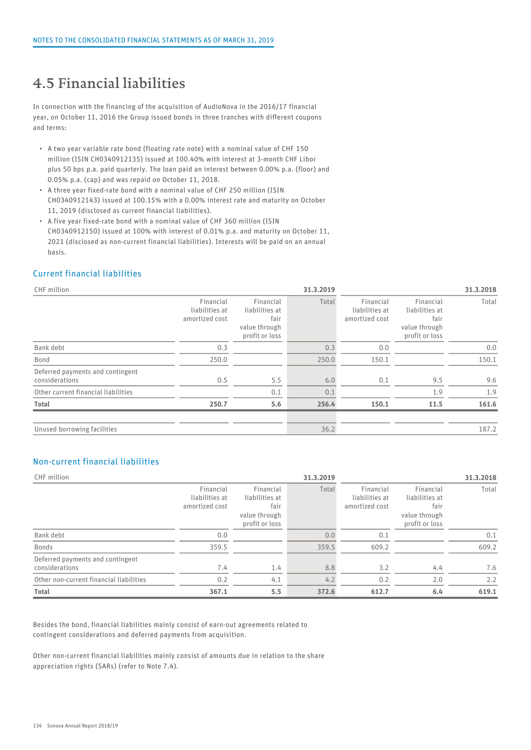### 4.5 Financial liabilities

In connection with the financing of the acquisition of AudioNova in the 2016/17 financial year, on October 11, 2016 the Group issued bonds in three tranches with different coupons and terms:

- A two year variable rate bond (floating rate note) with a nominal value of CHF 150 million (ISIN CH0340912135) issued at 100.40% with interest at 3-month CHF Libor plus 50 bps p.a. paid quarterly. The loan paid an interest between 0.00% p.a. (floor) and 0.05% p.a. (cap) and was repaid on October 11, 2018.
- A three year fixed-rate bond with a nominal value of CHF 250 million (ISIN CH0340912143) issued at 100.15% with a 0.00% interest rate and maturity on October 11, 2019 (disclosed as current financial liabilities).
- A five year fixed-rate bond with a nominal value of CHF 360 million (ISIN CH0340912150) issued at 100% with interest of 0.01% p.a. and maturity on October 11, 2021 (disclosed as non-current financial liabilities). Interests will be paid on an annual basis.

### Current financial liabilities

| CHF million                                        |                                               |                                                                        | 31.3.2019 |                                               | 31.3.2018                                                              |       |  |  |
|----------------------------------------------------|-----------------------------------------------|------------------------------------------------------------------------|-----------|-----------------------------------------------|------------------------------------------------------------------------|-------|--|--|
|                                                    | Financial<br>liabilities at<br>amortized cost | Financial<br>liabilities at<br>fair<br>value through<br>profit or loss | Total     | Financial<br>liabilities at<br>amortized cost | Financial<br>liabilities at<br>fair<br>value through<br>profit or loss | Total |  |  |
| Bank debt                                          | 0.3                                           |                                                                        | 0.3       | 0.0                                           |                                                                        | 0.0   |  |  |
| Bond                                               | 250.0                                         |                                                                        | 250.0     | 150.1                                         |                                                                        | 150.1 |  |  |
| Deferred payments and contingent<br>considerations | 0.5                                           | 5.5                                                                    | 6.0       | 0.1                                           | 9.5                                                                    | 9.6   |  |  |
| Other current financial liabilities                |                                               | 0.1                                                                    | 0.1       |                                               | 1.9                                                                    | 1.9   |  |  |
| Total                                              | 250.7                                         | 5.6                                                                    | 256.4     | 150.1                                         | 11.5                                                                   | 161.6 |  |  |
| Unused borrowing facilities                        |                                               |                                                                        | 36.2      |                                               |                                                                        | 187.2 |  |  |

### Non-current financial liabilities

| CHF million                                        |                                               |                                                                        | 31.3.2019 |                                               |                                                                        | 31.3.2018 |
|----------------------------------------------------|-----------------------------------------------|------------------------------------------------------------------------|-----------|-----------------------------------------------|------------------------------------------------------------------------|-----------|
|                                                    | Financial<br>liabilities at<br>amortized cost | Financial<br>liabilities at<br>fair<br>value through<br>profit or loss | Total     | Financial<br>liabilities at<br>amortized cost | Financial<br>liabilities at<br>fair<br>value through<br>profit or loss | Total     |
| Bank debt                                          | 0.0                                           |                                                                        | 0.0       | 0.1                                           |                                                                        | 0.1       |
| Bonds                                              | 359.5                                         |                                                                        | 359.5     | 609.2                                         |                                                                        | 609.2     |
| Deferred payments and contingent<br>considerations | 7.4                                           | 1.4                                                                    | 8.8       | 3.2                                           | 4.4                                                                    | 7.6       |
| Other non-current financial liabilities            | 0.2                                           | 4.1                                                                    | 4.2       | 0.2                                           | 2.0                                                                    | 2.2       |
| Total                                              | 367.1                                         | 5.5                                                                    | 372.6     | 612.7                                         | 6.4                                                                    | 619.1     |

Besides the bond, financial liabilities mainly consist of earn-out agreements related to contingent considerations and deferred payments from acquisition.

Other non-current financial liabilities mainly consist of amounts due in relation to the share appreciation rights (SARs) (refer to Note 7.4).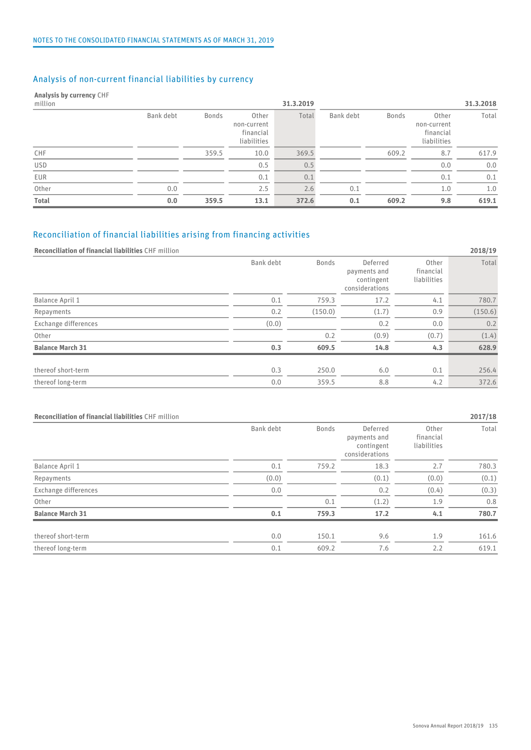### Analysis of non-current financial liabilities by currency

### Analysis by currency CHF

| million    |           |              |                                                  | 31.3.2019 |           |       |                                                  | 31.3.2018 |
|------------|-----------|--------------|--------------------------------------------------|-----------|-----------|-------|--------------------------------------------------|-----------|
|            | Bank debt | <b>Bonds</b> | Other<br>non-current<br>financial<br>liabilities | Total     | Bank debt | Bonds | Other<br>non-current<br>financial<br>liabilities | Total     |
| CHF        |           | 359.5        | 10.0                                             | 369.5     |           | 609.2 | 8.7                                              | 617.9     |
| <b>USD</b> |           |              | 0.5                                              | 0.5       |           |       | 0.0                                              | 0.0       |
| EUR        |           |              | 0.1                                              | 0.1       |           |       | 0.1                                              | 0.1       |
| Other      | 0.0       |              | 2.5                                              | 2.6       | 0.1       |       | 1.0                                              | 1.0       |
| Total      | 0.0       | 359.5        | 13.1                                             | 372.6     | 0.1       | 609.2 | 9.8                                              | 619.1     |

### Reconciliation of financial liabilities arising from financing activities

#### Reconciliation of financial liabilities CHF million 2018/19

| Total                                                                     | 0.0 | 359.5 | 13.1      | 372.6        | 0.1                                                      | 609.2<br>9.8                      | 619.1   |
|---------------------------------------------------------------------------|-----|-------|-----------|--------------|----------------------------------------------------------|-----------------------------------|---------|
|                                                                           |     |       |           |              |                                                          |                                   |         |
| Reconciliation of financial liabilities arising from financing activities |     |       |           |              |                                                          |                                   |         |
| Reconciliation of financial liabilities CHF million                       |     |       |           |              |                                                          |                                   | 2018/19 |
|                                                                           |     |       | Bank debt | Bonds        | Deferred<br>payments and<br>contingent<br>considerations | Other<br>financial<br>liabilities | Total   |
| Balance April 1                                                           |     |       | 0.1       | 759.3        | 17.2                                                     | 4.1                               | 780.7   |
| Repayments                                                                |     |       | 0.2       | (150.0)      | (1.7)                                                    | 0.9                               | (150.6) |
| Exchange differences                                                      |     |       | (0.0)     |              | 0.2                                                      | 0.0                               | 0.2     |
| Other                                                                     |     |       |           | 0.2          | (0.9)                                                    | (0.7)                             | (1.4)   |
| <b>Balance March 31</b>                                                   |     |       | 0.3       | 609.5        | 14.8                                                     | 4.3                               | 628.9   |
| thereof short-term                                                        |     |       | 0.3       | 250.0        | 6.0                                                      | 0.1                               | 256.4   |
| thereof long-term                                                         |     |       | 0.0       | 359.5        | 8.8                                                      | 4.2                               | 372.6   |
| Reconciliation of financial liabilities CHF million                       |     |       |           |              |                                                          |                                   | 2017/18 |
|                                                                           |     |       | Bank debt | <b>Bonds</b> | Deferred                                                 | Other                             | Total   |

| Reconciliation of financial liabilities CHF million |           |              |                                                          |                                   | 2017/18 |
|-----------------------------------------------------|-----------|--------------|----------------------------------------------------------|-----------------------------------|---------|
|                                                     | Bank debt | <b>Bonds</b> | Deferred<br>payments and<br>contingent<br>considerations | Other<br>financial<br>liabilities | Total   |
| Balance April 1                                     | 0.1       | 759.2        | 18.3                                                     | 2.7                               | 780.3   |
| Repayments                                          | (0.0)     |              | (0.1)                                                    | (0.0)                             | (0.1)   |
| Exchange differences                                | 0.0       |              | 0.2                                                      | (0.4)                             | (0.3)   |
| Other                                               |           | 0.1          | (1.2)                                                    | 1.9                               | 0.8     |
| <b>Balance March 31</b>                             | 0.1       | 759.3        | 17.2                                                     | 4.1                               | 780.7   |
| thereof short-term                                  | 0.0       | 150.1        | 9.6                                                      | 1.9                               | 161.6   |
| thereof long-term                                   | 0.1       | 609.2        | 7.6                                                      | 2.2                               | 619.1   |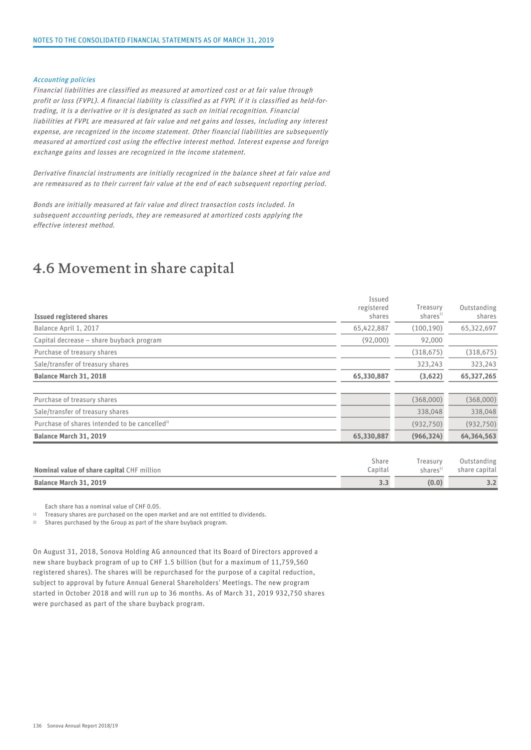#### Accounting policies

Financial liabilities are classified as measured at amortized cost or at fair value through profit or loss (FVPL). A financial liability is classified as at FVPL if it is classified as held-fortrading, it is a derivative or it is designated as such on initial recognition. Financial liabilities at FVPL are measured at fair value and net gains and losses, including any interest expense, are recognized in the income statement. Other financial liabilities are subsequently measured at amortized cost using the effective interest method. Interest expense and foreign exchange gains and losses are recognized in the income statement.

Derivative financial instruments are initially recognized in the balance sheet at fair value and are remeasured as to their current fair value at the end of each subsequent reporting period.

Bonds are initially measured at fair value and direct transaction costs included. In subsequent accounting periods, they are remeasured at amortized costs applying the effective interest method.

### 4.6 Movement in share capital

| Balance March 31, 2019                                    | 3.3                            | (0.0)                            | 3.2                          |
|-----------------------------------------------------------|--------------------------------|----------------------------------|------------------------------|
| Nominal value of share capital CHF million                | Share<br>Capital               | Treasury<br>shares <sup>1)</sup> | Outstanding<br>share capital |
| Balance March 31, 2019                                    | 65,330,887                     | (966, 324)                       | 64,364,563                   |
| Purchase of shares intended to be cancelled <sup>2)</sup> |                                | (932, 750)                       | (932, 750)                   |
| Sale/transfer of treasury shares                          |                                | 338,048                          | 338,048                      |
| Purchase of treasury shares                               |                                | (368,000)                        | (368,000)                    |
| Balance March 31, 2018                                    | 65,330,887                     | (3,622)                          | 65,327,265                   |
| Sale/transfer of treasury shares                          |                                | 323,243                          | 323,243                      |
| Purchase of treasury shares                               |                                | (318, 675)                       | (318, 675)                   |
| Capital decrease - share buyback program                  | (92,000)                       | 92,000                           |                              |
| Balance April 1, 2017                                     | 65,422,887                     | (100, 190)                       | 65,322,697                   |
| <b>Issued registered shares</b>                           | Issued<br>registered<br>shares | Treasury<br>shares <sup>1</sup>  | Outstanding<br>shares        |

Each share has a nominal value of CHF 0.05.

1) Treasury shares are purchased on the open market and are not entitled to dividends.

2) Shares purchased by the Group as part of the share buyback program.

On August 31, 2018, Sonova Holding AG announced that its Board of Directors approved a new share buyback program of up to CHF 1.5 billion (but for a maximum of 11,759,560 registered shares). The shares will be repurchased for the purpose of a capital reduction, subject to approval by future Annual General Shareholders' Meetings. The new program started in October 2018 and will run up to 36 months. As of March 31, 2019 932,750 shares were purchased as part of the share buyback program.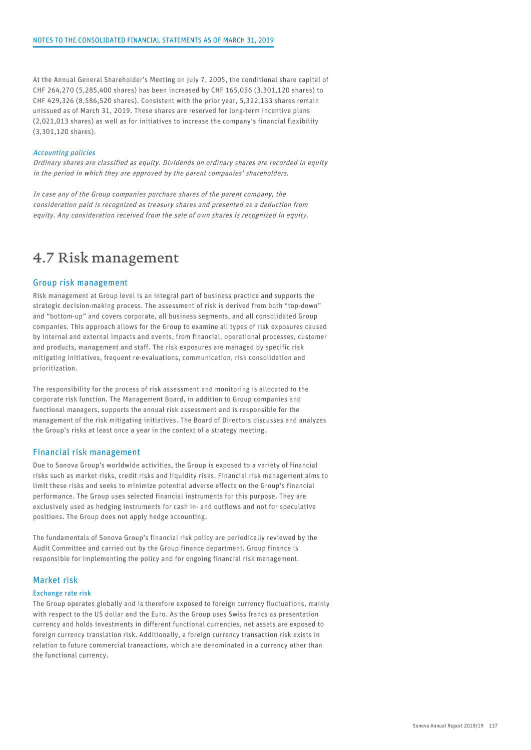At the Annual General Shareholder's Meeting on July 7, 2005, the conditional share capital of CHF 264,270 (5,285,400 shares) has been increased by CHF 165,056 (3,301,120 shares) to CHF 429,326 (8,586,520 shares). Consistent with the prior year, 5,322,133 shares remain unissued as of March 31, 2019. These shares are reserved for long-term incentive plans (2,021,013 shares) as well as for initiatives to increase the company's financial flexibility (3,301,120 shares).

#### Accounting policies

Ordinary shares are classified as equity. Dividends on ordinary shares are recorded in equity in the period in which they are approved by the parent companies' shareholders.

In case any of the Group companies purchase shares of the parent company, the consideration paid is recognized as treasury shares and presented as a deduction from equity. Any consideration received from the sale of own shares is recognized in equity.

### 4.7 Risk management

#### Group risk management

Risk management at Group level is an integral part of business practice and supports the strategic decision-making process. The assessment of risk is derived from both "top-down" and "bottom-up" and covers corporate, all business segments, and all consolidated Group companies. This approach allows for the Group to examine all types of risk exposures caused by internal and external impacts and events, from financial, operational processes, customer and products, management and staff. The risk exposures are managed by specific risk mitigating initiatives, frequent re-evaluations, communication, risk consolidation and prioritization.

The responsibility for the process of risk assessment and monitoring is allocated to the corporate risk function. The Management Board, in addition to Group companies and functional managers, supports the annual risk assessment and is responsible for the management of the risk mitigating initiatives. The Board of Directors discusses and analyzes the Group's risks at least once a year in the context of a strategy meeting.

#### Financial risk management

Due to Sonova Group's worldwide activities, the Group is exposed to a variety of financial risks such as market risks, credit risks and liquidity risks. Financial risk management aims to limit these risks and seeks to minimize potential adverse effects on the Group's financial performance. The Group uses selected financial instruments for this purpose. They are exclusively used as hedging instruments for cash in- and outflows and not for speculative positions. The Group does not apply hedge accounting.

The fundamentals of Sonova Group's financial risk policy are periodically reviewed by the Audit Committee and carried out by the Group finance department. Group finance is responsible for implementing the policy and for ongoing financial risk management.

#### Market risk

#### Exchange rate risk

The Group operates globally and is therefore exposed to foreign currency fluctuations, mainly with respect to the US dollar and the Euro. As the Group uses Swiss francs as presentation currency and holds investments in different functional currencies, net assets are exposed to foreign currency translation risk. Additionally, a foreign currency transaction risk exists in relation to future commercial transactions, which are denominated in a currency other than the functional currency.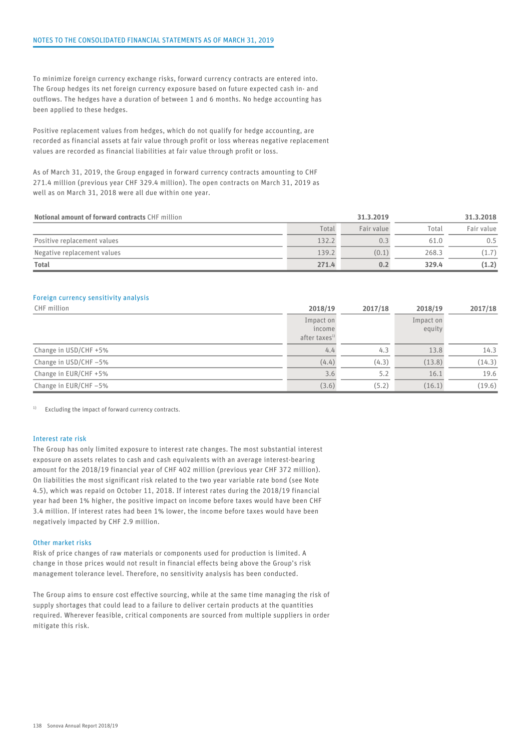To minimize foreign currency exchange risks, forward currency contracts are entered into. The Group hedges its net foreign currency exposure based on future expected cash in- and outflows. The hedges have a duration of between 1 and 6 months. No hedge accounting has been applied to these hedges.

Positive replacement values from hedges, which do not qualify for hedge accounting, are recorded as financial assets at fair value through profit or loss whereas negative replacement values are recorded as financial liabilities at fair value through profit or loss.

As of March 31, 2019, the Group engaged in forward currency contracts amounting to CHF 271.4 million (previous year CHF 329.4 million). The open contracts on March 31, 2019 as well as on March 31, 2018 were all due within one year.

| Notional amount of forward contracts CHF million |       | 31.3.2019  |       | 31.3.2018  |  |
|--------------------------------------------------|-------|------------|-------|------------|--|
|                                                  | Total | Fair value | Total | Fair value |  |
| Positive replacement values                      | 132.2 | 0.3        | 61.0  | 0.5        |  |
| Negative replacement values                      | 139.2 | (0.1)      | 268.3 | (1.7)      |  |
| <b>Total</b>                                     | 271.4 | 0.2        | 329.4 | (1.2)      |  |

#### Foreign currency sensitivity analysis

| CHF million           | 2018/19                   | 2017/18 | 2018/19   | 2017/18 |  |
|-----------------------|---------------------------|---------|-----------|---------|--|
|                       | Impact on                 |         | Impact on |         |  |
|                       | income                    |         | equity    |         |  |
|                       | after taxes <sup>1)</sup> |         |           |         |  |
| Change in USD/CHF +5% | 4.4                       | 4.3     | 13.8      | 14.3    |  |
| Change in USD/CHF-5%  | (4.4)                     | (4.3)   | (13.8)    | (14.3)  |  |
| Change in EUR/CHF +5% | 3.6                       | 5.2     | 16.1      | 19.6    |  |
| Change in EUR/CHF -5% | (3.6)                     | (5.2)   | (16.1)    | (19.6)  |  |

<sup>1)</sup> Excluding the impact of forward currency contracts.

#### Interest rate risk

The Group has only limited exposure to interest rate changes. The most substantial interest exposure on assets relates to cash and cash equivalents with an average interest-bearing amount for the 2018/19 financial year of CHF 402 million (previous year CHF 372 million). On liabilities the most significant risk related to the two year variable rate bond (see Note 4.5), which was repaid on October 11, 2018. If interest rates during the 2018/19 financial year had been 1% higher, the positive impact on income before taxes would have been CHF 3.4 million. If interest rates had been 1% lower, the income before taxes would have been negatively impacted by CHF 2.9 million.

#### Other market risks

Risk of price changes of raw materials or components used for production is limited. A change in those prices would not result in financial effects being above the Group's risk management tolerance level. Therefore, no sensitivity analysis has been conducted.

The Group aims to ensure cost effective sourcing, while at the same time managing the risk of supply shortages that could lead to a failure to deliver certain products at the quantities required. Wherever feasible, critical components are sourced from multiple suppliers in order mitigate this risk.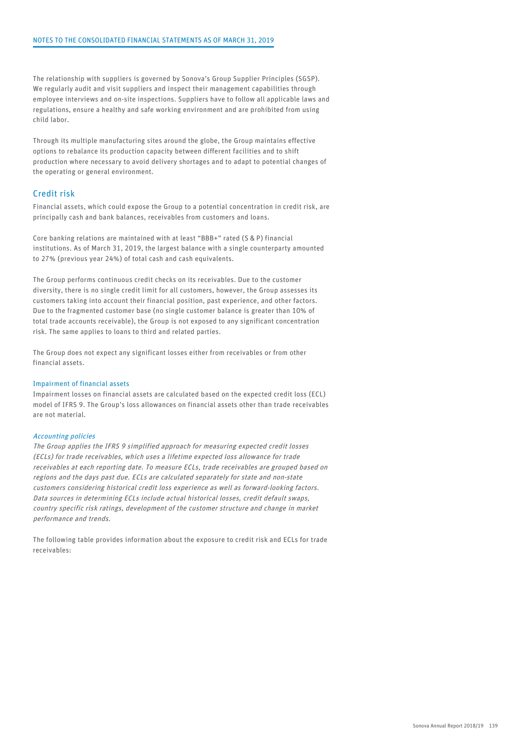The relationship with suppliers is governed by Sonova's Group Supplier Principles (SGSP). We regularly audit and visit suppliers and inspect their management capabilities through employee interviews and on-site inspections. Suppliers have to follow all applicable laws and regulations, ensure a healthy and safe working environment and are prohibited from using child labor.

Through its multiple manufacturing sites around the globe, the Group maintains effective options to rebalance its production capacity between different facilities and to shift production where necessary to avoid delivery shortages and to adapt to potential changes of the operating or general environment.

#### Credit risk

Financial assets, which could expose the Group to a potential concentration in credit risk, are principally cash and bank balances, receivables from customers and loans.

Core banking relations are maintained with at least "BBB+" rated (S & P) financial institutions. As of March 31, 2019, the largest balance with a single counterparty amounted to 27% (previous year 24%) of total cash and cash equivalents.

The Group performs continuous credit checks on its receivables. Due to the customer diversity, there is no single credit limit for all customers, however, the Group assesses its customers taking into account their financial position, past experience, and other factors. Due to the fragmented customer base (no single customer balance is greater than 10% of total trade accounts receivable), the Group is not exposed to any significant concentration risk. The same applies to loans to third and related parties.

The Group does not expect any significant losses either from receivables or from other financial assets.

#### Impairment of financial assets

Impairment losses on financial assets are calculated based on the expected credit loss (ECL) model of IFRS 9. The Group's loss allowances on financial assets other than trade receivables are not material.

#### Accounting policies

The Group applies the IFRS 9 simplified approach for measuring expected credit losses (ECLs) for trade receivables, which uses a lifetime expected loss allowance for trade receivables at each reporting date. To measure ECLs, trade receivables are grouped based on regions and the days past due. ECLs are calculated separately for state and non-state customers considering historical credit loss experience as well as forward-looking factors. Data sources in determining ECLs include actual historical losses, credit default swaps, country specific risk ratings, development of the customer structure and change in market performance and trends.

The following table provides information about the exposure to credit risk and ECLs for trade receivables: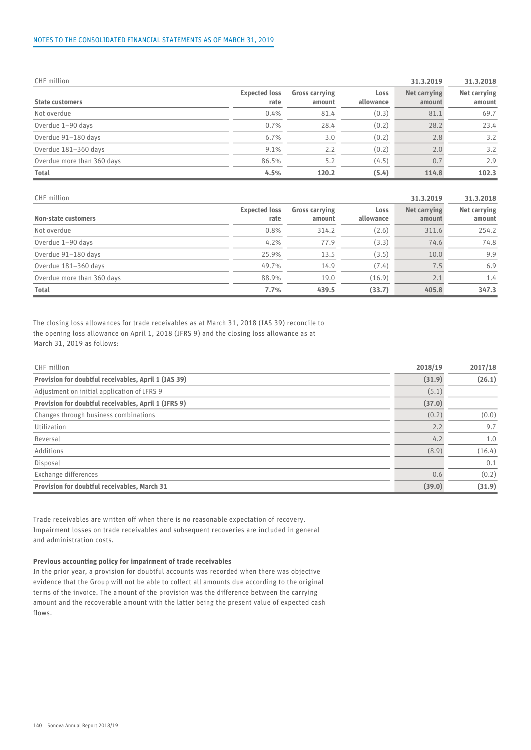#### NOTES TO THE CONSOLIDATED FINANCIAL STATEMENTS AS OF MARCH 31, 2019

| CHF million                |                              |                                 |                   | 31.3.2019              | 31.3.2018              |
|----------------------------|------------------------------|---------------------------------|-------------------|------------------------|------------------------|
| <b>State customers</b>     | <b>Expected loss</b><br>rate | <b>Gross carrying</b><br>amount | Loss<br>allowance | Net carrying<br>amount | Net carrying<br>amount |
| Not overdue                | 0.4%                         | 81.4                            | (0.3)             | 81.1                   | 69.7                   |
| Overdue 1-90 days          | 0.7%                         | 28.4                            | (0.2)             | 28.2                   | 23.4                   |
| Overdue 91-180 days        | 6.7%                         | 3.0                             | (0.2)             | 2.8                    | 3.2                    |
| Overdue 181-360 days       | 9.1%                         | 2.2                             | (0.2)             | 2.0                    | 3.2                    |
| Overdue more than 360 days | 86.5%                        | 5.2                             | (4.5)             | 0.7                    | 2.9                    |
| <b>Total</b>               | 4.5%                         | 120.2                           | (5.4)             | 114.8                  | 102.3                  |

| CHF million                |                              |                                 | 31.3.2019         | 31.3.2018              |                        |  |
|----------------------------|------------------------------|---------------------------------|-------------------|------------------------|------------------------|--|
| Non-state customers        | <b>Expected loss</b><br>rate | <b>Gross carrying</b><br>amount | Loss<br>allowance | Net carrying<br>amount | Net carrying<br>amount |  |
| Not overdue                | 0.8%                         | 314.2                           | (2.6)             | 311.6                  | 254.2                  |  |
| Overdue 1-90 days          | 4.2%                         | 77.9                            | (3.3)             | 74.6                   | 74.8                   |  |
| Overdue 91-180 days        | 25.9%                        | 13.5                            | (3.5)             | 10.0                   | 9.9                    |  |
| Overdue 181-360 days       | 49.7%                        | 14.9                            | (7.4)             | $\sqrt{.5}$            | 6.9                    |  |
| Overdue more than 360 days | 88.9%                        | 19.0                            | (16.9)            | 2.1                    | 1.4                    |  |
| Total                      | 7.7%                         | 439.5                           | (33.7)            | 405.8                  | 347.3                  |  |

The closing loss allowances for trade receivables as at March 31, 2018 (IAS 39) reconcile to the opening loss allowance on April 1, 2018 (IFRS 9) and the closing loss allowance as at March 31, 2019 as follows:

| CHF million                                          | 2018/19 | 2017/18 |  |
|------------------------------------------------------|---------|---------|--|
| Provision for doubtful receivables, April 1 (IAS 39) | (31.9)  | (26.1)  |  |
| Adjustment on initial application of IFRS 9          | (5.1)   |         |  |
| Provision for doubtful receivables, April 1 (IFRS 9) | (37.0)  |         |  |
| Changes through business combinations                | (0.2)   | (0.0)   |  |
| Utilization                                          | 2.2     | 9.7     |  |
| Reversal                                             | 4.2     | 1.0     |  |
| Additions                                            | (8.9)   | (16.4)  |  |
| Disposal                                             |         | 0.1     |  |
| Exchange differences                                 | 0.6     | (0.2)   |  |
| Provision for doubtful receivables, March 31         | (39.0)  | (31.9)  |  |

Trade receivables are written off when there is no reasonable expectation of recovery. Impairment losses on trade receivables and subsequent recoveries are included in general and administration costs.

#### Previous accounting policy for impairment of trade receivables

In the prior year, a provision for doubtful accounts was recorded when there was objective evidence that the Group will not be able to collect all amounts due according to the original terms of the invoice. The amount of the provision was the difference between the carrying amount and the recoverable amount with the latter being the present value of expected cash flows.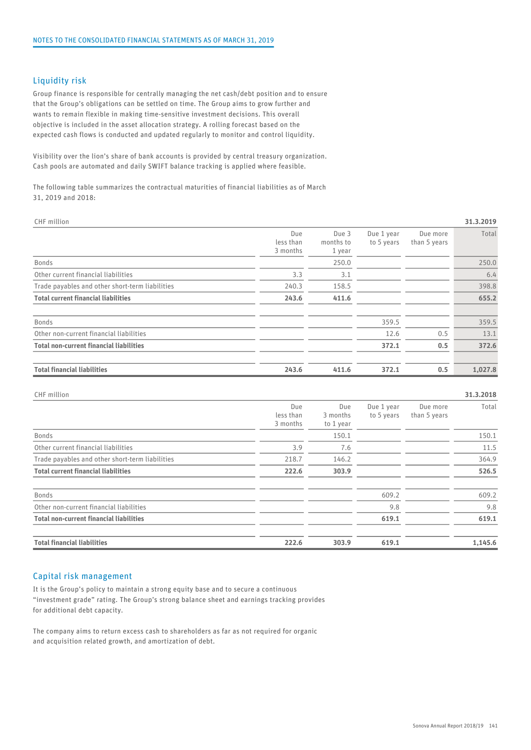#### Liquidity risk

Group finance is responsible for centrally managing the net cash/debt position and to ensure that the Group's obligations can be settled on time. The Group aims to grow further and wants to remain flexible in making time-sensitive investment decisions. This overall objective is included in the asset allocation strategy. A rolling forecast based on the expected cash flows is conducted and updated regularly to monitor and control liquidity.

Visibility over the lion's share of bank accounts is provided by central treasury organization. Cash pools are automated and daily SWIFT balance tracking is applied where feasible.

The following table summarizes the contractual maturities of financial liabilities as of March 31, 2019 and 2018:

| CHF million                                     |                              |                              |                          |                          | 31.3.2019 |
|-------------------------------------------------|------------------------------|------------------------------|--------------------------|--------------------------|-----------|
|                                                 | Due<br>less than<br>3 months | Due 3<br>months to<br>1 year | Due 1 year<br>to 5 years | Due more<br>than 5 years | Total     |
| Bonds                                           |                              | 250.0                        |                          |                          | 250.0     |
| Other current financial liabilities             | 3.3                          | 3.1                          |                          |                          | 6.4       |
| Trade payables and other short-term liabilities | 240.3                        | 158.5                        |                          |                          | 398.8     |
| <b>Total current financial liabilities</b>      | 243.6                        | 411.6                        |                          |                          | 655.2     |
| Bonds                                           |                              |                              | 359.5                    |                          | 359.5     |
| Other non-current financial liabilities         |                              |                              | 12.6                     | 0.5                      | 13.1      |
| <b>Total non-current financial liabilities</b>  |                              |                              | 372.1                    | 0.5                      | 372.6     |
| <b>Total financial liabilities</b>              | 243.6                        | 411.6                        | 372.1                    | 0.5                      | 1,027.8   |

CHF million 31.3.2018 Due Due Due 1 year Due more less than  $\frac{3}{10}$  months to 5 years<br>3 months to 1 year 3 months to 1 year 3 months to 5 years than 5 years Due more Total Bonds 150.1 150.1 Other current financial liabilities 3.9 7.6 11.5 Trade payables and other short-term liabilities 218.7 146.2 218.7 146.2 Total current financial liabilities 222.6 303.9 526.5 Bonds 609.2 609.2 Other non-current financial liabilities 9.8 9.8 Total non-current financial liabilities 619.1 619.1 Total financial liabilities 222.6 303.9 619.1 1,145.6

#### Capital risk management

It is the Group's policy to maintain a strong equity base and to secure a continuous "investment grade" rating. The Group's strong balance sheet and earnings tracking provides for additional debt capacity.

The company aims to return excess cash to shareholders as far as not required for organic and acquisition related growth, and amortization of debt.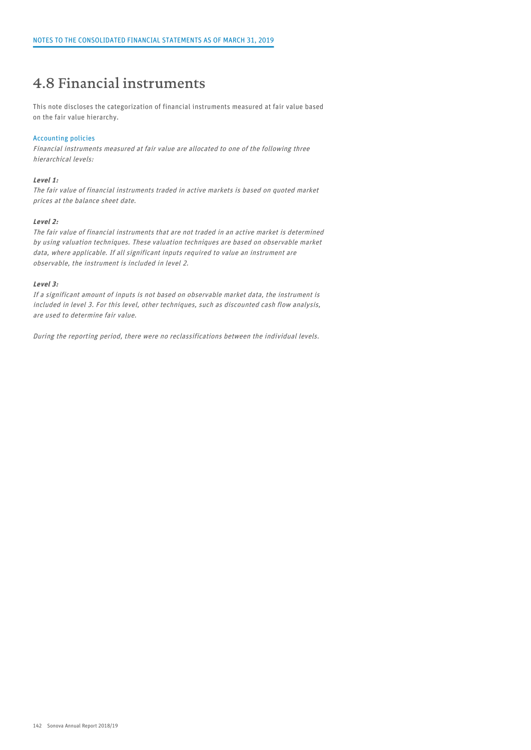### 4.8 Financial instruments

This note discloses the categorization of financial instruments measured at fair value based on the fair value hierarchy.

#### Accounting policies

Financial instruments measured at fair value are allocated to one of the following three hierarchical levels:

#### Level 1:

The fair value of financial instruments traded in active markets is based on quoted market prices at the balance sheet date.

#### Level 2:

The fair value of financial instruments that are not traded in an active market is determined by using valuation techniques. These valuation techniques are based on observable market data, where applicable. If all significant inputs required to value an instrument are observable, the instrument is included in level 2.

#### Level 3:

If a significant amount of inputs is not based on observable market data, the instrument is included in level 3. For this level, other techniques, such as discounted cash flow analysis, are used to determine fair value.

During the reporting period, there were no reclassifications between the individual levels.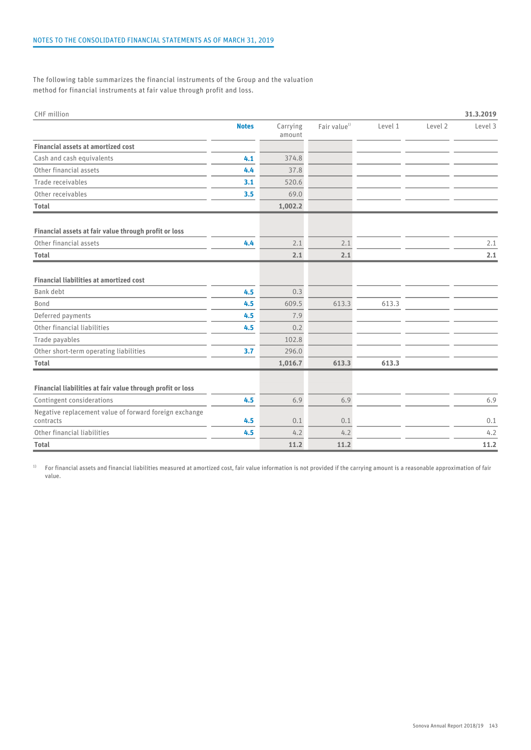The following table summarizes the financial instruments of the Group and the valuation method for financial instruments at fair value through profit and loss.

| CHF million                                                         |              |                    |                          |         |         | 31.3.2019 |
|---------------------------------------------------------------------|--------------|--------------------|--------------------------|---------|---------|-----------|
|                                                                     | <b>Notes</b> | Carrying<br>amount | Fair value <sup>1)</sup> | Level 1 | Level 2 | Level 3   |
| <b>Financial assets at amortized cost</b>                           |              |                    |                          |         |         |           |
| Cash and cash equivalents                                           | 4.1          | 374.8              |                          |         |         |           |
| Other financial assets                                              | 4.4          | 37.8               |                          |         |         |           |
| Trade receivables                                                   | 3.1          | 520.6              |                          |         |         |           |
| Other receivables                                                   | 3.5          | 69.0               |                          |         |         |           |
| <b>Total</b>                                                        |              | 1,002.2            |                          |         |         |           |
| Financial assets at fair value through profit or loss               |              |                    |                          |         |         |           |
| Other financial assets                                              | 4.4          | 2.1                | 2.1                      |         |         | 2.1       |
| Total                                                               |              | 2.1                | 2.1                      |         |         | 2.1       |
| <b>Financial liabilities at amortized cost</b>                      |              |                    |                          |         |         |           |
| Bank debt                                                           | 4.5          | 0.3                |                          |         |         |           |
| Bond                                                                | 4.5          | 609.5              | 613.3                    | 613.3   |         |           |
| Deferred payments                                                   | 4.5          | 7.9                |                          |         |         |           |
| Other financial liabilities                                         | 4.5          | 0.2                |                          |         |         |           |
| Trade payables                                                      |              | 102.8              |                          |         |         |           |
| Other short-term operating liabilities                              | 3.7          | 296.0              |                          |         |         |           |
| Total                                                               |              | 1,016.7            | 613.3                    | 613.3   |         |           |
| Financial liabilities at fair value through profit or loss          |              |                    |                          |         |         |           |
| Contingent considerations                                           | 4.5          | 6.9                | 6.9                      |         |         | 6.9       |
| Negative replacement value of forward foreign exchange<br>contracts | 4.5          | 0.1                | 0.1                      |         |         | 0.1       |
| Other financial liabilities                                         | 4.5          | 4.2                | 4.2                      |         |         | 4.2       |
| <b>Total</b>                                                        |              | 11.2               | 11.2                     |         |         | 11.2      |

<sup>1)</sup> For financial assets and financial liabilities measured at amortized cost, fair value information is not provided if the carrying amount is a reasonable approximation of fair value.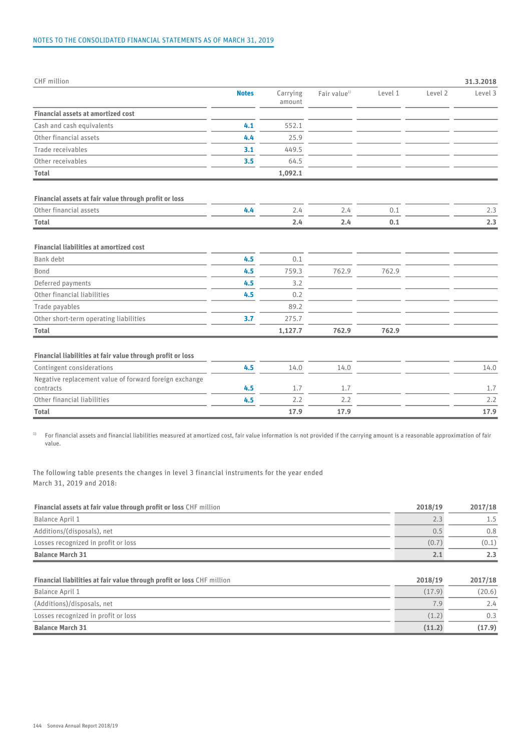| CHF million                                                         |              |                    |                          |         |         | 31.3.2018 |
|---------------------------------------------------------------------|--------------|--------------------|--------------------------|---------|---------|-----------|
|                                                                     | <b>Notes</b> | Carrying<br>amount | Fair value <sup>1)</sup> | Level 1 | Level 2 | Level 3   |
| <b>Financial assets at amortized cost</b>                           |              |                    |                          |         |         |           |
| Cash and cash equivalents                                           | 4.1          | 552.1              |                          |         |         |           |
| Other financial assets                                              | 4.4          | 25.9               |                          |         |         |           |
| Trade receivables                                                   | 3.1          | 449.5              |                          |         |         |           |
| Other receivables                                                   | 3.5          | 64.5               |                          |         |         |           |
| <b>Total</b>                                                        |              | 1,092.1            |                          |         |         |           |
|                                                                     |              |                    |                          |         |         |           |
| Financial assets at fair value through profit or loss               |              |                    |                          |         |         |           |
| Other financial assets                                              | 4.4          | 2.4                | 2.4                      | 0.1     |         | 2.3       |
| <b>Total</b>                                                        |              | 2.4                | 2.4                      | 0.1     |         | 2.3       |
| <b>Financial liabilities at amortized cost</b><br>Bank debt         | 4.5          | 0.1                |                          |         |         |           |
| Bond                                                                | 4.5          | 759.3              | 762.9                    | 762.9   |         |           |
| Deferred payments                                                   | 4.5          | 3.2                |                          |         |         |           |
| Other financial liabilities                                         | 4.5          | 0.2                |                          |         |         |           |
| Trade payables                                                      |              | 89.2               |                          |         |         |           |
| Other short-term operating liabilities                              | 3.7          | 275.7              |                          |         |         |           |
| <b>Total</b>                                                        |              | 1,127.7            | 762.9                    | 762.9   |         |           |
|                                                                     |              |                    |                          |         |         |           |
| Financial liabilities at fair value through profit or loss          |              |                    |                          |         |         |           |
| Contingent considerations                                           | 4.5          | 14.0               | 14.0                     |         |         | 14.0      |
| Negative replacement value of forward foreign exchange<br>contracts | 4.5          | 1.7                | 1.7                      |         |         | 1.7       |
| Other financial liabilities                                         | 4.5          | 2.2                | 2.2                      |         |         | 2.2       |
| <b>Total</b>                                                        |              | 17.9               | 17.9                     |         |         | 17.9      |

<sup>1)</sup> For financial assets and financial liabilities measured at amortized cost, fair value information is not provided if the carrying amount is a reasonable approximation of fair value.

The following table presents the changes in level 3 financial instruments for the year ended March 31, 2019 and 2018:

| <b>Financial assets at fair value through profit or loss CHF million</b> | 2018/19 | 2017/18 |
|--------------------------------------------------------------------------|---------|---------|
| Balance April 1                                                          |         | 1.5     |
| Additions/(disposals), net                                               |         | 0.8     |
| Losses recognized in profit or loss                                      | (0.7)   | (0.1)   |
| <b>Balance March 31</b>                                                  | ۷.,     | 2.3     |

| 2018/19 | 2017/18 |
|---------|---------|
| (17.9)  | (20.6)  |
|         | 2.4     |
| (1.2)   | 0.3     |
| (11.2)  | (17.9)  |
|         |         |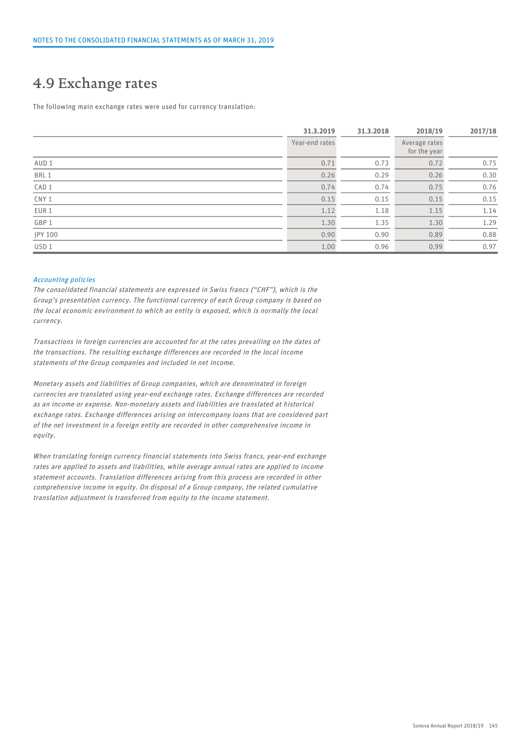### 4.9 Exchange rates

The following main exchange rates were used for currency translation:

|                  | 31.3.2019      | 31.3.2018 | 2018/19                       | 2017/18 |  |
|------------------|----------------|-----------|-------------------------------|---------|--|
|                  | Year-end rates |           | Average rates<br>for the year |         |  |
| AUD 1            | 0.71           | 0.73      | 0.72                          | 0.75    |  |
| BRL 1            | 0.26           | 0.29      | 0.26                          | 0.30    |  |
| CAD 1            | 0.74           | 0.74      | 0.75                          | 0.76    |  |
| CNY 1            | 0.15           | 0.15      | 0.15                          | 0.15    |  |
| EUR 1            | 1.12           | 1.18      | 1.15                          | 1.14    |  |
| GBP 1            | 1.30           | 1.35      | 1.30                          | 1.29    |  |
| JPY 100          | 0.90           | 0.90      | 0.89                          | 0.88    |  |
| USD <sub>1</sub> | 1.00           | 0.96      | 0.99                          | 0.97    |  |

#### Accounting policies

The consolidated financial statements are expressed in Swiss francs ("CHF"), which is the Group's presentation currency. The functional currency of each Group company is based on the local economic environment to which an entity is exposed, which is normally the local currency.

Transactions in foreign currencies are accounted for at the rates prevailing on the dates of the transactions. The resulting exchange differences are recorded in the local income statements of the Group companies and included in net income.

Monetary assets and liabilities of Group companies, which are denominated in foreign currencies are translated using year-end exchange rates. Exchange differences are recorded as an income or expense. Non-monetary assets and liabilities are translated at historical exchange rates. Exchange differences arising on intercompany loans that are considered part of the net investment in a foreign entity are recorded in other comprehensive income in equity.

When translating foreign currency financial statements into Swiss francs, year-end exchange rates are applied to assets and liabilities, while average annual rates are applied to income statement accounts. Translation differences arising from this process are recorded in other comprehensive income in equity. On disposal of a Group company, the related cumulative translation adjustment is transferred from equity to the income statement.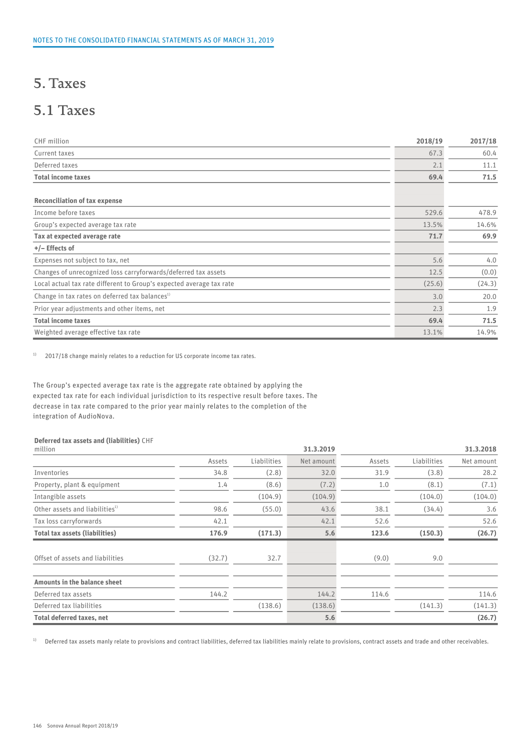### 5. Taxes

### 5.1 Taxes

| CHF million                                                          | 2018/19 | 2017/18 |
|----------------------------------------------------------------------|---------|---------|
| Current taxes                                                        | 67.3    | 60.4    |
| Deferred taxes                                                       | 2.1     | 11.1    |
| <b>Total income taxes</b>                                            | 69.4    | 71.5    |
| <b>Reconciliation of tax expense</b>                                 |         |         |
| Income before taxes                                                  | 529.6   | 478.9   |
| Group's expected average tax rate                                    | 13.5%   | 14.6%   |
| Tax at expected average rate                                         | 71.7    | 69.9    |
| $+/-$ Effects of                                                     |         |         |
| Expenses not subject to tax, net                                     | 5.6     | 4.0     |
| Changes of unrecognized loss carryforwards/deferred tax assets       | 12.5    | (0.0)   |
| Local actual tax rate different to Group's expected average tax rate | (25.6)  | (24.3)  |
| Change in tax rates on deferred tax balances <sup>1)</sup>           | 3.0     | 20.0    |
| Prior year adjustments and other items, net                          | 2.3     | 1.9     |
| <b>Total income taxes</b>                                            | 69.4    | 71.5    |
| Weighted average effective tax rate                                  | 13.1%   | 14.9%   |

 $1)$  2017/18 change mainly relates to a reduction for US corporate income tax rates.

The Group's expected average tax rate is the aggregate rate obtained by applying the expected tax rate for each individual jurisdiction to its respective result before taxes. The decrease in tax rate compared to the prior year mainly relates to the completion of the integration of AudioNova.

#### Deferred tax assets and (liabilities) CHF

| million                                    |        |             | 31.3.2019  |        | 31.3.2018   |            |
|--------------------------------------------|--------|-------------|------------|--------|-------------|------------|
|                                            | Assets | Liabilities | Net amount | Assets | Liabilities | Net amount |
| Inventories                                | 34.8   | (2.8)       | 32.0       | 31.9   | (3.8)       | 28.2       |
| Property, plant & equipment                | 1.4    | (8.6)       | (7.2)      | 1.0    | (8.1)       | (7.1)      |
| Intangible assets                          |        | (104.9)     | (104.9)    |        | (104.0)     | (104.0)    |
| Other assets and liabilities <sup>1)</sup> | 98.6   | (55.0)      | 43.6       | 38.1   | (34.4)      | 3.6        |
| Tax loss carryforwards                     | 42.1   |             | 42.1       | 52.6   |             | 52.6       |
| <b>Total tax assets (liabilities)</b>      | 176.9  | (171.3)     | 5.6        | 123.6  | (150.3)     | (26.7)     |
|                                            |        |             |            |        |             |            |
| Offset of assets and liabilities           | (32.7) | 32.7        |            | (9.0)  | 9.0         |            |
|                                            |        |             |            |        |             |            |
| Amounts in the balance sheet               |        |             |            |        |             |            |
| Deferred tax assets                        | 144.2  |             | 144.2      | 114.6  |             | 114.6      |
| Deferred tax liabilities                   |        | (138.6)     | (138.6)    |        | (141.3)     | (141.3)    |
| <b>Total deferred taxes, net</b>           |        |             | 5.6        |        |             | (26.7)     |

<sup>1)</sup> Deferred tax assets manly relate to provisions and contract liabilities, deferred tax liabilities mainly relate to provisions, contract assets and trade and other receivables.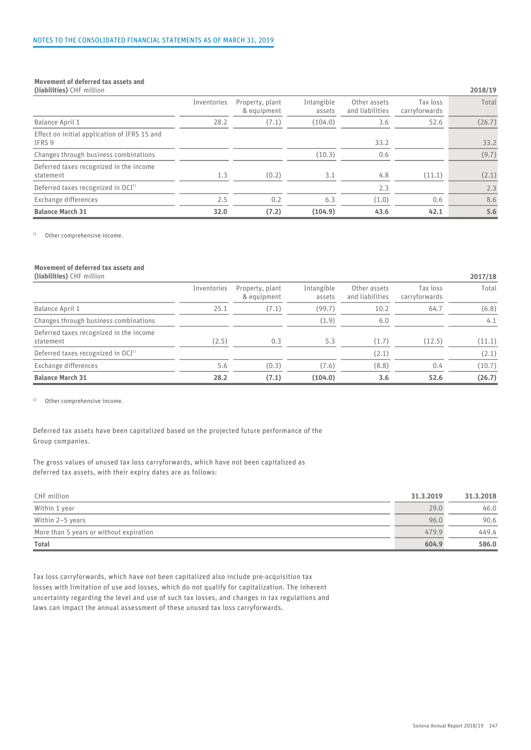#### Movement of deferred tax assets and

| (liabilities) CHF million                              |             |                                |                      |                                 |                           | 2018/19 |
|--------------------------------------------------------|-------------|--------------------------------|----------------------|---------------------------------|---------------------------|---------|
|                                                        | Inventories | Property, plant<br>& equipment | Intangible<br>assets | Other assets<br>and liabilities | Tax loss<br>carryforwards | Total   |
| Balance April 1                                        | 28.2        | (7.1)                          | (104.0)              | 3.6                             | 52.6                      | (26.7)  |
| Effect on initial application of IFRS 15 and<br>IFRS 9 |             |                                |                      | 33.2                            |                           | 33.2    |
| Changes through business combinations                  |             |                                | (10.3)               | 0.6                             |                           | (9.7)   |
| Deferred taxes recognized in the income<br>statement   | 1.3         | (0.2)                          | 3.1                  | 4.8                             | (11.1)                    | (2.1)   |
| Deferred taxes recognized in $OCI1$                    |             |                                |                      | 2.3                             |                           | 2.3     |
| Exchange differences                                   | 2.5         | 0.2                            | 6.3                  | (1.0)                           | 0.6                       | 8.6     |
| <b>Balance March 31</b>                                | 32.0        | (7.2)                          | (104.9)              | 43.6                            | 42.1                      | 5.6     |

<sup>1)</sup> Other comprehensive income.

### Movement of deferred tax assets and

|--|

|                                                      | Inventories | Property, plant<br>& equipment | Intangible<br>assets | Other assets<br>and liabilities | Tax loss<br>carryforwards | Total  |
|------------------------------------------------------|-------------|--------------------------------|----------------------|---------------------------------|---------------------------|--------|
| Balance April 1                                      | 25.1        | (7.1)                          | (99.7)               | 10.2                            | 64.7                      | (6.8)  |
| Changes through business combinations                |             |                                | (1.9)                | 6.0                             |                           | 4.1    |
| Deferred taxes recognized in the income<br>statement | (2.5)       | 0.3                            | 5.3                  | (1.7)                           | (12.5)                    | (11.1) |
| Deferred taxes recognized in $OCI1$                  |             |                                |                      | (2.1)                           |                           | (2.1)  |
| Exchange differences                                 | 5.6         | (0.3)                          | (7.6)                | (8.8)                           | 0.4                       | (10.7) |
| <b>Balance March 31</b>                              | 28.2        | (7.1)                          | (104.0)              | 3.6                             | 52.6                      | (26.7) |

<sup>1)</sup> Other comprehensive income.

Deferred tax assets have been capitalized based on the projected future performance of the Group companies.

The gross values of unused tax loss carryforwards, which have not been capitalized as deferred tax assets, with their expiry dates are as follows:

| CHF million                                     | 31.3.2019 | 31.3.2018 |  |
|-------------------------------------------------|-----------|-----------|--|
| Within 1 year                                   | 29.0      | 46.0      |  |
| Within 2-5 years                                | 96.0      | 90.6      |  |
| More than 5 years or without expiration         | 479.9     | 449.4     |  |
| <b>Total</b><br>the contract of the contract of | 604.9     | 586.0     |  |

Tax loss carryforwards, which have not been capitalized also include pre-acquisition tax losses with limitation of use and losses, which do not qualify for capitalization. The inherent uncertainty regarding the level and use of such tax losses, and changes in tax regulations and laws can impact the annual assessment of these unused tax loss carryforwards.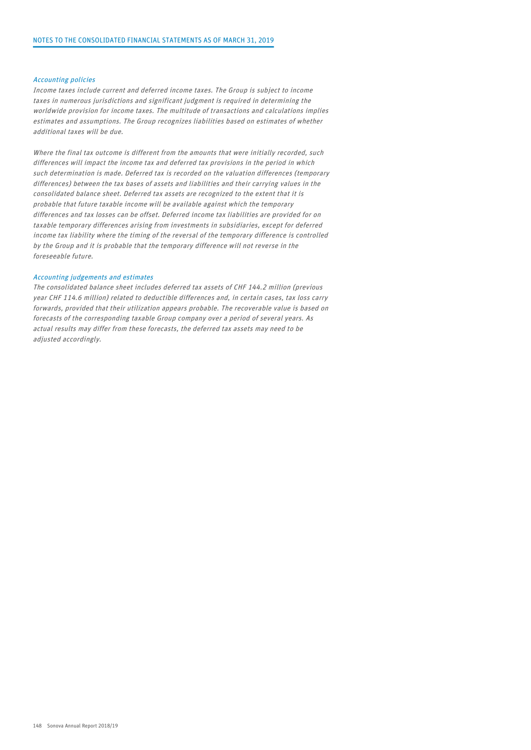#### Accounting policies

Income taxes include current and deferred income taxes. The Group is subject to income taxes in numerous jurisdictions and significant judgment is required in determining the worldwide provision for income taxes. The multitude of transactions and calculations implies estimates and assumptions. The Group recognizes liabilities based on estimates of whether additional taxes will be due.

Where the final tax outcome is different from the amounts that were initially recorded, such differences will impact the income tax and deferred tax provisions in the period in which such determination is made. Deferred tax is recorded on the valuation differences (temporary differences) between the tax bases of assets and liabilities and their carrying values in the consolidated balance sheet. Deferred tax assets are recognized to the extent that it is probable that future taxable income will be available against which the temporary differences and tax losses can be offset. Deferred income tax liabilities are provided for on taxable temporary differences arising from investments in subsidiaries, except for deferred income tax liability where the timing of the reversal of the temporary difference is controlled by the Group and it is probable that the temporary difference will not reverse in the foreseeable future.

#### Accounting judgements and estimates

The consolidated balance sheet includes deferred tax assets of CHF 144.2 million (previous year CHF 114.6 million) related to deductible differences and, in certain cases, tax loss carry forwards, provided that their utilization appears probable. The recoverable value is based on forecasts of the corresponding taxable Group company over a period of several years. As actual results may differ from these forecasts, the deferred tax assets may need to be adjusted accordingly.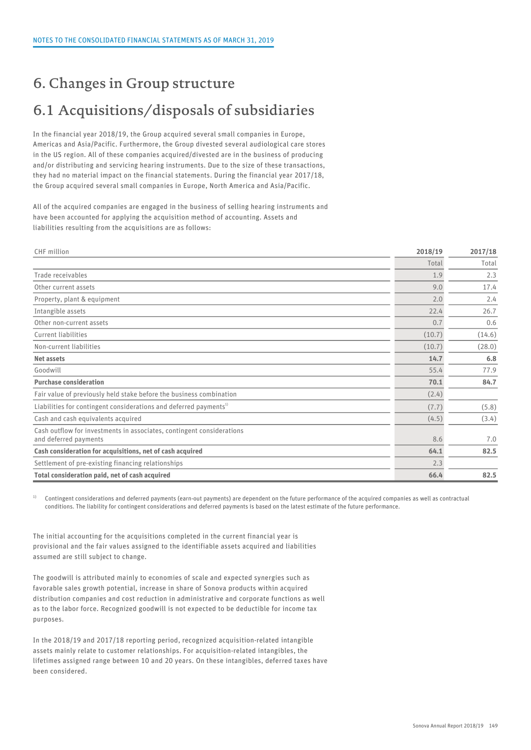### 6. Changes in Group structure

## 6.1 Acquisitions/disposals of subsidiaries

In the financial year 2018/19, the Group acquired several small companies in Europe, Americas and Asia/Pacific. Furthermore, the Group divested several audiological care stores in the US region. All of these companies acquired/divested are in the business of producing and/or distributing and servicing hearing instruments. Due to the size of these transactions, they had no material impact on the financial statements. During the financial year 2017/18, the Group acquired several small companies in Europe, North America and Asia/Pacific.

All of the acquired companies are engaged in the business of selling hearing instruments and have been accounted for applying the acquisition method of accounting. Assets and liabilities resulting from the acquisitions are as follows:

| CHF million                                                                                    | 2018/19 | 2017/18 |
|------------------------------------------------------------------------------------------------|---------|---------|
|                                                                                                | Total   | Total   |
| Trade receivables                                                                              | 1.9     | 2.3     |
| Other current assets                                                                           | 9.0     | 17.4    |
| Property, plant & equipment                                                                    | 2.0     | 2.4     |
| Intangible assets                                                                              | 22.4    | 26.7    |
| Other non-current assets                                                                       | 0.7     | 0.6     |
| Current liabilities                                                                            | (10.7)  | (14.6)  |
| Non-current liabilities                                                                        | (10.7)  | (28.0)  |
| Net assets                                                                                     | 14.7    | 6.8     |
| Goodwill                                                                                       | 55.4    | 77.9    |
| <b>Purchase consideration</b>                                                                  | 70.1    | 84.7    |
| Fair value of previously held stake before the business combination                            | (2.4)   |         |
| Liabilities for contingent considerations and deferred payments <sup>1)</sup>                  | (7.7)   | (5.8)   |
| Cash and cash equivalents acquired                                                             | (4.5)   | (3.4)   |
| Cash outflow for investments in associates, contingent considerations<br>and deferred payments | 8.6     | 7.0     |
| Cash consideration for acquisitions, net of cash acquired                                      | 64.1    | 82.5    |
| Settlement of pre-existing financing relationships                                             | 2.3     |         |
| Total consideration paid, net of cash acquired                                                 | 66.4    | 82.5    |

<sup>1)</sup> Contingent considerations and deferred payments (earn-out payments) are dependent on the future performance of the acquired companies as well as contractual conditions. The liability for contingent considerations and deferred payments is based on the latest estimate of the future performance.

The initial accounting for the acquisitions completed in the current financial year is provisional and the fair values assigned to the identifiable assets acquired and liabilities assumed are still subject to change.

The goodwill is attributed mainly to economies of scale and expected synergies such as favorable sales growth potential, increase in share of Sonova products within acquired distribution companies and cost reduction in administrative and corporate functions as well as to the labor force. Recognized goodwill is not expected to be deductible for income tax purposes.

In the 2018/19 and 2017/18 reporting period, recognized acquisition-related intangible assets mainly relate to customer relationships. For acquisition-related intangibles, the lifetimes assigned range between 10 and 20 years. On these intangibles, deferred taxes have been considered.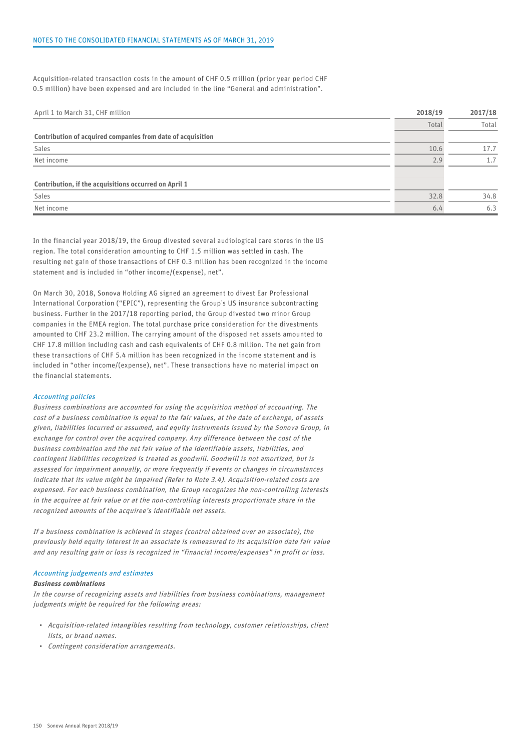Acquisition-related transaction costs in the amount of CHF 0.5 million (prior year period CHF 0.5 million) have been expensed and are included in the line "General and administration".

| Total<br>Contribution of acquired companies from date of acquisition<br>Sales |      | Total |
|-------------------------------------------------------------------------------|------|-------|
|                                                                               |      |       |
|                                                                               |      |       |
|                                                                               | 10.6 | 17.7  |
| Net income                                                                    | 2.9  |       |
|                                                                               |      |       |
| Contribution, if the acquisitions occurred on April 1                         |      |       |
| Sales                                                                         | 32.8 | 34.8  |
| Net income                                                                    | 6.4  | 6.3   |

In the financial year 2018/19, the Group divested several audiological care stores in the US region. The total consideration amounting to CHF 1.5 million was settled in cash. The resulting net gain of those transactions of CHF 0.3 million has been recognized in the income statement and is included in "other income/(expense), net".

On March 30, 2018, Sonova Holding AG signed an agreement to divest Ear Professional International Corporation ("EPIC"), representing the Group's US insurance subcontracting business. Further in the 2017/18 reporting period, the Group divested two minor Group companies in the EMEA region. The total purchase price consideration for the divestments amounted to CHF 23.2 million. The carrying amount of the disposed net assets amounted to CHF 17.8 million including cash and cash equivalents of CHF 0.8 million. The net gain from these transactions of CHF 5.4 million has been recognized in the income statement and is included in "other income/(expense), net". These transactions have no material impact on the financial statements.

#### Accounting policies

Business combinations are accounted for using the acquisition method of accounting. The cost of a business combination is equal to the fair values, at the date of exchange, of assets given, liabilities incurred or assumed, and equity instruments issued by the Sonova Group, in exchange for control over the acquired company. Any difference between the cost of the business combination and the net fair value of the identifiable assets, liabilities, and contingent liabilities recognized is treated as goodwill. Goodwill is not amortized, but is assessed for impairment annually, or more frequently if events or changes in circumstances indicate that its value might be impaired (Refer to Note 3.4). Acquisition-related costs are expensed. For each business combination, the Group recognizes the non-controlling interests in the acquiree at fair value or at the non-controlling interests proportionate share in the recognized amounts of the acquiree's identifiable net assets.

If a business combination is achieved in stages (control obtained over an associate), the previously held equity interest in an associate is remeasured to its acquisition date fair value and any resulting gain or loss is recognized in "financial income/expenses" in profit or loss.

#### Accounting judgements and estimates

#### Business combinations

In the course of recognizing assets and liabilities from business combinations, management judgments might be required for the following areas:

- Acquisition-related intangibles resulting from technology, customer relationships, client lists, or brand names.
- Contingent consideration arrangements.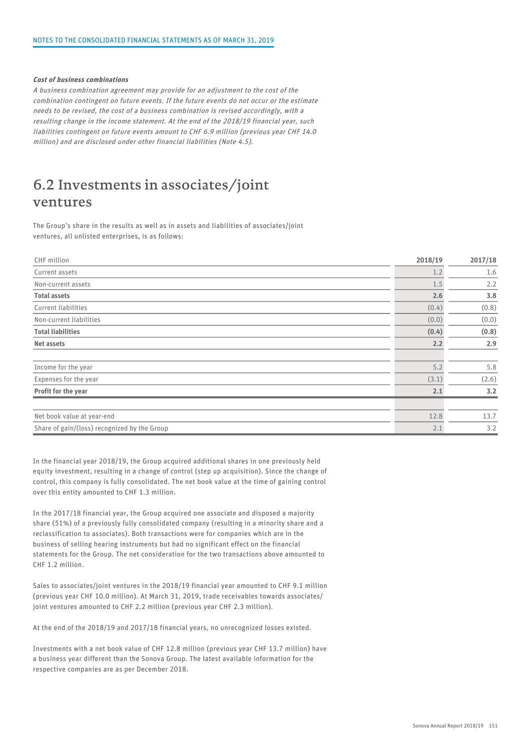#### Cost of business combinations

A business combination agreement may provide for an adjustment to the cost of the combination contingent on future events. If the future events do not occur or the estimate needs to be revised, the cost of a business combination is revised accordingly, with a resulting change in the income statement. At the end of the 2018/19 financial year, such liabilities contingent on future events amount to CHF 6.9 million (previous year CHF 14.0 million) and are disclosed under other financial liabilities (Note 4.5).

### 6.2 Investments in associates/joint ventures

The Group's share in the results as well as in assets and liabilities of associates/joint ventures, all unlisted enterprises, is as follows:

| CHF million                                  | 2018/19 | 2017/18 |
|----------------------------------------------|---------|---------|
| Current assets                               | 1.2     | 1.6     |
| Non-current assets                           | 1.5     | 2.2     |
| <b>Total assets</b>                          | 2.6     | 3.8     |
| Current liabilities                          | (0.4)   | (0.8)   |
| Non-current liabilities                      | (0.0)   | (0.0)   |
| <b>Total liabilities</b>                     | (0.4)   | (0.8)   |
| Net assets                                   | 2.2     | 2.9     |
|                                              |         |         |
| Income for the year                          | 5.2     | 5.8     |
| Expenses for the year                        | (3.1)   | (2.6)   |
| Profit for the year                          | 2.1     | 3.2     |
|                                              |         |         |
| Net book value at year-end                   | 12.8    | 13.7    |
| Share of gain/(loss) recognized by the Group | 2.1     | 3.2     |

In the financial year 2018/19, the Group acquired additional shares in one previously held equity investment, resulting in a change of control (step up acquisition). Since the change of control, this company is fully consolidated. The net book value at the time of gaining control over this entity amounted to CHF 1.3 million.

In the 2017/18 financial year, the Group acquired one associate and disposed a majority share (51%) of a previously fully consolidated company (resulting in a minority share and a reclassification to associates). Both transactions were for companies which are in the business of selling hearing instruments but had no significant effect on the financial statements for the Group. The net consideration for the two transactions above amounted to CHF 1.2 million.

Sales to associates/joint ventures in the 2018/19 financial year amounted to CHF 9.1 million (previous year CHF 10.0 million). At March 31, 2019, trade receivables towards associates/ joint ventures amounted to CHF 2.2 million (previous year CHF 2.3 million).

At the end of the 2018/19 and 2017/18 financial years, no unrecognized losses existed.

Investments with a net book value of CHF 12.8 million (previous year CHF 13.7 million) have a business year different than the Sonova Group. The latest available information for the respective companies are as per December 2018.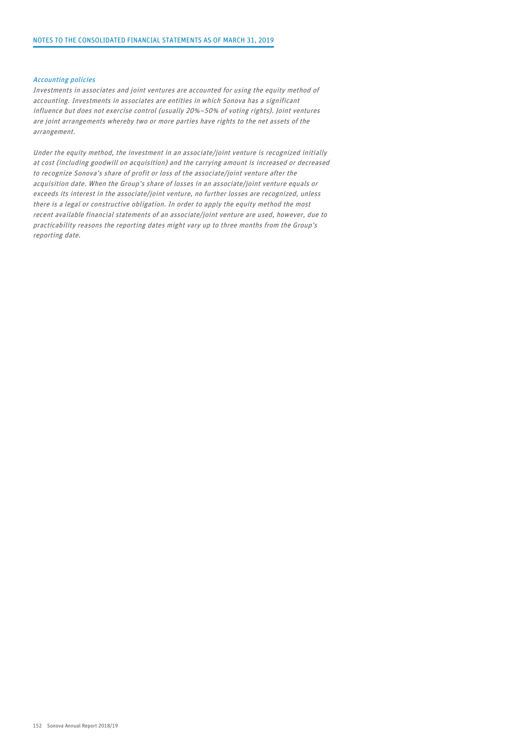#### Accounting policies

Investments in associates and joint ventures are accounted for using the equity method of accounting. Investments in associates are entities in which Sonova has a significant influence but does not exercise control (usually 20%–50% of voting rights). Joint ventures are joint arrangements whereby two or more parties have rights to the net assets of the arrangement.

Under the equity method, the investment in an associate/joint venture is recognized initially at cost (including goodwill on acquisition) and the carrying amount is increased or decreased to recognize Sonova's share of profit or loss of the associate/joint venture after the acquisition date. When the Group's share of losses in an associate/joint venture equals or exceeds its interest in the associate/joint venture, no further losses are recognized, unless there is a legal or constructive obligation. In order to apply the equity method the most recent available financial statements of an associate/joint venture are used, however, due to practicability reasons the reporting dates might vary up to three months from the Group's reporting date.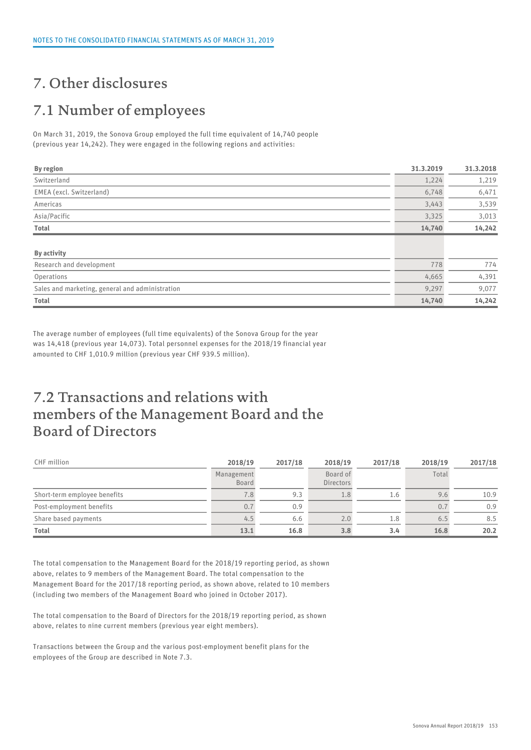## 7. Other disclosures

## 7.1 Number of employees

On March 31, 2019, the Sonova Group employed the full time equivalent of 14,740 people (previous year 14,242). They were engaged in the following regions and activities:

| <b>By region</b>                                | 31.3.2019 | 31.3.2018 |  |
|-------------------------------------------------|-----------|-----------|--|
| Switzerland                                     | 1,224     | 1,219     |  |
| EMEA (excl. Switzerland)                        | 6,748     | 6,471     |  |
| Americas                                        | 3,443     | 3,539     |  |
| Asia/Pacific                                    | 3,325     | 3,013     |  |
| Total                                           | 14,740    | 14,242    |  |
|                                                 |           |           |  |
| By activity                                     |           |           |  |
| Research and development                        | 778       | 774       |  |
| Operations                                      | 4,665     | 4,391     |  |
| Sales and marketing, general and administration | 9,297     | 9,077     |  |
| Total                                           | 14,740    | 14,242    |  |

The average number of employees (full time equivalents) of the Sonova Group for the year was 14,418 (previous year 14,073). Total personnel expenses for the 2018/19 financial year amounted to CHF 1,010.9 million (previous year CHF 939.5 million).

### 7.2 Transactions and relations with members of the Management Board and the Board of Directors

| CHF million                  | 2018/19             | 2017/18 | 2018/19               | 2017/18 | 2018/19 | 2017/18 |  |
|------------------------------|---------------------|---------|-----------------------|---------|---------|---------|--|
|                              | Management<br>Board |         | Board of<br>Directors |         | Total   |         |  |
| Short-term employee benefits | 8.'                 | 9.3     | T.O                   | 1.6     | 9.6     | 10.9    |  |
| Post-employment benefits     | 0.7                 | 0.9     |                       |         | 0.7     | 0.9     |  |
| Share based payments         |                     | 6.6     | 2.0                   | 1.8     | 6.5     | 8.5     |  |
| <b>Total</b>                 | 13.1                | 16.8    | 3.8                   | 3.4     | 16.8    | 20.2    |  |

The total compensation to the Management Board for the 2018/19 reporting period, as shown above, relates to 9 members of the Management Board. The total compensation to the Management Board for the 2017/18 reporting period, as shown above, related to 10 members (including two members of the Management Board who joined in October 2017).

The total compensation to the Board of Directors for the 2018/19 reporting period, as shown above, relates to nine current members (previous year eight members).

Transactions between the Group and the various post-employment benefit plans for the employees of the Group are described in Note 7.3.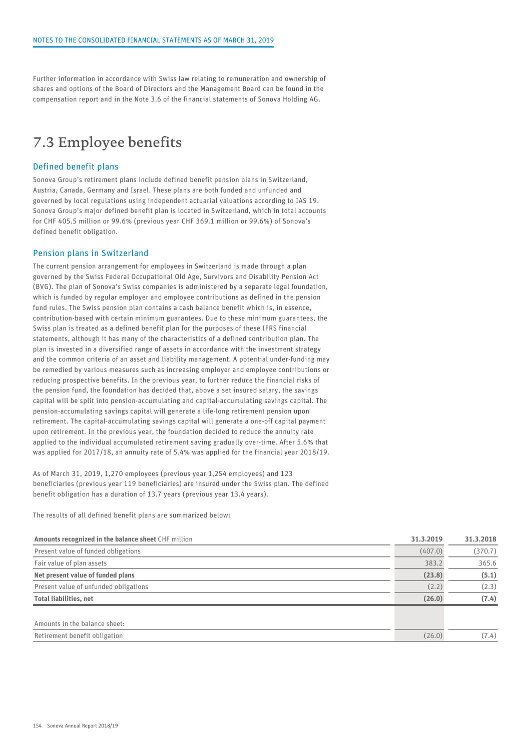Further information in accordance with Swiss law relating to remuneration and ownership of shares and options of the Board of Directors and the Management Board can be found in the compensation report and in the Note 3.6 of the financial statements of Sonova Holding AG.

### 7.3 Employee benefits

#### Defined benefit plans

Sonova Group's retirement plans include defined benefit pension plans in Switzerland, Austria, Canada, Germany and Israel. These plans are both funded and unfunded and governed by local regulations using independent actuarial valuations according to IAS 19. Sonova Group's major defined benefit plan is located in Switzerland, which in total accounts for CHF 405.5 million or 99.6% (previous year CHF 369.1 million or 99.6%) of Sonova's defined benefit obligation.

#### Pension plans in Switzerland

The current pension arrangement for employees in Switzerland is made through a plan governed by the Swiss Federal Occupational Old Age, Survivors and Disability Pension Act (BVG). The plan of Sonova's Swiss companies is administered by a separate legal foundation, which is funded by regular employer and employee contributions as defined in the pension fund rules. The Swiss pension plan contains a cash balance benefit which is, in essence, contribution-based with certain minimum guarantees. Due to these minimum guarantees, the Swiss plan is treated as a defined benefit plan for the purposes of these IFRS financial statements, although it has many of the characteristics of a defined contribution plan. The plan is invested in a diversified range of assets in accordance with the investment strategy and the common criteria of an asset and liability management. A potential under-funding may be remedied by various measures such as increasing employer and employee contributions or reducing prospective benefits. In the previous year, to further reduce the financial risks of the pension fund, the foundation has decided that, above a set insured salary, the savings capital will be split into pension-accumulating and capital-accumulating savings capital. The pension-accumulating savings capital will generate a life-long retirement pension upon retirement. The capital-accumulating savings capital will generate a one-off capital payment upon retirement. In the previous year, the foundation decided to reduce the annuity rate applied to the individual accumulated retirement saving gradually over-time. After 5.6% that was applied for 2017/18, an annuity rate of 5.4% was applied for the financial year 2018/19.

As of March 31, 2019, 1,270 employees (previous year 1,254 employees) and 123 beneficiaries (previous year 119 beneficiaries) are insured under the Swiss plan. The defined benefit obligation has a duration of 13.7 years (previous year 13.4 years).

The results of all defined benefit plans are summarized below:

| Amounts recognized in the balance sheet CHF million | 31.3.2019 | 31.3.2018 |
|-----------------------------------------------------|-----------|-----------|
| Present value of funded obligations                 | (407.0)   | (370.7)   |
| Fair value of plan assets                           | 383.2     | 365.6     |
| Net present value of funded plans                   | (23.8)    | (5.1)     |
| Present value of unfunded obligations               | (2.2)     | (2.3)     |
| <b>Total liabilities, net</b>                       | (26.0)    | (7.4)     |
| Amounts in the balance sheet:                       |           |           |
| Retirement benefit obligation                       | (26.0)    | (7.4)     |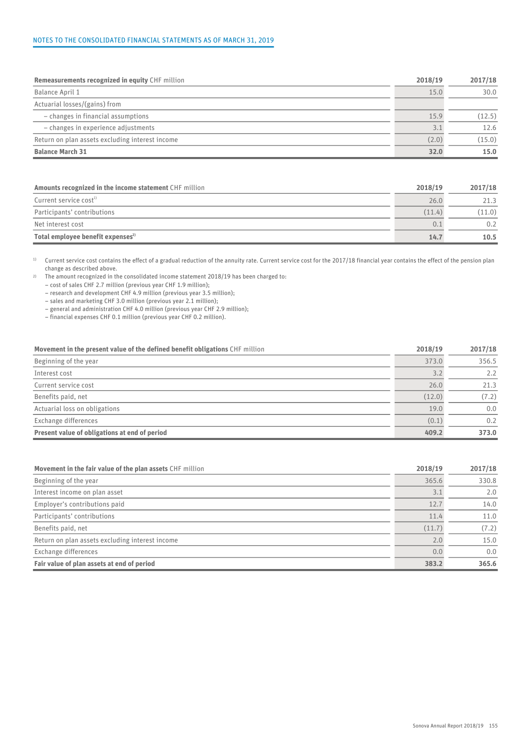#### NOTES TO THE CONSOLIDATED FINANCIAL STATEMENTS AS OF MARCH 31, 2019

| <b>Remeasurements recognized in equity CHF million</b> | 2018/19 | 2017/18 |  |
|--------------------------------------------------------|---------|---------|--|
| Balance April 1                                        | 15.0    | 30.0    |  |
| Actuarial losses/(gains) from                          |         |         |  |
| - changes in financial assumptions                     | 15.9    | (12.5)  |  |
| - changes in experience adjustments                    |         | 12.6    |  |
| Return on plan assets excluding interest income        | (2.0)   | (15.0)  |  |
| <b>Balance March 31</b>                                | 32.0    | 15.0    |  |

| Amounts recognized in the income statement CHF million | 2018/19 | 2017/18 |  |
|--------------------------------------------------------|---------|---------|--|
| Current service cost <sup>1)</sup>                     | 26.0    | 21.3    |  |
| Participants' contributions                            | (11.4)  | (11.0)  |  |
| Net interest cost                                      |         | 0.2     |  |
| Total employee benefit expenses <sup>2)</sup>          | 14.7    | 10.5    |  |

<sup>1)</sup> Current service cost contains the effect of a gradual reduction of the annuity rate. Current service cost for the 2017/18 financial year contains the effect of the pension plan change as described above.

2) The amount recognized in the consolidated income statement 2018/19 has been charged to:

– cost of sales CHF 2.7 million (previous year CHF 1.9 million);

– research and development CHF 4.9 million (previous year 3.5 million);

– sales and marketing CHF 3.0 million (previous year 2.1 million);

– general and administration CHF 4.0 million (previous year CHF 2.9 million);

– financial expenses CHF 0.1 million (previous year CHF 0.2 million).

| Movement in the present value of the defined benefit obligations CHF million | 2018/19 | 2017/18 |  |
|------------------------------------------------------------------------------|---------|---------|--|
| Beginning of the year                                                        | 373.0   | 356.5   |  |
| Interest cost                                                                |         | 2.2     |  |
| Current service cost                                                         | 26.0    | 21.3    |  |
| Benefits paid, net                                                           | (12.0)  | (7.2)   |  |
| Actuarial loss on obligations                                                | 19.0    | 0.0     |  |
| Exchange differences                                                         | (0.1)   | 0.2     |  |
| Present value of obligations at end of period                                | 409.2   | 373.0   |  |

| Movement in the fair value of the plan assets CHF million | 2018/19 | 2017/18 |  |
|-----------------------------------------------------------|---------|---------|--|
| Beginning of the year                                     | 365.6   | 330.8   |  |
| Interest income on plan asset                             |         | 2.0     |  |
| Employer's contributions paid                             | 12.7    | 14.0    |  |
| Participants' contributions                               | 11.4    | 11.0    |  |
| Benefits paid, net                                        | (11.7)  | (7.2)   |  |
| Return on plan assets excluding interest income           | 2.0     | 15.0    |  |
| Exchange differences                                      | 0.0     | 0.0     |  |
| Fair value of plan assets at end of period                | 383.2   | 365.6   |  |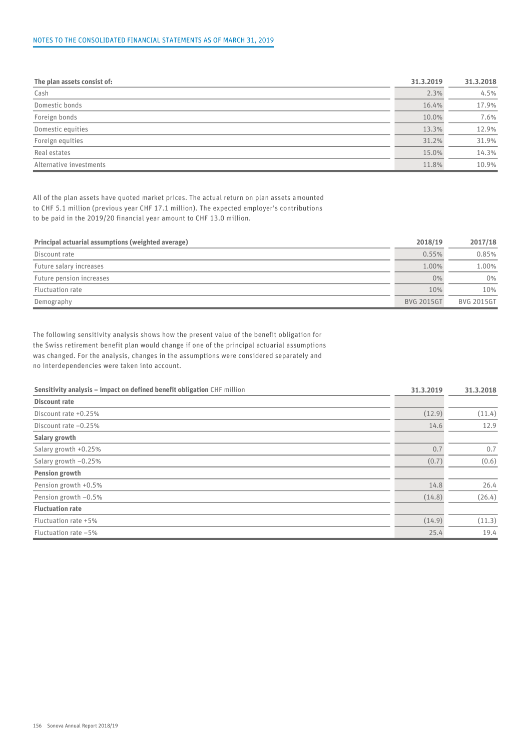#### NOTES TO THE CONSOLIDATED FINANCIAL STATEMENTS AS OF MARCH 31, 2019

| The plan assets consist of: | 31.3.2019 | 31.3.2018 |
|-----------------------------|-----------|-----------|
| Cash                        | 2.3%      | 4.5%      |
| Domestic bonds              | 16.4%     | 17.9%     |
| Foreign bonds               | 10.0%     | 7.6%      |
| Domestic equities           | 13.3%     | 12.9%     |
| Foreign equities            | 31.2%     | 31.9%     |
| Real estates                | 15.0%     | 14.3%     |
| Alternative investments     | 11.8%     | 10.9%     |

All of the plan assets have quoted market prices. The actual return on plan assets amounted to CHF 5.1 million (previous year CHF 17.1 million). The expected employer's contributions to be paid in the 2019/20 financial year amount to CHF 13.0 million.

| Principal actuarial assumptions (weighted average) | 2018/19           | 2017/18           |
|----------------------------------------------------|-------------------|-------------------|
| Discount rate                                      | 0.55%             | 0.85%             |
| Future salary increases                            | 1.00%             | 1.00%             |
| Future pension increases                           | 0%                | 0%                |
| Fluctuation rate                                   | 10%               | 10%               |
| Demography                                         | <b>BVG 2015GT</b> | <b>BVG 2015GT</b> |

The following sensitivity analysis shows how the present value of the benefit obligation for the Swiss retirement benefit plan would change if one of the principal actuarial assumptions was changed. For the analysis, changes in the assumptions were considered separately and no interdependencies were taken into account.

| Sensitivity analysis - impact on defined benefit obligation CHF million | 31.3.2019 | 31.3.2018 |
|-------------------------------------------------------------------------|-----------|-----------|
| <b>Discount rate</b>                                                    |           |           |
| Discount rate +0.25%                                                    | (12.9)    | (11.4)    |
| Discount rate -0.25%                                                    | 14.6      | 12.9      |
| Salary growth                                                           |           |           |
| Salary growth +0.25%                                                    | 0.7       | 0.7       |
| Salary growth -0.25%                                                    | (0.7)     | (0.6)     |
| <b>Pension growth</b>                                                   |           |           |
| Pension growth +0.5%                                                    | 14.8      | 26.4      |
| Pension growth -0.5%                                                    | (14.8)    | (26.4)    |
| <b>Fluctuation rate</b>                                                 |           |           |
| Fluctuation rate +5%                                                    | (14.9)    | (11.3)    |
| Fluctuation rate -5%                                                    | 25.4      | 19.4      |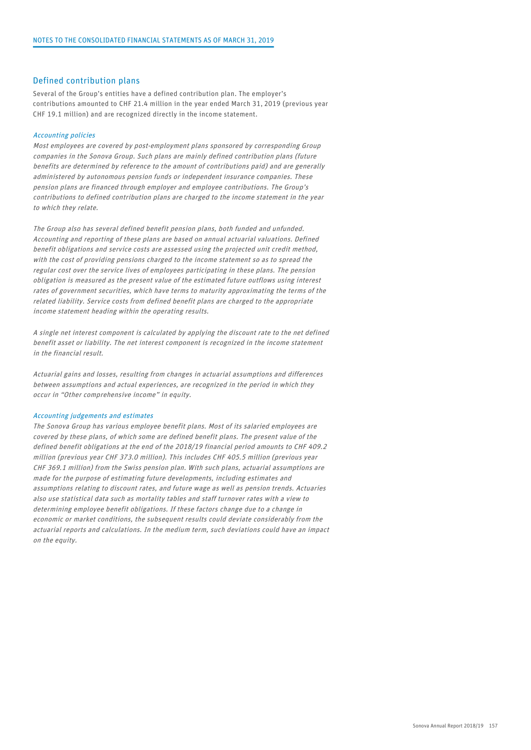#### Defined contribution plans

Several of the Group's entities have a defined contribution plan. The employer's contributions amounted to CHF 21.4 million in the year ended March 31, 2019 (previous year CHF 19.1 million) and are recognized directly in the income statement.

#### Accounting policies

Most employees are covered by post-employment plans sponsored by corresponding Group companies in the Sonova Group. Such plans are mainly defined contribution plans (future benefits are determined by reference to the amount of contributions paid) and are generally administered by autonomous pension funds or independent insurance companies. These pension plans are financed through employer and employee contributions. The Group's contributions to defined contribution plans are charged to the income statement in the year to which they relate.

The Group also has several defined benefit pension plans, both funded and unfunded. Accounting and reporting of these plans are based on annual actuarial valuations. Defined benefit obligations and service costs are assessed using the projected unit credit method, with the cost of providing pensions charged to the income statement so as to spread the regular cost over the service lives of employees participating in these plans. The pension obligation is measured as the present value of the estimated future outflows using interest rates of government securities, which have terms to maturity approximating the terms of the related liability. Service costs from defined benefit plans are charged to the appropriate income statement heading within the operating results.

A single net interest component is calculated by applying the discount rate to the net defined benefit asset or liability. The net interest component is recognized in the income statement in the financial result.

Actuarial gains and losses, resulting from changes in actuarial assumptions and differences between assumptions and actual experiences, are recognized in the period in which they occur in "Other comprehensive income" in equity.

#### Accounting judgements and estimates

The Sonova Group has various employee benefit plans. Most of its salaried employees are covered by these plans, of which some are defined benefit plans. The present value of the defined benefit obligations at the end of the 2018/19 financial period amounts to CHF 409.2 million (previous year CHF 373.0 million). This includes CHF 405.5 million (previous year CHF 369.1 million) from the Swiss pension plan. With such plans, actuarial assumptions are made for the purpose of estimating future developments, including estimates and assumptions relating to discount rates, and future wage as well as pension trends. Actuaries also use statistical data such as mortality tables and staff turnover rates with a view to determining employee benefit obligations. If these factors change due to a change in economic or market conditions, the subsequent results could deviate considerably from the actuarial reports and calculations. In the medium term, such deviations could have an impact on the equity.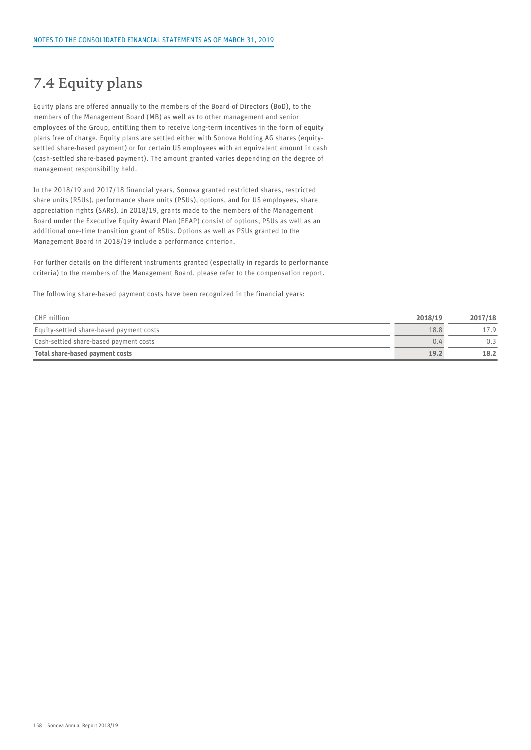### 7.4 Equity plans

Equity plans are offered annually to the members of the Board of Directors (BoD), to the members of the Management Board (MB) as well as to other management and senior employees of the Group, entitling them to receive long-term incentives in the form of equity plans free of charge. Equity plans are settled either with Sonova Holding AG shares (equitysettled share-based payment) or for certain US employees with an equivalent amount in cash (cash-settled share-based payment). The amount granted varies depending on the degree of management responsibility held.

In the 2018/19 and 2017/18 financial years, Sonova granted restricted shares, restricted share units (RSUs), performance share units (PSUs), options, and for US employees, share appreciation rights (SARs). In 2018/19, grants made to the members of the Management Board under the Executive Equity Award Plan (EEAP) consist of options, PSUs as well as an additional one-time transition grant of RSUs. Options as well as PSUs granted to the Management Board in 2018/19 include a performance criterion.

For further details on the different instruments granted (especially in regards to performance criteria) to the members of the Management Board, please refer to the compensation report.

The following share-based payment costs have been recognized in the financial years:

| CHF million                              | 2018/19 | 2017/18 |  |
|------------------------------------------|---------|---------|--|
| Equity-settled share-based payment costs | 18.8    |         |  |
| Cash-settled share-based payment costs   | 0.4     | 0. .    |  |
| Total share-based payment costs          | 19.2    | 18.2    |  |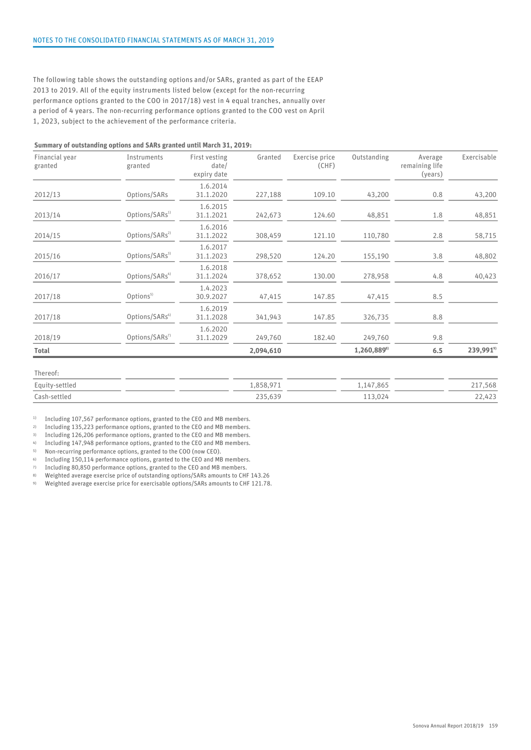The following table shows the outstanding options and/or SARs, granted as part of the EEAP 2013 to 2019. All of the equity instruments listed below (except for the non-recurring performance options granted to the COO in 2017/18) vest in 4 equal tranches, annually over a period of 4 years. The non-recurring performance options granted to the COO vest on April 1, 2023, subject to the achievement of the performance criteria.

#### Summary of outstanding options and SARs granted until March 31, 2019:

| Financial year<br>granted | Instruments<br>granted     | First vesting<br>date/<br>expiry date | Granted   | Exercise price<br>(CHF) | Outstanding     | Average<br>remaining life<br>(years) | Exercisable          |
|---------------------------|----------------------------|---------------------------------------|-----------|-------------------------|-----------------|--------------------------------------|----------------------|
| 2012/13                   | Options/SARs               | 1.6.2014<br>31.1.2020                 | 227,188   | 109.10                  | 43,200          | 0.8                                  | 43,200               |
| 2013/14                   | Options/SARs <sup>1)</sup> | 1.6.2015<br>31.1.2021                 | 242,673   | 124.60                  | 48,851          | 1.8                                  | 48,851               |
| 2014/15                   | Options/SARs <sup>2)</sup> | 1.6.2016<br>31.1.2022                 | 308,459   | 121.10                  | 110,780         | 2.8                                  | 58,715               |
| 2015/16                   | Options/SARs <sup>3)</sup> | 1.6.2017<br>31.1.2023                 | 298,520   | 124.20                  | 155,190         | 3.8                                  | 48,802               |
| 2016/17                   | Options/SARs <sup>4)</sup> | 1.6.2018<br>31.1.2024                 | 378,652   | 130.00                  | 278,958         | 4.8                                  | 40,423               |
| 2017/18                   | Options <sup>5)</sup>      | 1.4.2023<br>30.9.2027                 | 47,415    | 147.85                  | 47,415          | 8.5                                  |                      |
| 2017/18                   | Options/SARs <sup>6)</sup> | 1.6.2019<br>31.1.2028                 | 341,943   | 147.85                  | 326,735         | 8.8                                  |                      |
| 2018/19                   | Options/SARs <sup>7)</sup> | 1.6.2020<br>31.1.2029                 | 249,760   | 182.40                  | 249,760         | 9.8                                  |                      |
| Total                     |                            |                                       | 2,094,610 |                         | $1,260,889^{s}$ | 6.5                                  | 239,991 <sup>9</sup> |

| Equity-settled | 0.50.07<br>l.ojo.y/                            | ,865<br>ı д | 217,568<br>the contract of the contract of |
|----------------|------------------------------------------------|-------------|--------------------------------------------|
| Cash-settled   | $\sim$<br>225<br>$\sim$ $\sim$ $\sim$<br>ـ ن د | .024        | 122<br>$\cap$<br>44,44J                    |

<sup>1)</sup> Including 107,567 performance options, granted to the CEO and MB members.

2) Including 135,223 performance options, granted to the CEO and MB members.

3) Including 126,206 performance options, granted to the CEO and MB members.

4) Including 147,948 performance options, granted to the CEO and MB members.

5) Non-recurring performance options, granted to the COO (now CEO).

6) Including 150,114 performance options, granted to the CEO and MB members.

7) Including 80,850 performance options, granted to the CEO and MB members.

8) Weighted average exercise price of outstanding options/SARs amounts to CHF 143.26

9) Weighted average exercise price for exercisable options/SARs amounts to CHF 121.78.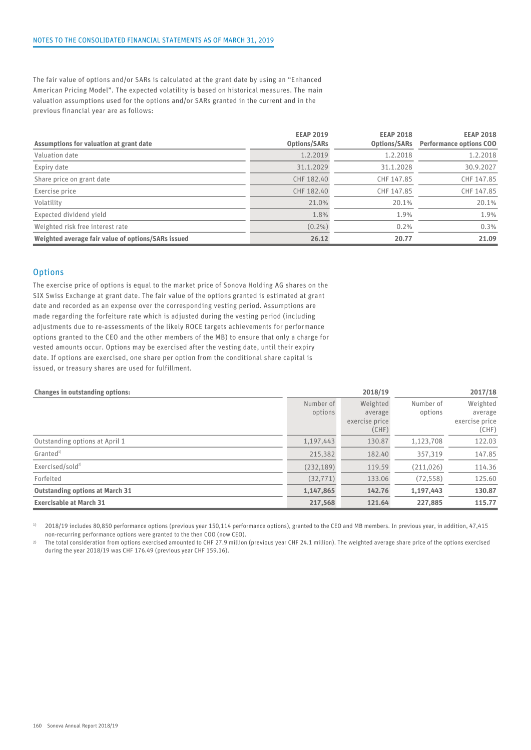The fair value of options and/or SARs is calculated at the grant date by using an "Enhanced American Pricing Model". The expected volatility is based on historical measures. The main valuation assumptions used for the options and/or SARs granted in the current and in the previous financial year are as follows:

| Assumptions for valuation at grant date            | <b>EEAP 2019</b><br>Options/SARs | <b>EEAP 2018</b><br>Options/SARs | <b>EEAP 2018</b><br><b>Performance options COO</b> |
|----------------------------------------------------|----------------------------------|----------------------------------|----------------------------------------------------|
| Valuation date                                     | 1.2.2019                         | 1.2.2018                         | 1.2.2018                                           |
| Expiry date                                        | 31.1.2029                        | 31.1.2028                        | 30.9.2027                                          |
| Share price on grant date                          | CHF 182.40                       | CHF 147.85                       | CHF 147.85                                         |
| Exercise price                                     | CHF 182.40                       | CHF 147.85                       | CHF 147.85                                         |
| Volatility                                         | 21.0%                            | 20.1%                            | 20.1%                                              |
| Expected dividend yield                            | 1.8%                             | 1.9%                             | 1.9%                                               |
| Weighted risk free interest rate                   | $(0.2\%)$                        | 0.2%                             | 0.3%                                               |
| Weighted average fair value of options/SARs issued | 26.12                            | 20.77                            | 21.09                                              |

#### **Options**

The exercise price of options is equal to the market price of Sonova Holding AG shares on the SIX Swiss Exchange at grant date. The fair value of the options granted is estimated at grant date and recorded as an expense over the corresponding vesting period. Assumptions are made regarding the forfeiture rate which is adjusted during the vesting period (including adjustments due to re-assessments of the likely ROCE targets achievements for performance options granted to the CEO and the other members of the MB) to ensure that only a charge for vested amounts occur. Options may be exercised after the vesting date, until their expiry date. If options are exercised, one share per option from the conditional share capital is issued, or treasury shares are used for fulfillment.

| <b>Changes in outstanding options:</b> | 2018/19<br>2017/18   |                                                |                      |                                                |  |  |
|----------------------------------------|----------------------|------------------------------------------------|----------------------|------------------------------------------------|--|--|
|                                        | Number of<br>options | Weighted<br>average<br>exercise price<br>(CHF) | Number of<br>options | Weighted<br>average<br>exercise price<br>(CHF) |  |  |
| Outstanding options at April 1         | 1,197,443            | 130.87                                         | 1,123,708            | 122.03                                         |  |  |
| Granted <sup>1)</sup>                  | 215,382              | 182.40                                         | 357,319              | 147.85                                         |  |  |
| Exercised/sold <sup>2)</sup>           | (232, 189)           | 119.59                                         | (211, 026)           | 114.36                                         |  |  |
| Forfeited                              | (32, 771)            | 133.06                                         | (72, 558)            | 125.60                                         |  |  |
| <b>Outstanding options at March 31</b> | 1,147,865            | 142.76                                         | 1,197,443            | 130.87                                         |  |  |
| <b>Exercisable at March 31</b>         | 217,568              | 121.64                                         | 227,885              | 115.77                                         |  |  |

1) 2018/19 includes 80,850 performance options (previous year 150,114 performance options), granted to the CEO and MB members. In previous year, in addition, 47,415 non-recurring performance options were granted to the then COO (now CEO).

2) The total consideration from options exercised amounted to CHF 27.9 million (previous year CHF 24.1 million). The weighted average share price of the options exercised during the year 2018/19 was CHF 176.49 (previous year CHF 159.16).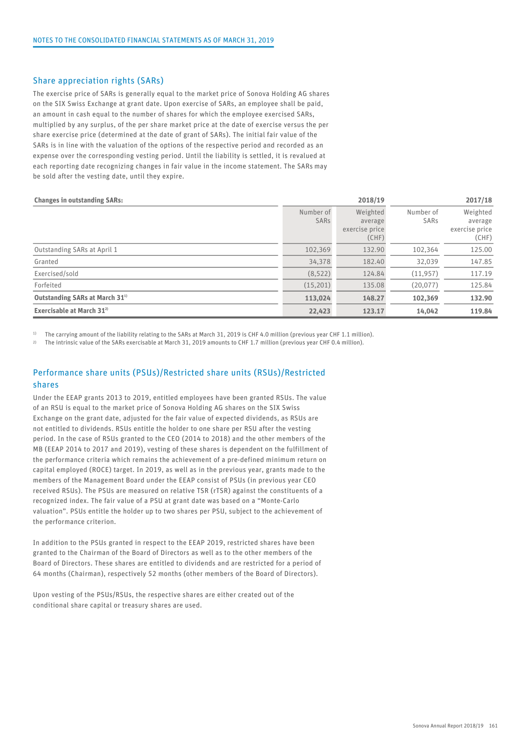#### Share appreciation rights (SARs)

The exercise price of SARs is generally equal to the market price of Sonova Holding AG shares on the SIX Swiss Exchange at grant date. Upon exercise of SARs, an employee shall be paid, an amount in cash equal to the number of shares for which the employee exercised SARs, multiplied by any surplus, of the per share market price at the date of exercise versus the per share exercise price (determined at the date of grant of SARs). The initial fair value of the SARs is in line with the valuation of the options of the respective period and recorded as an expense over the corresponding vesting period. Until the liability is settled, it is revalued at each reporting date recognizing changes in fair value in the income statement. The SARs may be sold after the vesting date, until they expire.

#### Changes in outstanding SARs: 2018/19 2017/18

|                                            |                   | ------                                         | ------            |                                                |  |
|--------------------------------------------|-------------------|------------------------------------------------|-------------------|------------------------------------------------|--|
|                                            | Number of<br>SARs | Weighted<br>average<br>exercise price<br>(CHF) | Number of<br>SARs | Weighted<br>average<br>exercise price<br>(CHF) |  |
| Outstanding SARs at April 1                | 102,369           | 132.90                                         | 102,364           | 125.00                                         |  |
| Granted                                    | 34,378            | 182.40                                         | 32,039            | 147.85                                         |  |
| Exercised/sold                             | (8,522)           | 124.84                                         | (11, 957)         | 117.19                                         |  |
| Forfeited                                  | (15,201)          | 135.08                                         | (20, 077)         | 125.84                                         |  |
| Outstanding SARs at March 31 <sup>1)</sup> | 113,024           | 148.27                                         | 102,369           | 132.90                                         |  |
| Exercisable at March $31^{2}$              | 22,423            | 123.17                                         | 14,042            | 119.84                                         |  |
|                                            |                   |                                                |                   |                                                |  |

1) The carrying amount of the liability relating to the SARs at March 31, 2019 is CHF 4.0 million (previous year CHF 1.1 million).

2) The intrinsic value of the SARs exercisable at March 31, 2019 amounts to CHF 1.7 million (previous year CHF 0.4 million).

### Performance share units (PSUs)/Restricted share units (RSUs)/Restricted shares

Under the EEAP grants 2013 to 2019, entitled employees have been granted RSUs. The value of an RSU is equal to the market price of Sonova Holding AG shares on the SIX Swiss Exchange on the grant date, adjusted for the fair value of expected dividends, as RSUs are not entitled to dividends. RSUs entitle the holder to one share per RSU after the vesting period. In the case of RSUs granted to the CEO (2014 to 2018) and the other members of the MB (EEAP 2014 to 2017 and 2019), vesting of these shares is dependent on the fulfillment of the performance criteria which remains the achievement of a pre-defined minimum return on capital employed (ROCE) target. In 2019, as well as in the previous year, grants made to the members of the Management Board under the EEAP consist of PSUs (in previous year CEO received RSUs). The PSUs are measured on relative TSR (rTSR) against the constituents of a recognized index. The fair value of a PSU at grant date was based on a "Monte-Carlo valuation". PSUs entitle the holder up to two shares per PSU, subject to the achievement of the performance criterion.

In addition to the PSUs granted in respect to the EEAP 2019, restricted shares have been granted to the Chairman of the Board of Directors as well as to the other members of the Board of Directors. These shares are entitled to dividends and are restricted for a period of 64 months (Chairman), respectively 52 months (other members of the Board of Directors).

Upon vesting of the PSUs/RSUs, the respective shares are either created out of the conditional share capital or treasury shares are used.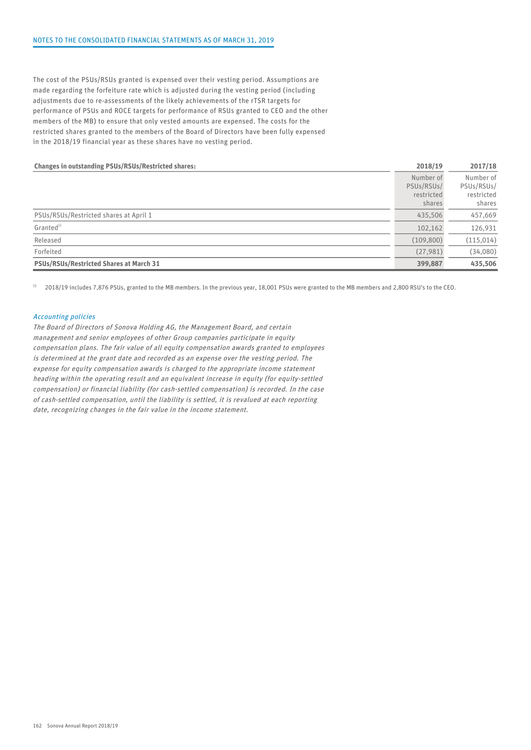The cost of the PSUs/RSUs granted is expensed over their vesting period. Assumptions are made regarding the forfeiture rate which is adjusted during the vesting period (including adjustments due to re-assessments of the likely achievements of the rTSR targets for performance of PSUs and ROCE targets for performance of RSUs granted to CEO and the other members of the MB) to ensure that only vested amounts are expensed. The costs for the restricted shares granted to the members of the Board of Directors have been fully expensed in the 2018/19 financial year as these shares have no vesting period.

| <b>Changes in outstanding PSUs/RSUs/Restricted shares:</b> | 2018/19                                         | 2017/18                                         |  |
|------------------------------------------------------------|-------------------------------------------------|-------------------------------------------------|--|
|                                                            | Number of<br>PSUs/RSUs/<br>restricted<br>shares | Number of<br>PSUs/RSUs/<br>restricted<br>shares |  |
| PSUs/RSUs/Restricted shares at April 1                     | 435,506                                         | 457,669                                         |  |
| Granted <sup>1)</sup>                                      | 102,162                                         | 126,931                                         |  |
| Released                                                   | (109, 800)                                      | (115, 014)                                      |  |
| Forfeited                                                  | (27, 981)                                       | (34,080)                                        |  |
| <b>PSUs/RSUs/Restricted Shares at March 31</b>             | 399,887                                         | 435,506                                         |  |

<sup>1)</sup> 2018/19 includes 7,876 PSUs, granted to the MB members. In the previous year, 18,001 PSUs were granted to the MB members and 2,800 RSU's to the CEO.

#### Accounting policies

The Board of Directors of Sonova Holding AG, the Management Board, and certain management and senior employees of other Group companies participate in equity compensation plans. The fair value of all equity compensation awards granted to employees is determined at the grant date and recorded as an expense over the vesting period. The expense for equity compensation awards is charged to the appropriate income statement heading within the operating result and an equivalent increase in equity (for equity-settled compensation) or financial liability (for cash-settled compensation) is recorded. In the case of cash-settled compensation, until the liability is settled, it is revalued at each reporting date, recognizing changes in the fair value in the income statement.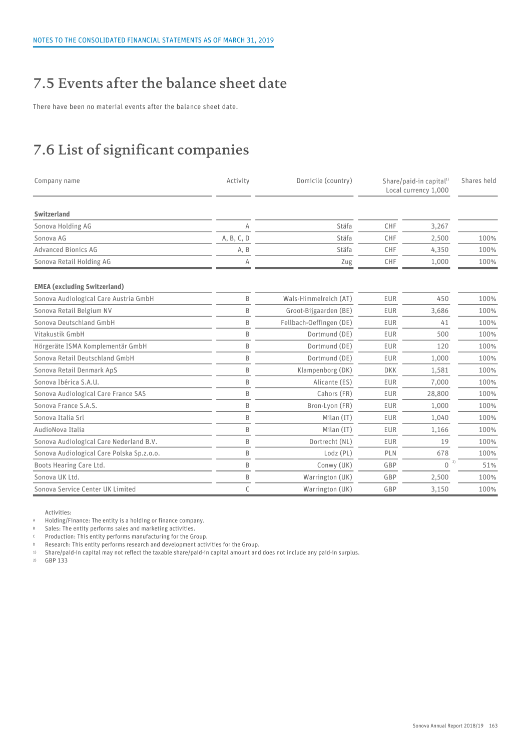## 7.5 Events after the balance sheet date

There have been no material events after the balance sheet date.

## 7.6 List of significant companies

| Company name                              | Activity   | Domicile (country)      | Share/paid-in capital <sup>1)</sup><br>Local currency 1,000 |                    | Shares held |
|-------------------------------------------|------------|-------------------------|-------------------------------------------------------------|--------------------|-------------|
| Switzerland                               |            |                         |                                                             |                    |             |
| Sonova Holding AG                         | A          | Stäfa                   | CHF                                                         | 3,267              |             |
| Sonova AG                                 | A, B, C, D | Stäfa                   | CHF                                                         | 2,500              | 100%        |
| <b>Advanced Bionics AG</b>                | A, B       | Stäfa                   | CHF                                                         | 4,350              | 100%        |
| Sonova Retail Holding AG                  | Α          | Zug                     | CHF                                                         | 1,000              | 100%        |
| <b>EMEA (excluding Switzerland)</b>       |            |                         |                                                             |                    |             |
| Sonova Audiological Care Austria GmbH     | B          | Wals-Himmelreich (AT)   | EUR                                                         | 450                | 100%        |
| Sonova Retail Belgium NV                  | B          | Groot-Bijgaarden (BE)   | EUR                                                         | 3,686              | 100%        |
| Sonova Deutschland GmbH                   | B          | Fellbach-Oeffingen (DE) | <b>EUR</b>                                                  | 41                 | 100%        |
| Vitakustik GmbH                           | B          | Dortmund (DE)           | EUR                                                         | 500                | 100%        |
| Hörgeräte ISMA Komplementär GmbH          | B          | Dortmund (DE)           | EUR                                                         | 120                | 100%        |
| Sonova Retail Deutschland GmbH            | B          | Dortmund (DE)           | EUR                                                         | 1,000              | 100%        |
| Sonova Retail Denmark ApS                 | B          | Klampenborg (DK)        | <b>DKK</b>                                                  | 1,581              | 100%        |
| Sonova Ibérica S.A.U.                     | B          | Alicante (ES)           | EUR                                                         | 7,000              | 100%        |
| Sonova Audiological Care France SAS       | B          | Cahors (FR)             | EUR                                                         | 28,800             | 100%        |
| Sonova France S.A.S.                      | B          | Bron-Lyon (FR)          | EUR                                                         | 1,000              | 100%        |
| Sonova Italia Srl                         | B          | Milan (IT)              | <b>EUR</b>                                                  | 1,040              | 100%        |
| AudioNova Italia                          | B          | Milan (IT)              | <b>EUR</b>                                                  | 1,166              | 100%        |
| Sonova Audiological Care Nederland B.V.   | B          | Dortrecht (NL)          | EUR                                                         | 19                 | 100%        |
| Sonova Audiological Care Polska Sp.z.o.o. | B          | Lodz (PL)               | PLN                                                         | 678                | 100%        |
| Boots Hearing Care Ltd.                   | B          | Conwy (UK)              | GBP                                                         | 2)<br>$\mathbf{0}$ | 51%         |
| Sonova UK Ltd.                            | B          | Warrington (UK)         | GBP                                                         | 2,500              | 100%        |
| Sonova Service Center UK Limited          | C          | Warrington (UK)         | GBP                                                         | 3,150              | 100%        |

Activities:

<sup>A</sup> Holding/Finance: The entity is a holding or finance company.

B Sales: The entity performs sales and marketing activities.

<sup>C</sup> Production: This entity performs manufacturing for the Group.

<sup>D</sup> Research: This entity performs research and development activities for the Group.

1) Share/paid-in capital may not reflect the taxable share/paid-in capital amount and does not include any paid-in surplus.

2) GBP 133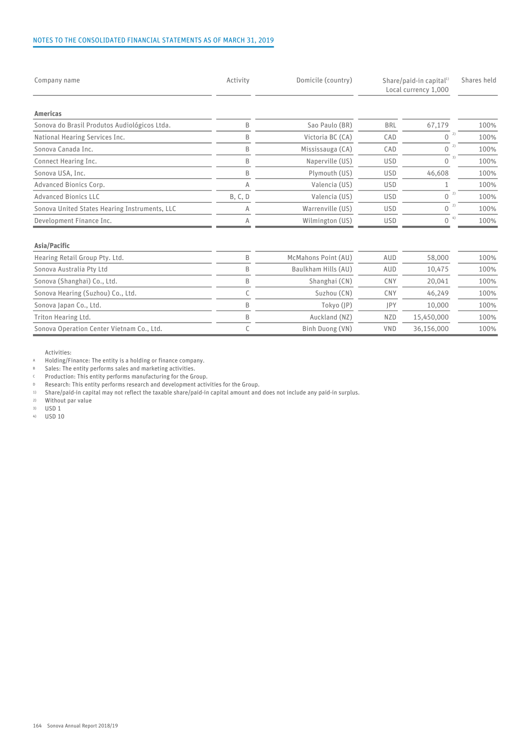#### NOTES TO THE CONSOLIDATED FINANCIAL STATEMENTS AS OF MARCH 31, 2019

| Company name                                  | Activity | Domicile (country)  | Share/paid-in capital <sup>1)</sup><br>Local currency 1,000 |                    | Shares held |
|-----------------------------------------------|----------|---------------------|-------------------------------------------------------------|--------------------|-------------|
| Americas                                      |          |                     |                                                             |                    |             |
| Sonova do Brasil Produtos Audiológicos Ltda.  | B        | Sao Paulo (BR)      | <b>BRL</b>                                                  | 67,179             | 100%        |
| National Hearing Services Inc.                | B        | Victoria BC (CA)    | CAD                                                         | 2)<br>$\mathbf{0}$ | 100%        |
| Sonova Canada Inc.                            | B        | Mississauga (CA)    | CAD                                                         | 2)<br>$\mathbf{0}$ | 100%        |
| Connect Hearing Inc.                          | B        | Naperville (US)     | <b>USD</b>                                                  | $\mathbf{0}$       | 100%        |
| Sonova USA, Inc.                              | B        | Plymouth (US)       | <b>USD</b>                                                  | 46,608             | 100%        |
| Advanced Bionics Corp.                        | A        | Valencia (US)       | <b>USD</b>                                                  |                    | 100%        |
| <b>Advanced Bionics LLC</b>                   | B, C, D  | Valencia (US)       | <b>USD</b>                                                  | 2)<br>$\mathbf{0}$ | 100%        |
| Sonova United States Hearing Instruments, LLC | A        | Warrenville (US)    | <b>USD</b>                                                  | 2)<br>$\mathbf{0}$ | 100%        |
| Development Finance Inc.                      |          | Wilmington (US)     | <b>USD</b>                                                  | 4)<br>0            | 100%        |
| Asia/Pacific                                  |          |                     |                                                             |                    |             |
| Hearing Retail Group Pty. Ltd.                | B        | McMahons Point (AU) | AUD                                                         | 58,000             | 100%        |
| Sonova Australia Pty Ltd                      | B        | Baulkham Hills (AU) | AUD                                                         | 10,475             | 100%        |
| Sonova (Shanghai) Co., Ltd.                   | B        | Shanghai (CN)       | <b>CNY</b>                                                  | 20,041             | 100%        |
| Sonova Hearing (Suzhou) Co., Ltd.             |          | Suzhou (CN)         | CNY                                                         | 46,249             | 100%        |
| Sonova Japan Co., Ltd.                        | B        | Tokyo (JP)          | <b>IPY</b>                                                  | 10,000             | 100%        |

Sonova Operation Center Vietnam Co., Ltd. C Binh Duong (VN) VND 36,156,000 100%

Triton Hearing Ltd. B Auckland (NZ) NZD 15,450,000 100%

Activities:

<sup>A</sup> Holding/Finance: The entity is a holding or finance company.

B Sales: The entity performs sales and marketing activities.

**C** Production: This entity performs manufacturing for the Group.<br>Research: This entity performs research and development active

D Research: This entity performs research and development activities for the Group.<br>
1) Share/paid-in capital may not reflect the taxable share/paid-in capital amount and

1) Share/paid-in capital may not reflect the taxable share/paid-in capital amount and does not include any paid-in surplus.

Without par value

3) USD 1

4) USD 10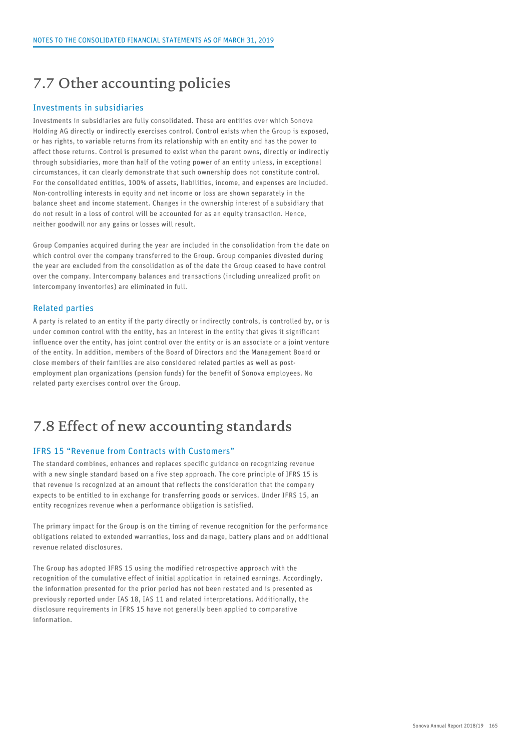### 7.7 Other accounting policies

#### Investments in subsidiaries

Investments in subsidiaries are fully consolidated. These are entities over which Sonova Holding AG directly or indirectly exercises control. Control exists when the Group is exposed, or has rights, to variable returns from its relationship with an entity and has the power to affect those returns. Control is presumed to exist when the parent owns, directly or indirectly through subsidiaries, more than half of the voting power of an entity unless, in exceptional circumstances, it can clearly demonstrate that such ownership does not constitute control. For the consolidated entities, 100% of assets, liabilities, income, and expenses are included. Non-controlling interests in equity and net income or loss are shown separately in the balance sheet and income statement. Changes in the ownership interest of a subsidiary that do not result in a loss of control will be accounted for as an equity transaction. Hence, neither goodwill nor any gains or losses will result.

Group Companies acquired during the year are included in the consolidation from the date on which control over the company transferred to the Group. Group companies divested during the year are excluded from the consolidation as of the date the Group ceased to have control over the company. Intercompany balances and transactions (including unrealized profit on intercompany inventories) are eliminated in full.

#### Related parties

A party is related to an entity if the party directly or indirectly controls, is controlled by, or is under common control with the entity, has an interest in the entity that gives it significant influence over the entity, has joint control over the entity or is an associate or a joint venture of the entity. In addition, members of the Board of Directors and the Management Board or close members of their families are also considered related parties as well as postemployment plan organizations (pension funds) for the benefit of Sonova employees. No related party exercises control over the Group.

### 7.8 Effect of new accounting standards

#### IFRS 15 "Revenue from Contracts with Customers"

The standard combines, enhances and replaces specific guidance on recognizing revenue with a new single standard based on a five step approach. The core principle of IFRS 15 is that revenue is recognized at an amount that reflects the consideration that the company expects to be entitled to in exchange for transferring goods or services. Under IFRS 15, an entity recognizes revenue when a performance obligation is satisfied.

The primary impact for the Group is on the timing of revenue recognition for the performance obligations related to extended warranties, loss and damage, battery plans and on additional revenue related disclosures.

The Group has adopted IFRS 15 using the modified retrospective approach with the recognition of the cumulative effect of initial application in retained earnings. Accordingly, the information presented for the prior period has not been restated and is presented as previously reported under IAS 18, IAS 11 and related interpretations. Additionally, the disclosure requirements in IFRS 15 have not generally been applied to comparative information.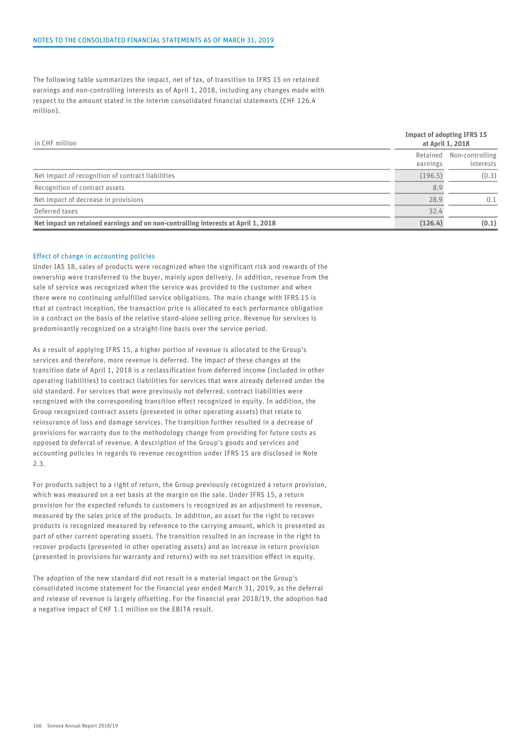The following table summarizes the impact, net of tax, of transition to IFRS 15 on retained earnings and non-controlling interests as of April 1, 2018, including any changes made with respect to the amount stated in the interim consolidated financial statements (CHF 126.4 million).

| in CHF million                                                                    | <b>Impact of adopting IFRS 15</b><br>at April 1, 2018 |                              |  |
|-----------------------------------------------------------------------------------|-------------------------------------------------------|------------------------------|--|
|                                                                                   | Retained<br>earnings                                  | Non-controlling<br>interests |  |
| Net impact of recognition of contract liabilities                                 | (196.5)                                               | (0.3)                        |  |
| Recognition of contract assets                                                    | 8.9                                                   |                              |  |
| Net impact of decrease in provisions                                              | 28.9                                                  | 0.1                          |  |
| Deferred taxes                                                                    | 32.4                                                  |                              |  |
| Net impact on retained earnings and on non-controlling interests at April 1, 2018 | (126.4)                                               | (0.1)                        |  |

#### Effect of change in accounting policies

Under IAS 18, sales of products were recognized when the significant risk and rewards of the ownership were transferred to the buyer, mainly upon delivery. In addition, revenue from the sale of service was recognized when the service was provided to the customer and when there were no continuing unfulfilled service obligations. The main change with IFRS 15 is that at contract inception, the transaction price is allocated to each performance obligation in a contract on the basis of the relative stand-alone selling price. Revenue for services is predominantly recognized on a straight-line basis over the service period.

As a result of applying IFRS 15, a higher portion of revenue is allocated to the Group's services and therefore, more revenue is deferred. The impact of these changes at the transition date of April 1, 2018 is a reclassification from deferred income (included in other operating liabilities) to contract liabilities for services that were already deferred under the old standard. For services that were previously not deferred, contract liabilities were recognized with the corresponding transition effect recognized in equity. In addition, the Group recognized contract assets (presented in other operating assets) that relate to reinsurance of loss and damage services. The transition further resulted in a decrease of provisions for warranty due to the methodology change from providing for future costs as opposed to deferral of revenue. A description of the Group's goods and services and accounting policies in regards to revenue recognition under IFRS 15 are disclosed in Note 2.3.

For products subject to a right of return, the Group previously recognized a return provision, which was measured on a net basis at the margin on the sale. Under IFRS 15, a return provision for the expected refunds to customers is recognized as an adjustment to revenue, measured by the sales price of the products. In addition, an asset for the right to recover products is recognized measured by reference to the carrying amount, which is presented as part of other current operating assets. The transition resulted in an increase in the right to recover products (presented in other operating assets) and an increase in return provision (presented in provisions for warranty and returns) with no net transition effect in equity.

The adoption of the new standard did not result in a material impact on the Group's consolidated income statement for the financial year ended March 31, 2019, as the deferral and release of revenue is largely offsetting. For the financial year 2018/19, the adoption had a negative impact of CHF 1.1 million on the EBITA result.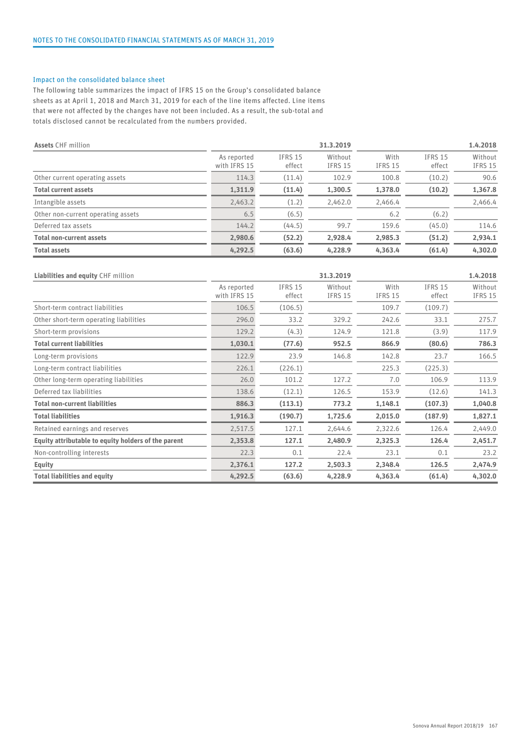#### Impact on the consolidated balance sheet

The following table summarizes the impact of IFRS 15 on the Group's consolidated balance sheets as at April 1, 2018 and March 31, 2019 for each of the line items affected. Line items that were not affected by the changes have not been included. As a result, the sub-total and totals disclosed cannot be recalculated from the numbers provided.

| <b>Assets CHF million</b>          |                             |                          | 31.3.2019                 |                        |                          | 1.4.2018           |
|------------------------------------|-----------------------------|--------------------------|---------------------------|------------------------|--------------------------|--------------------|
|                                    | As reported<br>with IFRS 15 | <b>IFRS 15</b><br>effect | Without<br><b>IFRS 15</b> | With<br><b>IFRS 15</b> | <b>IFRS 15</b><br>effect | Without<br>IFRS 15 |
| Other current operating assets     | 114.3                       | (11.4)                   | 102.9                     | 100.8                  | (10.2)                   | 90.6               |
| <b>Total current assets</b>        | 1,311.9                     | (11.4)                   | 1,300.5                   | 1,378.0                | (10.2)                   | 1,367.8            |
| Intangible assets                  | 2,463.2                     | (1.2)                    | 2,462.0                   | 2,466.4                |                          | 2,466.4            |
| Other non-current operating assets | 6.5                         | (6.5)                    |                           | 6.2                    | (6.2)                    |                    |
| Deferred tax assets                | 144.2                       | (44.5)                   | 99.7                      | 159.6                  | (45.0)                   | 114.6              |
| <b>Total non-current assets</b>    | 2,980.6                     | (52.2)                   | 2,928.4                   | 2,985.3                | (51.2)                   | 2,934.1            |
| <b>Total assets</b>                | 4.292.5                     | (63.6)                   | 4,228.9                   | 4,363.4                | (61.4)                   | 4,302.0            |

| Liabilities and equity CHF million                  |                             |                          | 31.3.2019                 |                        |                          | 1.4.2018           |
|-----------------------------------------------------|-----------------------------|--------------------------|---------------------------|------------------------|--------------------------|--------------------|
|                                                     | As reported<br>with IFRS 15 | <b>IFRS 15</b><br>effect | Without<br><b>IFRS 15</b> | With<br><b>IFRS 15</b> | <b>IFRS 15</b><br>effect | Without<br>IFRS 15 |
| Short-term contract liabilities                     | 106.5                       | (106.5)                  |                           | 109.7                  | (109.7)                  |                    |
| Other short-term operating liabilities              | 296.0                       | 33.2                     | 329.2                     | 242.6                  | 33.1                     | 275.7              |
| Short-term provisions                               | 129.2                       | (4.3)                    | 124.9                     | 121.8                  | (3.9)                    | 117.9              |
| <b>Total current liabilities</b>                    | 1,030.1                     | (77.6)                   | 952.5                     | 866.9                  | (80.6)                   | 786.3              |
| Long-term provisions                                | 122.9                       | 23.9                     | 146.8                     | 142.8                  | 23.7                     | 166.5              |
| Long-term contract liabilities                      | 226.1                       | (226.1)                  |                           | 225.3                  | (225.3)                  |                    |
| Other long-term operating liabilities               | 26.0                        | 101.2                    | 127.2                     | 7.0                    | 106.9                    | 113.9              |
| Deferred tax liabilities                            | 138.6                       | (12.1)                   | 126.5                     | 153.9                  | (12.6)                   | 141.3              |
| <b>Total non-current liabilities</b>                | 886.3                       | (113.1)                  | 773.2                     | 1,148.1                | (107.3)                  | 1,040.8            |
| <b>Total liabilities</b>                            | 1,916.3                     | (190.7)                  | 1,725.6                   | 2,015.0                | (187.9)                  | 1,827.1            |
| Retained earnings and reserves                      | 2,517.5                     | 127.1                    | 2,644.6                   | 2,322.6                | 126.4                    | 2,449.0            |
| Equity attributable to equity holders of the parent | 2,353.8                     | 127.1                    | 2,480.9                   | 2,325.3                | 126.4                    | 2,451.7            |
| Non-controlling interests                           | 22.3                        | 0.1                      | 22.4                      | 23.1                   | 0.1                      | 23.2               |
| <b>Equity</b>                                       | 2,376.1                     | 127.2                    | 2,503.3                   | 2,348.4                | 126.5                    | 2,474.9            |
| <b>Total liabilities and equity</b>                 | 4,292.5                     | (63.6)                   | 4,228.9                   | 4,363.4                | (61.4)                   | 4,302.0            |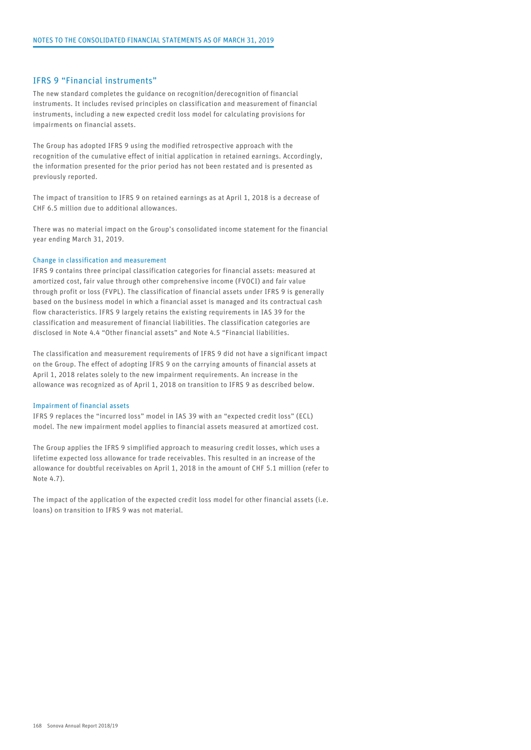#### IFRS 9 "Financial instruments"

The new standard completes the guidance on recognition/derecognition of financial instruments. It includes revised principles on classification and measurement of financial instruments, including a new expected credit loss model for calculating provisions for impairments on financial assets.

The Group has adopted IFRS 9 using the modified retrospective approach with the recognition of the cumulative effect of initial application in retained earnings. Accordingly, the information presented for the prior period has not been restated and is presented as previously reported.

The impact of transition to IFRS 9 on retained earnings as at April 1, 2018 is a decrease of CHF 6.5 million due to additional allowances.

There was no material impact on the Group's consolidated income statement for the financial year ending March 31, 2019.

#### Change in classification and measurement

IFRS 9 contains three principal classification categories for financial assets: measured at amortized cost, fair value through other comprehensive income (FVOCI) and fair value through profit or loss (FVPL). The classification of financial assets under IFRS 9 is generally based on the business model in which a financial asset is managed and its contractual cash flow characteristics. IFRS 9 largely retains the existing requirements in IAS 39 for the classification and measurement of financial liabilities. The classification categories are disclosed in Note 4.4 "Other financial assets" and Note 4.5 "Financial liabilities.

The classification and measurement requirements of IFRS 9 did not have a significant impact on the Group. The effect of adopting IFRS 9 on the carrying amounts of financial assets at April 1, 2018 relates solely to the new impairment requirements. An increase in the allowance was recognized as of April 1, 2018 on transition to IFRS 9 as described below.

#### Impairment of financial assets

IFRS 9 replaces the "incurred loss" model in IAS 39 with an "expected credit loss" (ECL) model. The new impairment model applies to financial assets measured at amortized cost.

The Group applies the IFRS 9 simplified approach to measuring credit losses, which uses a lifetime expected loss allowance for trade receivables. This resulted in an increase of the allowance for doubtful receivables on April 1, 2018 in the amount of CHF 5.1 million (refer to Note 4.7).

The impact of the application of the expected credit loss model for other financial assets (i.e. loans) on transition to IFRS 9 was not material.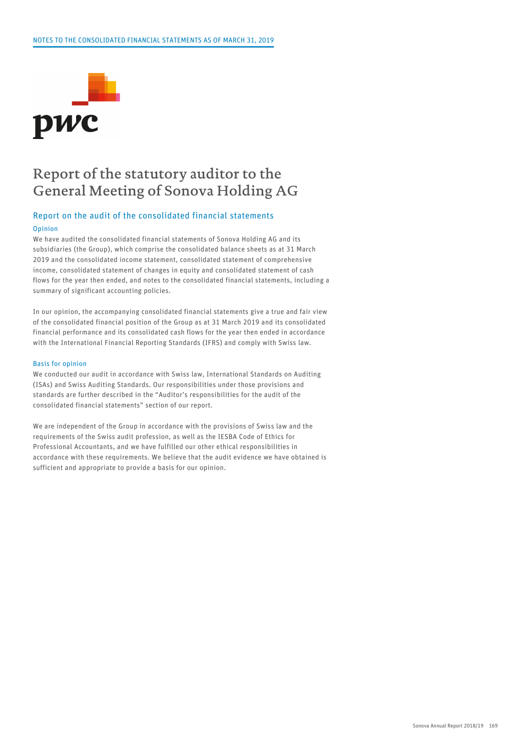

### Report of the statutory auditor to the General Meeting of Sonova Holding AG

### Report on the audit of the consolidated financial statements

#### Opinion

We have audited the consolidated financial statements of Sonova Holding AG and its subsidiaries (the Group), which comprise the consolidated balance sheets as at 31 March 2019 and the consolidated income statement, consolidated statement of comprehensive income, consolidated statement of changes in equity and consolidated statement of cash flows for the year then ended, and notes to the consolidated financial statements, including a summary of significant accounting policies.

In our opinion, the accompanying consolidated financial statements give a true and fair view of the consolidated financial position of the Group as at 31 March 2019 and its consolidated financial performance and its consolidated cash flows for the year then ended in accordance with the International Financial Reporting Standards (IFRS) and comply with Swiss law.

#### Basis for opinion

We conducted our audit in accordance with Swiss law, International Standards on Auditing (ISAs) and Swiss Auditing Standards. Our responsibilities under those provisions and standards are further described in the "Auditor's responsibilities for the audit of the consolidated financial statements" section of our report.

We are independent of the Group in accordance with the provisions of Swiss law and the requirements of the Swiss audit profession, as well as the IESBA Code of Ethics for Professional Accountants, and we have fulfilled our other ethical responsibilities in accordance with these requirements. We believe that the audit evidence we have obtained is sufficient and appropriate to provide a basis for our opinion.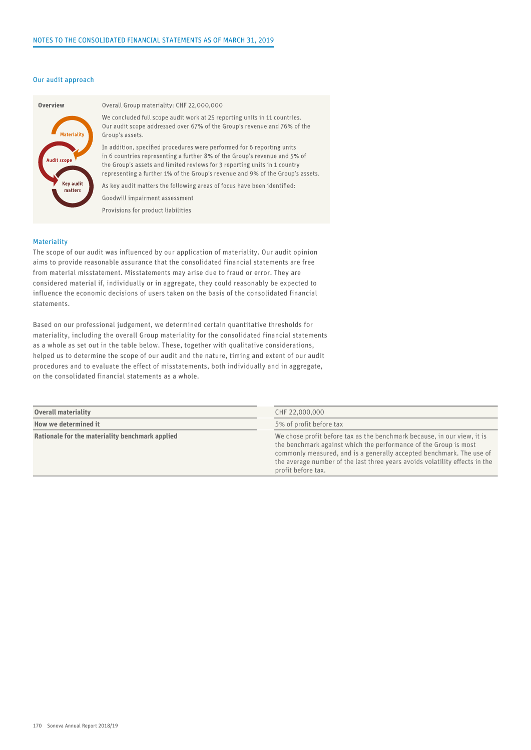#### Our audit approach



#### Overall Group materiality: CHF 22,000,000

We concluded full scope audit work at 25 reporting units in 11 countries. Our audit scope addressed over 67% of the Group's revenue and 76% of the Group's assets.

In addition, specified procedures were performed for 6 reporting units in 6 countries representing a further 8% of the Group's revenue and 5% of the Group's assets and limited reviews for 3 reporting units in 1 country representing a further 1% of the Group's revenue and 9% of the Group's assets.

As key audit matters the following areas of focus have been identified: Goodwill impairment assessment

Provisions for product liabilities

#### **Materiality**

The scope of our audit was influenced by our application of materiality. Our audit opinion aims to provide reasonable assurance that the consolidated financial statements are free from material misstatement. Misstatements may arise due to fraud or error. They are considered material if, individually or in aggregate, they could reasonably be expected to influence the economic decisions of users taken on the basis of the consolidated financial statements.

Based on our professional judgement, we determined certain quantitative thresholds for materiality, including the overall Group materiality for the consolidated financial statements as a whole as set out in the table below. These, together with qualitative considerations, helped us to determine the scope of our audit and the nature, timing and extent of our audit procedures and to evaluate the effect of misstatements, both individually and in aggregate, on the consolidated financial statements as a whole.

| <b>Overall materiality</b>                      | CHF 22,000,000                                                                                                                                                                                                                                                                                                           |
|-------------------------------------------------|--------------------------------------------------------------------------------------------------------------------------------------------------------------------------------------------------------------------------------------------------------------------------------------------------------------------------|
| How we determined it                            | 5% of profit before tax                                                                                                                                                                                                                                                                                                  |
| Rationale for the materiality benchmark applied | We chose profit before tax as the benchmark because, in our view, it is<br>the benchmark against which the performance of the Group is most<br>commonly measured, and is a generally accepted benchmark. The use of<br>the average number of the last three years avoids volatility effects in the<br>profit before tax. |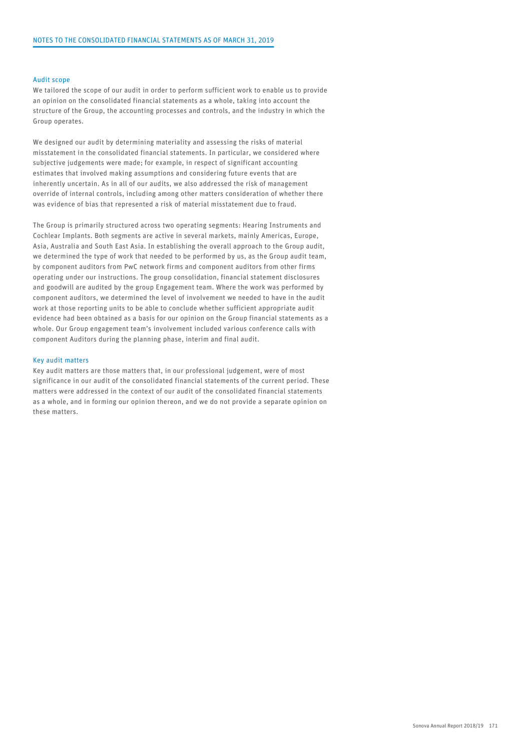#### Audit scope

We tailored the scope of our audit in order to perform sufficient work to enable us to provide an opinion on the consolidated financial statements as a whole, taking into account the structure of the Group, the accounting processes and controls, and the industry in which the Group operates.

We designed our audit by determining materiality and assessing the risks of material misstatement in the consolidated financial statements. In particular, we considered where subjective judgements were made; for example, in respect of significant accounting estimates that involved making assumptions and considering future events that are inherently uncertain. As in all of our audits, we also addressed the risk of management override of internal controls, including among other matters consideration of whether there was evidence of bias that represented a risk of material misstatement due to fraud.

The Group is primarily structured across two operating segments: Hearing Instruments and Cochlear Implants. Both segments are active in several markets, mainly Americas, Europe, Asia, Australia and South East Asia. In establishing the overall approach to the Group audit, we determined the type of work that needed to be performed by us, as the Group audit team, by component auditors from PwC network firms and component auditors from other firms operating under our instructions. The group consolidation, financial statement disclosures and goodwill are audited by the group Engagement team. Where the work was performed by component auditors, we determined the level of involvement we needed to have in the audit work at those reporting units to be able to conclude whether sufficient appropriate audit evidence had been obtained as a basis for our opinion on the Group financial statements as a whole. Our Group engagement team's involvement included various conference calls with component Auditors during the planning phase, interim and final audit.

#### Key audit matters

Key audit matters are those matters that, in our professional judgement, were of most significance in our audit of the consolidated financial statements of the current period. These matters were addressed in the context of our audit of the consolidated financial statements as a whole, and in forming our opinion thereon, and we do not provide a separate opinion on these matters.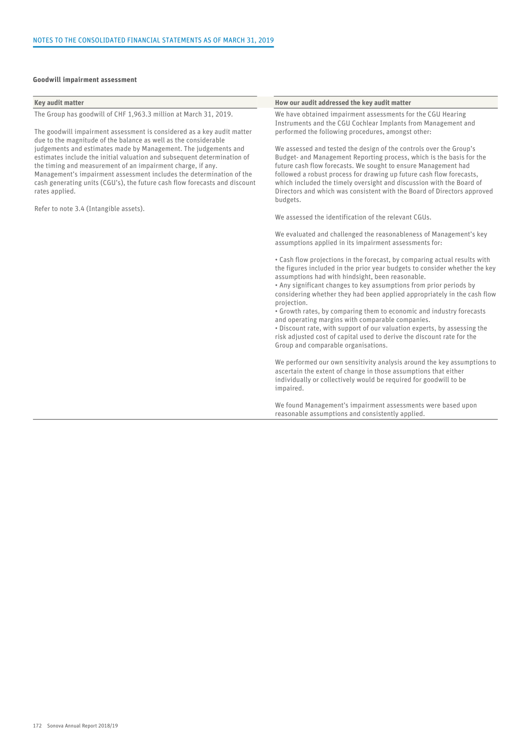#### Goodwill impairment assessment

| Key audit matter                                                                                                                                   | How our audit addressed the key audit matter                                                                                                                |
|----------------------------------------------------------------------------------------------------------------------------------------------------|-------------------------------------------------------------------------------------------------------------------------------------------------------------|
|                                                                                                                                                    |                                                                                                                                                             |
| The Group has goodwill of CHF 1,963.3 million at March 31, 2019.                                                                                   | We have obtained impairment assessments for the CGU Hearing<br>Instruments and the CGU Cochlear Implants from Management and                                |
| The goodwill impairment assessment is considered as a key audit matter<br>due to the magnitude of the balance as well as the considerable          | performed the following procedures, amongst other:                                                                                                          |
| judgements and estimates made by Management. The judgements and                                                                                    | We assessed and tested the design of the controls over the Group's                                                                                          |
| estimates include the initial valuation and subsequent determination of<br>the timing and measurement of an impairment charge, if any.             | Budget- and Management Reporting process, which is the basis for the<br>future cash flow forecasts. We sought to ensure Management had                      |
| Management's impairment assessment includes the determination of the<br>cash generating units (CGU's), the future cash flow forecasts and discount | followed a robust process for drawing up future cash flow forecasts,                                                                                        |
| rates applied.                                                                                                                                     | which included the timely oversight and discussion with the Board of<br>Directors and which was consistent with the Board of Directors approved<br>budgets. |
| Refer to note 3.4 (Intangible assets).                                                                                                             |                                                                                                                                                             |
|                                                                                                                                                    | We assessed the identification of the relevant CGUs.                                                                                                        |
|                                                                                                                                                    | We evaluated and challenged the reasonableness of Management's key<br>assumptions applied in its impairment assessments for:                                |
|                                                                                                                                                    | • Cash flow projections in the forecast, by comparing actual results with<br>the figures included in the prior year budgets to consider whether the key     |
|                                                                                                                                                    | assumptions had with hindsight, been reasonable.<br>• Any significant changes to key assumptions from prior periods by                                      |
|                                                                                                                                                    | considering whether they had been applied appropriately in the cash flow<br>projection.                                                                     |
|                                                                                                                                                    | • Growth rates, by comparing them to economic and industry forecasts<br>and operating margins with comparable companies.                                    |
|                                                                                                                                                    | . Discount rate, with support of our valuation experts, by assessing the                                                                                    |
|                                                                                                                                                    | risk adjusted cost of capital used to derive the discount rate for the<br>Group and comparable organisations.                                               |
|                                                                                                                                                    | We performed our own sensitivity analysis around the key assumptions to<br>ascertain the extent of change in those assumptions that either                  |
|                                                                                                                                                    | individually or collectively would be required for goodwill to be<br>impaired.                                                                              |
|                                                                                                                                                    |                                                                                                                                                             |

We found Management's impairment assessments were based upon reasonable assumptions and consistently applied.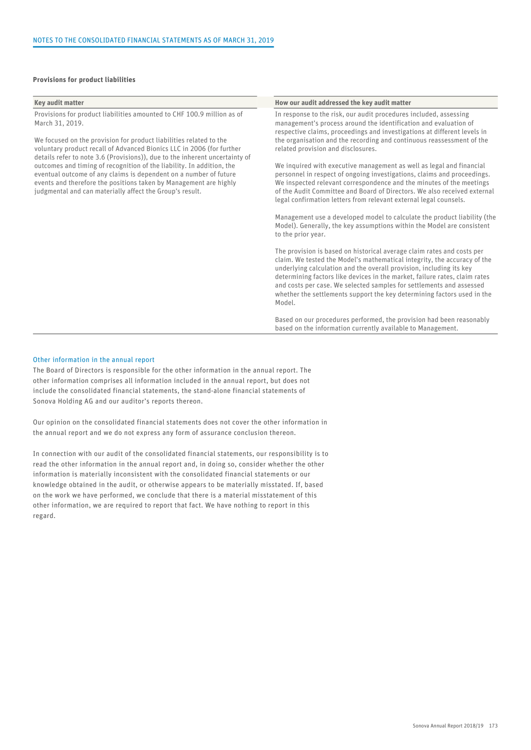#### Provisions for product liabilities

#### Key audit matter **How our audit addressed the key audit matter** How our audit addressed the key audit matter Provisions for product liabilities amounted to CHF 100.9 million as of March 31, 2019. We focused on the provision for product liabilities related to the voluntary product recall of Advanced Bionics LLC in 2006 (for further details refer to note 3.6 (Provisions)), due to the inherent uncertainty of outcomes and timing of recognition of the liability. In addition, the eventual outcome of any claims is dependent on a number of future events and therefore the positions taken by Management are highly judgmental and can materially affect the Group's result. In response to the risk, our audit procedures included, assessing management's process around the identification and evaluation of respective claims, proceedings and investigations at different levels in the organisation and the recording and continuous reassessment of the related provision and disclosures. We inquired with executive management as well as legal and financial personnel in respect of ongoing investigations, claims and proceedings. We inspected relevant correspondence and the minutes of the meetings of the Audit Committee and Board of Directors. We also received external legal confirmation letters from relevant external legal counsels. Management use a developed model to calculate the product liability (the Model). Generally, the key assumptions within the Model are consistent to the prior year. The provision is based on historical average claim rates and costs per claim. We tested the Model's mathematical integrity, the accuracy of the underlying calculation and the overall provision, including its key determining factors like devices in the market, failure rates, claim rates and costs per case. We selected samples for settlements and assessed whether the settlements support the key determining factors used in the Model. Based on our procedures performed, the provision had been reasonably based on the information currently available to Management.

#### Other information in the annual report

The Board of Directors is responsible for the other information in the annual report. The other information comprises all information included in the annual report, but does not include the consolidated financial statements, the stand-alone financial statements of Sonova Holding AG and our auditor's reports thereon.

Our opinion on the consolidated financial statements does not cover the other information in the annual report and we do not express any form of assurance conclusion thereon.

In connection with our audit of the consolidated financial statements, our responsibility is to read the other information in the annual report and, in doing so, consider whether the other information is materially inconsistent with the consolidated financial statements or our knowledge obtained in the audit, or otherwise appears to be materially misstated. If, based on the work we have performed, we conclude that there is a material misstatement of this other information, we are required to report that fact. We have nothing to report in this regard.